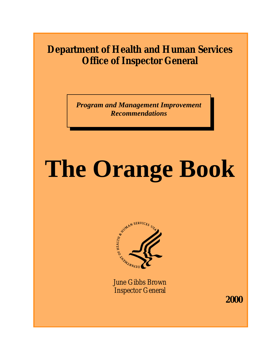### **Department of Health and Human Services Office of Inspector General**

*Program and Management Improvement Recommendations* 

# **The Orange Book**



June Gibbs Brown Inspector General

**2000**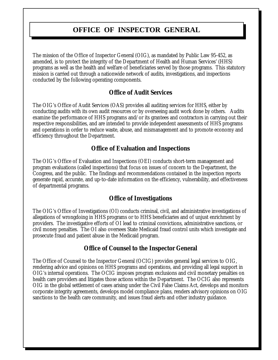### **OFFICE OF INSPECTOR GENERAL**

The mission of the Office of Inspector General (OIG), as mandated by Public Law 95-452, as amended, is to protect the integrity of the Department of Health and Human Services' (HHS) programs as well as the health and welfare of beneficiaries served by those programs. This statutory mission is carried out through a nationwide network of audits, investigations, and inspections conducted by the following operating components.

### **Office of Audit Services**

The OIG's Office of Audit Services (OAS) provides all auditing services for HHS, either by conducting audits with its own audit resources or by overseeing audit work done by others. Audits examine the performance of HHS programs and/or its grantees and contractors in carrying out their respective responsibilities, and are intended to provide independent assessments of HHS programs and operations in order to reduce waste, abuse, and mismanagement and to promote economy and efficiency throughout the Department.

### **Office of Evaluation and Inspections**

The OIG's Office of Evaluation and Inspections (OEI) conducts short-term management and program evaluations (called inspections) that focus on issues of concern to the Department, the Congress, and the public. The findings and recommendations contained in the inspection reports generate rapid, accurate, and up-to-date information on the efficiency, vulnerability, and effectiveness of departmental programs.

### **Office of Investigations**

The OIG's Office of Investigations (OI) conducts criminal, civil, and administrative investigations of allegations of wrongdoing in HHS programs or to HHS beneficiaries and of unjust enrichment by providers. The investigative efforts of OI lead to criminal convictions, administrative sanctions, or civil money penalties. The OI also oversees State Medicaid fraud control units which investigate and prosecute fraud and patient abuse in the Medicaid program.

### **Office of Counsel to the Inspector General**

The Office of Counsel to the Inspector General (OCIG) provides general legal services to OIG, rendering advice and opinions on HHS programs and operations, and providing all legal support in OIG's internal operations. The OCIG imposes program exclusions and civil monetary penalties on health care providers and litigates those actions within the Department. The OCIG also represents OIG in the global settlement of cases arising under the Civil False Claims Act, develops and monitors corporate integrity agreements, develops model compliance plans, renders advisory opinions on OIG sanctions to the health care community, and issues fraud alerts and other industry guidance.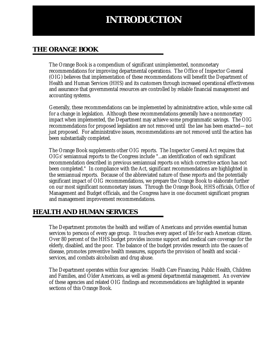### **INTRODUCTION**

### **THE ORANGE BOOK**

The Orange Book is a compendium of significant unimplemented, nonmonetary recommendations for improving departmental operations. The Office of Inspector General (OIG) believes that implementation of these recommendations will benefit the Department of Health and Human Services (HHS) and its customers through increased operational effectiveness and assurance that governmental resources are controlled by reliable financial management and accounting systems.

Generally, these recommendations can be implemented by administrative action, while some call for a change in legislation. Although these recommendations generally have a nonmonetary impact when implemented, the Department may achieve some programmatic savings. The OIG recommendations for proposed legislation are not removed until the law has been enacted—not just proposed. For administrative issues, recommendations are not removed until the action has been substantially completed.

The Orange Book supplements other OIG reports. The Inspector General Act requires that OIGs' semiannual reports to the Congress include "...an identification of each significant recommendation described in previous semiannual reports on which corrective action has not been completed." In compliance with the Act, significant recommendations are highlighted in the semiannual reports. Because of the abbreviated nature of these reports and the potentially significant impact of OIG recommendations, we prepare the Orange Book to elaborate further on our most significant nonmonetary issues. Through the Orange Book, HHS officials, Office of Management and Budget officials, and the Congress have in one document significant program and management improvement recommendations.

### **HEALTH AND HUMAN SERVICES**

The Department promotes the health and welfare of Americans and provides essential human services to persons of every age group. It touches every aspect of life for each American citizen. Over 80 percent of the HHS budget provides income support and medical care coverage for the elderly, disabled, and the poor. The balance of the budget provides research into the causes of disease, promotes preventive health measures, supports the provision of health and social services, and combats alcoholism and drug abuse.

The Department operates within four agencies: Health Care Financing, Public Health, Children and Families, and Older Americans, as well as general departmental management. An overview of these agencies and related OIG findings and recommendations are highlighted in separate sections of this Orange Book.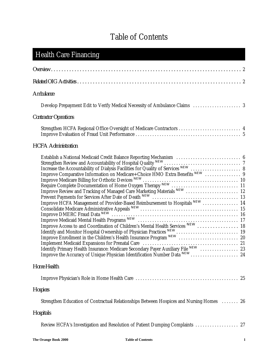### Table of Contents

| <b>Health Care Financing</b>                                                                                                                                                                                                       |
|------------------------------------------------------------------------------------------------------------------------------------------------------------------------------------------------------------------------------------|
|                                                                                                                                                                                                                                    |
|                                                                                                                                                                                                                                    |
| Ambulance                                                                                                                                                                                                                          |
|                                                                                                                                                                                                                                    |
| <b>Contractor Operations</b>                                                                                                                                                                                                       |
| Strengthen HCFA Regional Office Oversight of Medicare Contractors  4                                                                                                                                                               |
| <b>HCFA</b> Administration                                                                                                                                                                                                         |
| Establish a National Medicaid Credit Balance Reporting Mechanism  6<br>Improve HCFA Management of Provider-Based Reimbursement to Hospitals NEW  14<br>Improve the Accuracy of Unique Physician Identification Number Data NEW  24 |
| Home Health                                                                                                                                                                                                                        |
|                                                                                                                                                                                                                                    |
| <b>Hospices</b>                                                                                                                                                                                                                    |
| Strengthen Education of Contractual Relationships Between Hospices and Nursing Homes  26                                                                                                                                           |
| Hospitals                                                                                                                                                                                                                          |
| Review HCFA's Investigation and Resolution of Patient Dumping Complaints  27                                                                                                                                                       |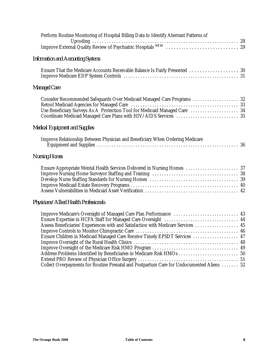| Perform Routine Monitoring of Hospital Billing Data to Identify Aberrant Patterns of                                                                                                                                                                                                                            |  |
|-----------------------------------------------------------------------------------------------------------------------------------------------------------------------------------------------------------------------------------------------------------------------------------------------------------------|--|
|                                                                                                                                                                                                                                                                                                                 |  |
| <b>Information and Accounting Systems</b>                                                                                                                                                                                                                                                                       |  |
| Ensure That the Medicare Accounts Receivable Balance Is Fairly Presented  30                                                                                                                                                                                                                                    |  |
| Managed Care                                                                                                                                                                                                                                                                                                    |  |
| Consider Recommended Safeguards Over Medicaid Managed Care Programs  32<br>Use Beneficiary Surveys As A Protection Tool for Medicaid Managed Care  34                                                                                                                                                           |  |
| <b>Medical Equipment and Supplies</b>                                                                                                                                                                                                                                                                           |  |
| Improve Relationship Between Physician and Beneficiary When Ordering Medicare                                                                                                                                                                                                                                   |  |
| <b>Nursing Homes</b>                                                                                                                                                                                                                                                                                            |  |
| Ensure Appropriate Mental Health Services Delivered in Nursing Homes  37                                                                                                                                                                                                                                        |  |
| Physicians/Allied Health Professionals                                                                                                                                                                                                                                                                          |  |
| Improve Medicare's Oversight of Managed Care Plan Performance  43<br>Assess Beneficiaries' Experiences with and Satisfaction with Medicare Services  45<br>Ensure Children in Medicaid Managed Care Receive Timely EPSDT Services  47<br>Address Problems Identified by Beneficiaries in Medicare Risk HMOs  50 |  |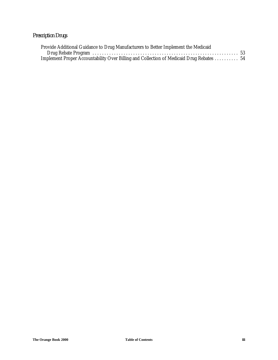### *Prescription Drugs*

| Provide Additional Guidance to Drug Manufacturers to Better Implement the Medicaid       |  |
|------------------------------------------------------------------------------------------|--|
|                                                                                          |  |
| Implement Proper Accountability Over Billing and Collection of Medicaid Drug Rebates  54 |  |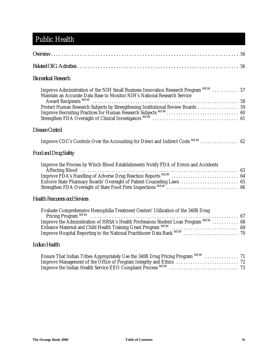### Public Health

| <b>Biomedical Research</b>                                                                                                                                                                           |  |
|------------------------------------------------------------------------------------------------------------------------------------------------------------------------------------------------------|--|
| Improve Administration of the NIH Small Business Innovation Research Program NEW  57<br>Maintain an Accurate Data Base to Monitor NIH's National Research Service<br>Award Recipients <sup>NEW</sup> |  |
| Disease Control                                                                                                                                                                                      |  |
| Improve CDC's Controls Over the Accounting for Direct and Indirect Costs NEW  62                                                                                                                     |  |
| <b>Food and Drug Safety</b>                                                                                                                                                                          |  |
| Improve the Process by Which Blood Establishments Notify FDA of Errors and Accidents                                                                                                                 |  |
| <b>Health Resources and Services</b>                                                                                                                                                                 |  |
| Evaluate Comprehensive Hemophilia Treatment Centers' Utilization of the 340B Drug                                                                                                                    |  |
| Indian Health                                                                                                                                                                                        |  |
| Ensure That Indian Tribes Appropriately Use the 340B Drug Pricing Program NEW  71                                                                                                                    |  |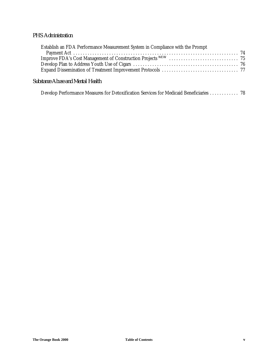### *PHS Administration*

| Establish an FDA Performance Measurement System in Compliance with the Prompt |  |
|-------------------------------------------------------------------------------|--|
|                                                                               |  |
|                                                                               |  |
|                                                                               |  |
|                                                                               |  |
|                                                                               |  |

### *Substance Abuse and Mental Health*

Develop Performance Measures for Detoxification Services for Medicaid Beneficiaries ............ 78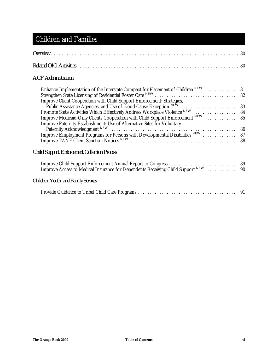### Children and Families

### *ACF Administration*

| Enhance Implementation of the Interstate Compact for Placement of Children NEW  81 |  |
|------------------------------------------------------------------------------------|--|
|                                                                                    |  |
| Improve Client Cooperation with Child Support Enforcement: Strategies,             |  |
|                                                                                    |  |
| Promote State Activities Which Effectively Address Workplace Violence NEW  84      |  |
| Improve Medicaid-Only Clients Cooperation with Child Support Enforcement NEW  85   |  |
| Improve Paternity Establishment: Use of Alternative Sites for Voluntary            |  |
|                                                                                    |  |
| Improve Employment Programs for Persons with Developmental Disabilities NEW  87    |  |
|                                                                                    |  |
|                                                                                    |  |

### *Child Support Enforcement Collection Process*

| Improve Access to Medical Insurance for Dependents Receiving Child Support NEW 90 |  |
|-----------------------------------------------------------------------------------|--|

### *Children, Youth, and Family Services*

|--|--|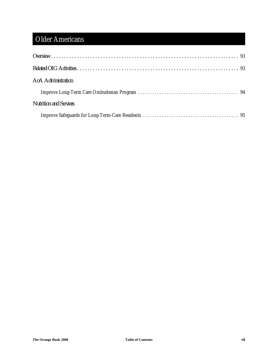### Older Americans

| AoA Administration            |  |
|-------------------------------|--|
|                               |  |
| <b>Nutrition and Services</b> |  |
|                               |  |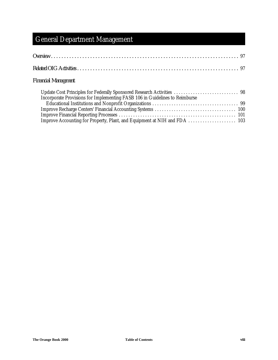### General Department Management

### *Financial Management*

| Incorporate Provisions for Implementing FASB 106 in Guidelines to Reimburse |  |
|-----------------------------------------------------------------------------|--|
|                                                                             |  |
|                                                                             |  |
|                                                                             |  |
|                                                                             |  |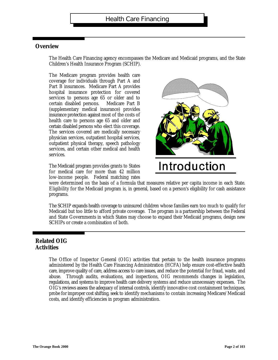### **Overview**

The Health Care Financing agency encompasses the Medicare and Medicaid programs, and the State Children's Health Insurance Program (SCHIP).

The Medicare program provides health care coverage for individuals through Part A and Part B insurances. Medicare Part A provides hospital insurance protection for covered services to persons age 65 or older and to certain disabled persons. (supplementary medical insurance) provides insurance protection against most of the costs of health care to persons age 65 and older and certain disabled persons who elect this coverage. The services covered are medically necessary physician services, outpatient hospital services, outpatient physical therapy, speech pathology services, and certain other medical and health services. Medicare Part

The Medicaid program provides grants to States for medical care for more than 42 million low-income people. Federal matching rates



## Introduction

were determined on the basis of a formula that measures relative per capita income in each State. Eligibility for the Medicaid program is, in general, based on a person's eligibility for cash assistance programs.

The SCHIP expands health coverage to uninsured children whose families earn too much to qualify for Medicaid but too little to afford private coverage. The program is a partnership between the Federal and State Governments in which States may choose to expand their Medicaid programs, design new SCHIPs or create a combination of both.

### **Related OIG Activities**

The Office of Inspector General (OIG) activities that pertain to the health insurance programs administered by the Health Care Financing Administration (HCFA) help ensure cost-effective health care, improve quality of care, address access to care issues, and reduce the potential for fraud, waste, and abuse. Through audits, evaluations, and inspections, OIG recommends changes in legislation, regulations, and systems to improve health care delivery systems and reduce unnecessary expenses. TheOIG's reviews assess the adequacy of internal controls, identify innovative cost containment techniques, probe for improper cost shifting, seek to identify mechanisms to contain increasing Medicare/Medicaid costs, and identify efficiencies in program administration.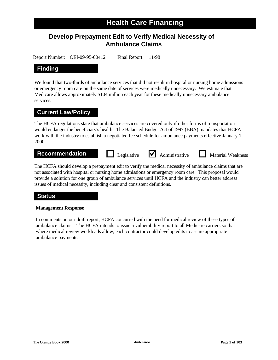### **Develop Prepayment Edit to Verify Medical Necessity of Ambulance Claims**

Report Number: OEI-09-95-00412 Final Report: 11/98

### **Finding**

We found that two-thirds of ambulance services that did not result in hospital or nursing home admissions or emergency room care on the same date of services were medically unnecessary. We estimate that Medicare allows approximately \$104 million each year for these medically unnecessary ambulance services.

### **Current Law/Policy**

The HCFA regulations state that ambulance services are covered only if other forms of transportation would endanger the beneficiary's health. The Balanced Budget Act of 1997 (BBA) mandates that HCFA work with the industry to establish a negotiated fee schedule for ambulance payments effective January 1, 2000.

**Recommendation Legislative** <br> **Administrative Material Weakness** 

The HCFA should develop a prepayment edit to verify the medical necessity of ambulance claims that are not associated with hospital or nursing home admissions or emergency room care. This proposal would provide a solution for one group of ambulance services until HCFA and the industry can better address issues of medical necessity, including clear and consistent definitions.

### **Status**

#### **Management Response**

In comments on our draft report, HCFA concurred with the need for medical review of these types of ambulance claims. The HCFA intends to issue a vulnerability report to all Medicare carriers so that where medical review workloads allow, each contractor could develop edits to assure appropriate ambulance payments.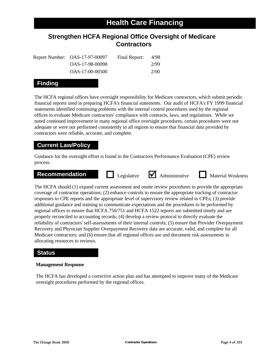### **Strengthen HCFA Regional Office Oversight of Medicare Contractors**

| Report Number: OAS-17-97-00097 | Final Report: | 4/98 |
|--------------------------------|---------------|------|
| OAS-17-98-00098                |               | 2/99 |
| OAS-17-00-00500                |               | 2/00 |

### **Finding**

The HCFA regional offices have oversight responsibility for Medicare contractors, which submit periodic financial reports used in preparing HCFA's financial statements. Our audit of HCFA's FY 1999 financial statements identified continuing problems with the internal control procedures used by the regional offices to evaluate Medicare contractors' compliance with contracts, laws, and regulations. While we noted continued improvement in many regional office oversight procedures, certain procedures were not adequate or were not performed consistently in all regions to ensure that financial data provided by contractors were reliable, accurate, and complete.

### **Current Law/Policy**

Guidance for the oversight effort is found in the Contractors Performance Evaluation (CPE) review process.

#### **Recommendation Legislative**  M Administrative M Material Weakness



The HCFA should (1) expand current assessment and onsite review procedures to provide the appropriate coverage of contractor operations; (2) enhance controls to ensure the appropriate tracking of contractor responses to CPE reports and the appropriate level of supervisory review related to CPEs; (3) provide additional guidance and training to communicate expectations and the procedures to be performed by regional offices to ensure that HCFA 750/751 and HCFA 1522 reports are submitted timely and are properly reconciled to accounting records; (4) develop a review protocol to directly evaluate the reliability of contractors' self-assessments of their internal controls; (5) ensure that Provider Overpayment Recovery and Physician Supplier Overpayment Recovery data are accurate, valid, and complete for all Medicare contractors; and (6) ensure that all regional offices use and document risk assessments in allocating resources to reviews.

### **Status**

#### **Management Response**

The HCFA has developed a corrective action plan and has attempted to improve many of the Medicare oversight procedures performed by the regional offices.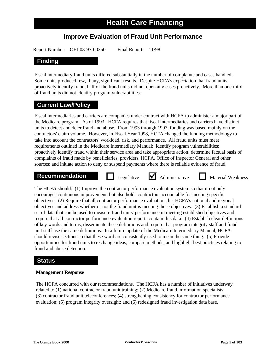### **Improve Evaluation of Fraud Unit Performance**

Report Number: OEI-03-97-00350 Final Report: 11/98

### **Finding**

Fiscal intermediary fraud units differed substantially in the number of complaints and cases handled. Some units produced few, if any, significant results. Despite HCFA's expectation that fraud units proactively identify fraud, half of the fraud units did not open any cases proactively. More than one-third of fraud units did not identify program vulnerabilities.

### **Current Law/Policy**

Fiscal intermediaries and carriers are companies under contract with HCFA to administer a major part of the Medicare program. As of 1993, HCFA requires that fiscal intermediaries and carriers have distinct units to detect and deter fraud and abuse. From 1993 through 1997, funding was based mainly on the contractors' claim volume. However, in Fiscal Year 1998, HCFA changed the funding methodology to take into account the contractors' workload, risk, and performance. All fraud units must meet requirements outlined in the Medicare Intermediary Manual: identify program vulnerabilities; proactively identify fraud within their service area and take appropriate action; determine factual basis of complaints of fraud made by beneficiaries, providers, HCFA, Office of Inspector General and other sources; and initiate action to deny or suspend payments where there is reliable evidence of fraud.

### **Recommendation Legislative** <br> **Administrative Material Weakness**

The HCFA should: (1) Improve the contractor performance evaluation system so that it not only encourages continuous improvement, but also holds contractors accountable for meeting specific objectives. (2) Require that all contractor performance evaluations list HCFA's national and regional objectives and address whether or not the fraud unit is meeting those objectives. (3) Establish a standard set of data that can be used to measure fraud units' performance in meeting established objectives and require that all contractor performance evaluation reports contain this data. (4) Establish clear definitions of key words and terms, disseminate these definitions and require that program integrity staff and fraud unit staff use the same definitions. In a future update of the Medicare Intermediary Manual, HCFA should revise sections so that these word are consistently used to mean the same thing. (5) Provide opportunities for fraud units to exchange ideas, compare methods, and highlight best practices relating to fraud and abuse detection.

### **Status**

#### **Management Response**

The HCFA concurred with our recommendations. The HCFA has a number of initiatives underway related to (1) national contractor fraud unit training; (2) Medicare fraud information specialists; (3) contractor fraud unit teleconferences; (4) strengthening consistency for contractor performance evaluation; (5) program integrity oversight; and (6) redesigned fraud investigation data base.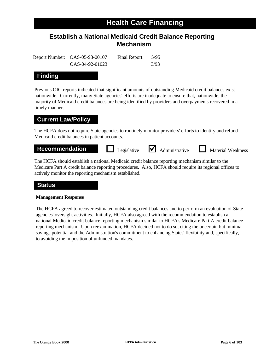### **Establish a National Medicaid Credit Balance Reporting Mechanism**

Report Number: OAS-05-93-00107 Final Report: 5/95 OAS-04-92-01023 3/93

### **Finding**

Previous OIG reports indicated that significant amounts of outstanding Medicaid credit balances exist nationwide. Currently, many State agencies' efforts are inadequate to ensure that, nationwide, the majority of Medicaid credit balances are being identified by providers and overpayments recovered in a timely manner.

### **Current Law/Policy**

The HCFA does not require State agencies to routinely monitor providers' efforts to identify and refund Medicaid credit balances in patient accounts.

**Recommendation Legislative** <br> **Administrative Material Weakness** 

The HCFA should establish a national Medicaid credit balance reporting mechanism similar to the Medicare Part A credit balance reporting procedures. Also, HCFA should require its regional offices to actively monitor the reporting mechanism established.

### **Status**

#### **Management Response**

The HCFA agreed to recover estimated outstanding credit balances and to perform an evaluation of State agencies' oversight activities. Initially, HCFA also agreed with the recommendation to establish a national Medicaid credit balance reporting mechanism similar to HCFA's Medicare Part A credit balance reporting mechanism. Upon reexamination, HCFA decided not to do so, citing the uncertain but minimal savings potential and the Administration's commitment to enhancing States' flexibility and, specifically, to avoiding the imposition of unfunded mandates.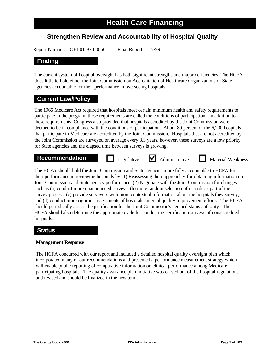### **Strengthen Review and Accountability of Hospital Quality**

Report Number: OEI-01-97-00050 Final Report: 7/99

### **Finding**

The current system of hospital oversight has both significant strengths and major deficiencies. The HCFA does little to hold either the Joint Commission on Accreditation of Healthcare Organizations or State agencies accountable for their performance in overseeing hospitals.

### **Current Law/Policy**

The 1965 Medicare Act required that hospitals meet certain minimum health and safety requirements to participate in the program, these requirements are called the conditions of participation. In addition to these requirements, Congress also provided that hospitals accredited by the Joint Commission were deemed to be in compliance with the conditions of participation. About 80 percent of the 6,200 hospitals that participate in Medicare are accredited by the Joint Commission. Hospitals that are not accredited by the Joint Commission are surveyed on average every 3.3 years, however, these surveys are a low priority for State agencies and the elapsed time between surveys is growing.

### **Recommendation D** Legislative **M** Administrative **D** Material Weakness

Legislative  $\bigvee$  Administrative

The HCFA should hold the Joint Commission and State agencies more fully accountable to HCFA for their performance in reviewing hospitals by (1) Reassessing their approaches for obtaining information on Joint Commission and State agency performance. (2) Negotiate with the Joint Commission for changes such as (a) conduct more unannounced surveys; (b) more random selection of records as part of the survey process; (c) provide surveyors with more contextual information about the hospitals they survey; and (d) conduct more rigorous assessments of hospitals' internal quality improvement efforts. The HCFA should periodically assess the justification for the Joint Commission's deemed status authority. The HCFA should also determine the appropriate cycle for conducting certification surveys of nonaccredited hospitals.

### **Status**

#### **Management Response**

The HCFA concurred with our report and included a detailed hospital quality oversight plan which incorporated many of our recommendations and presented a performance measurement strategy which will enable public reporting of comparative information on clinical performance among Medicare participating hospitals. The quality assurance plan initiative was carved out of the hospital regulations and revised and should be finalized in the new term.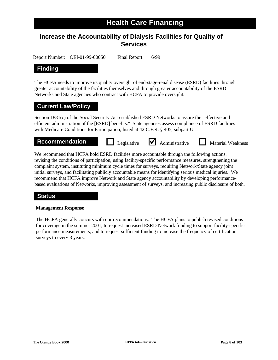### **Increase the Accountability of Dialysis Facilities for Quality of Services**

Report Number: OEI-01-99-00050 Final Report: 6/99

### **Finding**

The HCFA needs to improve its quality oversight of end-stage-renal disease (ESRD) facilities through greater accountability of the facilities themselves and through greater accountability of the ESRD Networks and State agencies who contract with HCFA to provide oversight.

### **Current Law/Policy**

Section 1881(c) of the Social Security Act established ESRD Networks to assure the "effective and efficient administration of the [ESRD] benefits." State agencies assess compliance of ESRD facilities with Medicare Conditions for Participation, listed at 42 C.F.R. § 405, subpart U.



We recommend that HCFA hold ESRD facilities more accountable through the following actions: revising the conditions of participation, using facility-specific performance measures, strengthening the complaint system, instituting minimum cycle times for surveys, requiring Network/State agency joint initial surveys, and facilitating publicly accountable means for identifying serious medical injuries. We recommend that HCFA improve Network and State agency accountability by developing performancebased evaluations of Networks, improving assessment of surveys, and increasing public disclosure of both.

### **Status**

#### **Management Response**

The HCFA generally concurs with our recommendations. The HCFA plans to publish revised conditions for coverage in the summer 2001, to request increased ESRD Network funding to support facility-specific performance measurements, and to request sufficient funding to increase the frequency of certification surveys to every 3 years.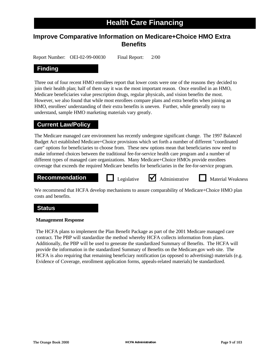### **Improve Comparative Information on Medicare+Choice HMO Extra Benefits**

Report Number: OEI-02-99-00030 Final Report: 2/00

### **Finding**

Three out of four recent HMO enrollees report that lower costs were one of the reasons they decided to join their health plan; half of them say it was the most important reason. Once enrolled in an HMO, Medicare beneficiaries value prescription drugs, regular physicals, and vision benefits the most. However, we also found that while most enrollees compare plans and extra benefits when joining an HMO, enrollees' understanding of their extra benefits is uneven. Further, while generally easy to understand, sample HMO marketing materials vary greatly.

### **Current Law/Policy**

The Medicare managed care environment has recently undergone significant change. The 1997 Balanced Budget Act established Medicare+Choice provisions which set forth a number of different "coordinated care" options for beneficiaries to choose from. These new options mean that beneficiaries now need to make informed choices between the traditional fee-for-service health care program and a number of different types of managed care organizations. Many Medicare+Choice HMOs provide enrollees coverage that exceeds the required Medicare benefits for beneficiaries in the fee-for-service program.

### **Recommendation Legislative** <br> **Administrative Material Weakness**

We recommend that HCFA develop mechanisms to assure comparability of Medicare+Choice HMO plan costs and benefits.

### **Status**

#### **Management Response**

The HCFA plans to implement the Plan Benefit Package as part of the 2001 Medicare managed care contract. The PBP will standardize the method whereby HCFA collects information from plans. Additionally, the PBP will be used to generate the standardized Summary of Benefits. The HCFA will provide the information in the standardized Summary of Benefits on the Medicare.gov web site. The HCFA is also requiring that remaining beneficiary notification (as opposed to advertising) materials (e.g. Evidence of Coverage, enrollment application forms, appeals-related materials) be standardized.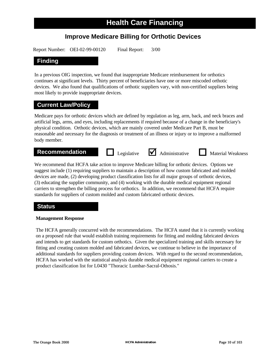### **Improve Medicare Billing for Orthotic Devices**

Report Number: OEI-02-99-00120 Final Report: 3/00

### **Finding**

In a previous OIG inspection, we found that inappropriate Medicare reimbursement for orthotics continues at significant levels. Thirty percent of beneficiaries have one or more miscoded orthotic devices. We also found that qualifications of orthotic suppliers vary, with non-certified suppliers being most likely to provide inappropriate devices.

### **Current Law/Policy**

Medicare pays for orthotic devices which are defined by regulation as leg, arm, back, and neck braces and artificial legs, arms, and eyes, including replacements if required because of a change in the beneficiary's physical condition. Orthotic devices, which are mainly covered under Medicare Part B, must be reasonable and necessary for the diagnosis or treatment of an illness or injury or to improve a malformed body member.

### **Recommendation Legislative** <br> **Administrative Material Weakness**

We recommend that HCFA take action to improve Medicare billing for orthotic devices. Options we suggest include (1) requiring suppliers to maintain a description of how custom fabricated and molded devices are made, (2) developing product classification lists for all major groups of orthotic devices, (3) educating the supplier community, and (4) working with the durable medical equipment regional carriers to strengthen the billing process for orthotics. In addition, we recommend that HCFA require standards for suppliers of custom molded and custom fabricated orthotic devices.

### **Status**

#### **Management Response**

The HCFA generally concurred with the recommendations. The HCFA stated that it is currently working on a proposed rule that would establish training requirements for fitting and molding fabricated devices and intends to get standards for custom orthotics. Given the specialized training and skills necessary for fitting and creating custom molded and fabricated devices, we continue to believe in the importance of additional standards for suppliers providing custom devices. With regard to the second recommendation, HCFA has worked with the statistical analysis durable medical equipment regional carriers to create a product classification list for L0430 "Thoracic Lumbar-Sacral-Othosis."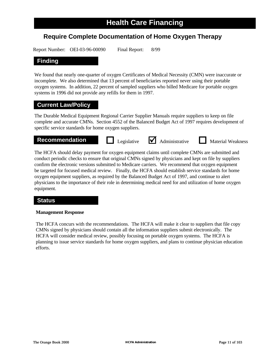### **Require Complete Documentation of Home Oxygen Therapy**

Report Number: OEI-03-96-00090 Final Report: 8/99

### **Finding**

We found that nearly one-quarter of oxygen Certificates of Medical Necessity (CMN) were inaccurate or incomplete. We also determined that 13 percent of beneficiaries reported never using their portable oxygen systems. In addition, 22 percent of sampled suppliers who billed Medicare for portable oxygen systems in 1996 did not provide any refills for them in 1997.

### **Current Law/Policy**

The Durable Medical Equipment Regional Carrier Supplier Manuals require suppliers to keep on file complete and accurate CMNs. Section 4552 of the Balanced Budget Act of 1997 requires development of specific service standards for home oxygen suppliers.

### **Recommendation Legislative** <br> **Administrative Material Weakness**

The HCFA should delay payment for oxygen equipment claims until complete CMNs are submitted and conduct periodic checks to ensure that original CMNs signed by physicians and kept on file by suppliers confirm the electronic versions submitted to Medicare carriers. We recommend that oxygen equipment be targeted for focused medical review. Finally, the HCFA should establish service standards for home oxygen equipment suppliers, as required by the Balanced Budget Act of 1997, and continue to alert physicians to the importance of their role in determining medical need for and utilization of home oxygen equipment.

### **Status**

#### **Management Response**

The HCFA concurs with the recommendations. The HCFA will make it clear to suppliers that file copy CMNs signed by physicians should contain all the information suppliers submit electronically. The HCFA will consider medical review, possibly focusing on portable oxygen systems. The HCFA is planning to issue service standards for home oxygen suppliers, and plans to continue physician education efforts.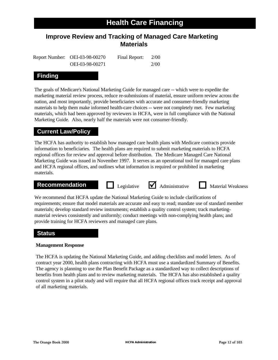### **Improve Review and Tracking of Managed Care Marketing Materials**

Report Number: OEI-03-98-00270 Final Report: 2/00 OEI-03-98-00271 2/00

### **Finding**

The goals of Medicare's National Marketing Guide for managed care -- which were to expedite the marketing material review process, reduce re-submissions of material, ensure uniform review across the nation, and most importantly, provide beneficiaries with accurate and consumer-friendly marketing materials to help them make informed health-care choices -- were not completely met. Few marketing materials, which had been approved by reviewers in HCFA, were in full compliance with the National Marketing Guide. Also, nearly half the materials were not consumer-friendly.

### **Current Law/Policy**

The HCFA has authority to establish how managed care health plans with Medicare contracts provide information to beneficiaries. The health plans are required to submit marketing materials to HCFA regional offices for review and approval before distribution. The Medicare Managed Care National Marketing Guide was issued in November 1997. It serves as an operational tool for managed care plans and HCFA regional offices, and outlines what information is required or prohibited in marketing materials.

### **Recommendation Legislative** <br> **Administrative Material Weakness**



We recommend that HCFA update the National Marketing Guide to include clarifications of requirements; ensure that model materials are accurate and easy to read; mandate use of standard member materials; develop standard review instruments; establish a quality control system; track marketingmaterial reviews consistently and uniformly; conduct meetings with non-complying health plans; and provide training for HCFA reviewers and managed care plans.

### **Status**

#### **Management Response**

The HCFA is updating the National Marketing Guide, and adding checklists and model letters. As of contract year 2000, health plans contracting with HCFA must use a standardized Summary of Benefits. The agency is planning to use the Plan Benefit Package as a standardized way to collect descriptions of benefits from health plans and to review marketing materials. The HCFA has also established a quality control system in a pilot study and will require that all HCFA regional offices track receipt and approval of all marketing materials.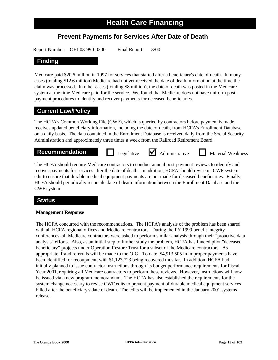### **Prevent Payments for Services After Date of Death**

Report Number: OEI-03-99-00200 Final Report: 3/00

### **Finding**

Medicare paid \$20.6 million in 1997 for services that started after a beneficiary's date of death. In many cases (totaling \$12.6 million) Medicare had not yet received the date of death information at the time the claim was processed. In other cases (totaling \$8 million), the date of death was posted in the Medicare system at the time Medicare paid for the service. We found that Medicare does not have uniform postpayment procedures to identify and recover payments for deceased beneficiaries.

### **Current Law/Policy**

The HCFA's Common Working File (CWF), which is queried by contractors before payment is made, receives updated beneficiary information, including the date of death, from HCFA's Enrollment Database on a daily basis. The data contained in the Enrollment Database is received daily from the Social Security Administration and approximately three times a week from the Railroad Retirement Board.

### **Recommendation Legislative** <br> **Administrative Material Weakness**

The HCFA should require Medicare contractors to conduct annual post-payment reviews to identify and recover payments for services after the date of death. In addition, HCFA should revise its CWF system edit to ensure that durable medical equipment payments are not made for deceased beneficiaries. Finally, HCFA should periodically reconcile date of death information between the Enrollment Database and the CWF system.

### **Status**

#### **Management Response**

The HCFA concurred with the recommendations. The HCFA's analysis of the problem has been shared with all HCFA regional offices and Medicare contractors. During the FY 1999 benefit integrity conferences, all Medicare contractors were asked to perform similar analysis through their "proactive data analysis" efforts. Also, as an initial step to further study the problem, HCFA has funded pilot "deceased beneficiary" projects under Operation Restore Trust for a subset of the Medicare contractors. As appropriate, fraud referrals will be made to the OIG. To date, \$4,913,505 in improper payments have been identified for recoupment, with \$1,123,723 being recovered thus far. In addition, HCFA had initially planned to issue contractor instructions through its budget performance requirements for Fiscal Year 2001, requiring all Medicare contractors to perform these reviews. However, instructions will now be issued via a new program memorandum. The HCFA has also established the requirements for the system change necessary to revise CWF edits to prevent payment of durable medical equipment services billed after the beneficiary's date of death. The edits will be implemented in the January 2001 systems release.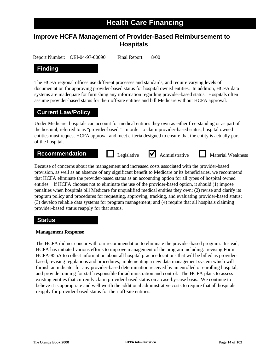### **Improve HCFA Management of Provider-Based Reimbursement to Hospitals**

Report Number: OEI-04-97-00090 Final Report: 8/00

### **Finding**

The HCFA regional offices use different processes and standards, and require varying levels of documentation for approving provider-based status for hospital owned entities. In addition, HCFA data systems are inadequate for furnishing any information regarding provider-based status. Hospitals often assume provider-based status for their off-site entities and bill Medicare without HCFA approval.

### **Current Law/Policy**

Under Medicare, hospitals can account for medical entities they own as either free-standing or as part of the hospital, referred to as "provider-based." In order to claim provider-based status, hospital owned entities must request HCFA approval and meet criteria designed to ensure that the entity is actually part of the hospital.

### **Recommendation Legislative** <br> **Administrative Material Weakness**

Because of concerns about the management and increased costs associated with the provider-based provision, as well as an absence of any significant benefit to Medicare or its beneficiaries, we recommend that HCFA eliminate the provider-based status as an accounting option for all types of hospital owned entities. If HCFA chooses not to eliminate the use of the provider-based option, it should (1) impose penalties when hospitals bill Medicare for unqualified medical entities they own; (2) revise and clarify its program policy and procedures for requesting, approving, tracking, and evaluating provider-based status; (3) develop reliable data systems for program management; and (4) require that all hospitals claiming provider-based status reapply for that status.

### **Status**

#### **Management Response**

The HCFA did not concur with our recommendation to eliminate the provider-based program. Instead, HCFA has initiated various efforts to improve management of the program including: revising Form HCFA-855A to collect information about all hospital practice locations that will be billed as providerbased, revising regulations and procedures, implementing a new data management system which will furnish an indicator for any provider-based determination received by an enrolled or enrolling hospital, and provide training for staff responsible for administration and control. The HCFA plans to assess existing entities that currently claim provider-based status on a case-by-case basis. We continue to believe it is appropriate and well worth the additional administrative costs to require that all hospitals reapply for provider-based status for their off-site entities.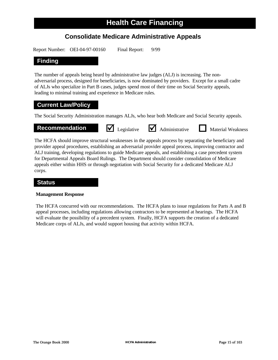### **Consolidate Medicare Administrative Appeals**

Report Number: OEI-04-97-00160 Final Report: 9/99

### **Finding**

The number of appeals being heard by administrative law judges (ALJ) is increasing. The nonadversarial process, designed for beneficiaries, is now dominated by providers. Except for a small cadre of ALJs who specialize in Part B cases, judges spend most of their time on Social Security appeals, leading to minimal training and experience in Medicare rules.

### **Current Law/Policy**

The Social Security Administration manages ALJs, who hear both Medicare and Social Security appeals.

### **Recommendation**  $\overline{\mathbf{V}}$  Legislative  $\overline{\mathbf{V}}$  Administrative **Material Weakness**



The HCFA should improve structural weaknesses in the appeals process by separating the beneficiary and provider appeal procedures, establishing an adversarial provider appeal process, improving contractor and ALJ training, developing regulations to guide Medicare appeals, and establishing a case precedent system for Departmental Appeals Board Rulings. The Department should consider consolidation of Medicare appeals either within HHS or through negotiation with Social Security for a dedicated Medicare ALJ corps.

### **Status**

#### **Management Response**

The HCFA concurred with our recommendations. The HCFA plans to issue regulations for Parts A and B appeal processes, including regulations allowing contractors to be represented at hearings. The HCFA will evaluate the possibility of a precedent system. Finally, HCFA supports the creation of a dedicated Medicare corps of ALJs, and would support housing that activity within HCFA.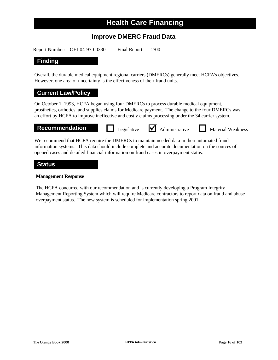### **Improve DMERC Fraud Data**

Report Number: OEI-04-97-00330 Final Report: 2/00

### **Finding**

Overall, the durable medical equipment regional carriers (DMERCs) generally meet HCFA's objectives. However, one area of uncertainty is the effectiveness of their fraud units.

### **Current Law/Policy**

On October 1, 1993, HCFA began using four DMERCs to process durable medical equipment, prosthetics, orthotics, and supplies claims for Medicare payment. The change to the four DMERCs was an effort by HCFA to improve ineffective and costly claims processing under the 34 carrier system.

**Recommendation D** Legislative **M** Administrative **D** Material Weakness



We recommend that HCFA require the DMERCs to maintain needed data in their automated fraud information systems. This data should include complete and accurate documentation on the sources of opened cases and detailed financial information on fraud cases in overpayment status.

#### **Status**

#### **Management Response**

The HCFA concurred with our recommendation and is currently developing a Program Integrity Management Reporting System which will require Medicare contractors to report data on fraud and abuse overpayment status. The new system is scheduled for implementation spring 2001.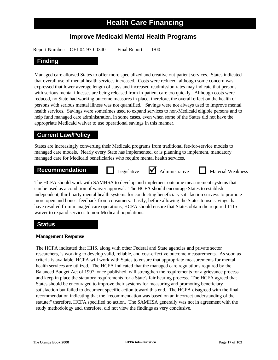### **Improve Medicaid Mental Health Programs**

Report Number: OEI-04-97-00340 Final Report: 1/00

### **Finding**

Managed care allowed States to offer more specialized and creative out-patient services. States indicated that overall use of mental health services increased. Costs were reduced, although some concern was expressed that lower average length of stays and increased readmission rates may indicate that persons with serious mental illnesses are being released from in-patient care too quickly. Although costs were reduced, no State had working outcome measures in place; therefore, the overall effect on the health of persons with serious mental illness was not quantified. Savings were not always used to improve mental health services. Savings were sometimes used to expand services to non-Medicaid eligible persons and to help fund managed care administration, in some cases, even when some of the States did not have the appropriate Medicaid waiver to use operational savings in this manner.

### **Current Law/Policy**

States are increasingly converting their Medicaid programs from traditional fee-for-service models to managed care models. Nearly every State has implemented, or is planning to implement, mandatory managed care for Medicaid beneficiaries who require mental health services.

### **Recommendation Legislative** <br> **Administrative Material Weakness**

The HCFA should work with SAMHSA to develop and implement outcome measurement systems that can be used as a condition of waiver approval. The HCFA should encourage States to establish independent, third-party mental health systems for conducting beneficiary satisfaction surveys to promote more open and honest feedback from consumers. Lastly, before allowing the States to use savings that have resulted from managed care operations, HCFA should ensure that States obtain the required 1115 waiver to expand services to non-Medicaid populations.

### **Status**

#### **Management Response**

The HCFA indicated that HHS, along with other Federal and State agencies and private sector researchers, is working to develop valid, reliable, and cost-effective outcome measurements. As soon as criteria is available, HCFA will work with States to ensure that appropriate measurements for mental health services are utilized. The HCFA indicated that the managed care regulations required by the Balanced Budget Act of 1997, once published, will strengthen the requirements for a grievance process and keep in place the statutory requirements for a State's fair hearing process. The HCFA agreed that States should be encouraged to improve their systems for measuring and promoting beneficiary satisfaction but failed to document specific action toward this end. The HCFA disagreed with the final recommendation indicating that the "recommendation was based on an incorrect understanding of the statute;" therefore, HCFA specified no action. The SAMHSA generally was not in agreement with the study methodology and, therefore, did not view the findings as very conclusive.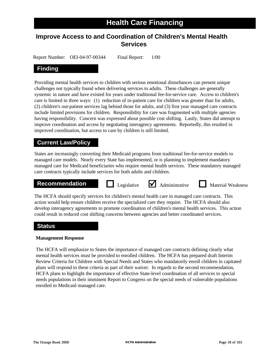### **Improve Access to and Coordination of Children's Mental Health Services**

Report Number: OEI-04-97-00344 Final Report: 1/00

### **Finding**

Providing mental health services to children with serious emotional disturbances can present unique challenges not typically found when delivering services to adults. These challenges are generally systemic in nature and have existed for years under traditional fee-for-service care. Access to children's care is limited in three ways: (1) reduction of in-patient care for children was greater than for adults, (2) children's out-patient services lag behind those for adults, and (3) first year managed care contracts include limited provisions for children. Responsibility for care was fragmented with multiple agencies having responsibility. Concern was expressed about possible cost shifting. Lastly, States did attempt to improve coordination and access by negotiating interagency agreements. Reportedly, this resulted in improved coordination, but access to care by children is still limited.

### **Current Law/Policy**

States are increasingly converting their Medicaid programs from traditional fee-for-service models to managed care models. Nearly every State has implemented, or is planning to implement mandatory managed care for Medicaid beneficiaries who require mental health services. These mandatory managed care contracts typically include services for both adults and children.

### **Recommendation Legislative**  Administrative **Integral Material Weakness**



The HCFA should specify services for children's mental health care in managed care contracts. This action would help ensure children receive the specialized care they require. The HCFA should also develop interagency agreements to promote coordination of children's mental health services. This action could result in reduced cost shifting concerns between agencies and better coordinated services.

### **Status**

#### **Management Response**

The HCFA will emphasize to States the importance of managed care contracts defining clearly what mental health services must be provided to enrolled children. The HCFA has prepared draft Interim Review Criteria for Children with Special Needs and States who mandatorily enroll children in capitated plans will respond to these criteria as part of their waiver. In regards to the second recommendation, HCFA plans to highlight the importance of effective State-level coordination of all services to special needs populations in their imminent Report to Congress on the special needs of vulnerable populations enrolled in Medicaid managed care.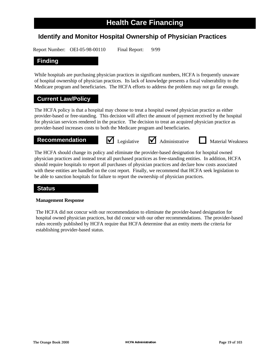### **Identify and Monitor Hospital Ownership of Physician Practices**

Report Number: OEI-05-98-00110 Final Report: 9/99

### **Finding**

While hospitals are purchasing physician practices in significant numbers, HCFA is frequently unaware of hospital ownership of physician practices. Its lack of knowledge presents a fiscal vulnerability to the Medicare program and beneficiaries. The HCFA efforts to address the problem may not go far enough.

### **Current Law/Policy**

The HCFA policy is that a hospital may choose to treat a hospital owned physician practice as either provider-based or free-standing. This decision will affect the amount of payment received by the hospital for physician services rendered in the practice. The decision to treat an acquired physician practice as provider-based increases costs to both the Medicare program and beneficiaries.

### **Recommendation**  $\bullet$  Legislative **Administrative Material Weakness**

The HCFA should change its policy and eliminate the provider-based designation for hospital owned physician practices and instead treat all purchased practices as free-standing entities. In addition, HCFA should require hospitals to report all purchases of physician practices and declare how costs associated with these entities are handled on the cost report. Finally, we recommend that HCFA seek legislation to be able to sanction hospitals for failure to report the ownership of physician practices.

### **Status**

#### **Management Response**

The HCFA did not concur with our recommendation to eliminate the provider-based designation for hospital owned physician practices, but did concur with our other recommendations. The provider-based rules recently published by HCFA require that HCFA determine that an entity meets the criteria for establishing provider-based status.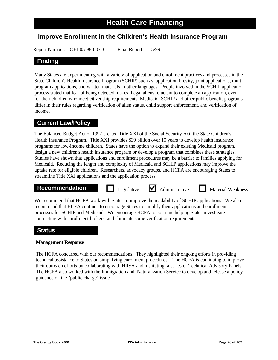### **Improve Enrollment in the Children's Health Insurance Program**

Report Number: OEI-05-98-00310 Final Report: 5/99

### **Finding**

Many States are experimenting with a variety of application and enrollment practices and processes in the State Children's Health Insurance Program (SCHIP) such as, application brevity, joint applications, multiprogram applications, and written materials in other languages. People involved in the SCHIP application process stated that fear of being detected makes illegal aliens reluctant to complete an application, even for their children who meet citizenship requirements; Medicaid, SCHIP and other public benefit programs differ in their rules regarding verification of alien status, child support enforcement, and verification of income.

### **Current Law/Policy**

The Balanced Budget Act of 1997 created Title XXI of the Social Security Act, the State Children's Health Insurance Program. Title XXI provides \$39 billion over 10 years to develop health insurance programs for low-income children. States have the option to expand their existing Medicaid program, design a new children's health insurance program or develop a program that combines these strategies. Studies have shown that applications and enrollment procedures may be a barrier to families applying for Medicaid. Reducing the length and complexity of Medicaid and SCHIP applications may improve the uptake rate for eligible children. Researchers, advocacy groups, and HCFA are encouraging States to streamline Title XXI applications and the application process.

### **Recommendation Legislative** <br>**Administrative Material Weakness**





We recommend that HCFA work with States to improve the readability of SCHIP applications. We also recommend that HCFA continue to encourage States to simplify their applications and enrollment processes for SCHIP and Medicaid. We encourage HCFA to continue helping States investigate contracting with enrollment brokers, and eliminate some verification requirements.

### **Status**

#### **Management Response**

The HCFA concurred with our recommendations. They highlighted their ongoing efforts in providing technical assistance to States on simplifying enrollment procedures. The HCFA is continuing to improve their outreach efforts by collaborating with HRSA and instituting a series of Technical Advisory Panels. The HCFA also worked with the Immigration and Naturalization Service to develop and release a policy guidance on the "public charge" issue.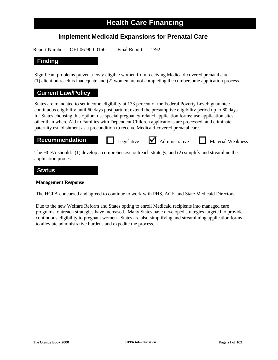### **Implement Medicaid Expansions for Prenatal Care**

Report Number: OEI-06-90-00160 Final Report: 2/92

### **Finding**

Significant problems prevent newly eligible women from receiving Medicaid-covered prenatal care: (1) client outreach is inadequate and (2) women are not completing the cumbersome application process.

### **Current Law/Policy**

States are mandated to set income eligibility at 133 percent of the Federal Poverty Level; guarantee continuous eligibility until 60 days post partum; extend the presumptive eligibility period up to 60 days for States choosing this option; use special pregnancy-related application forms; use application sites other than where Aid to Families with Dependent Children applications are processed; and eliminate paternity establishment as a precondition to receive Medicaid-covered prenatal care.

**Recommendation Legislative** <br> **Administrative Material Weakness** 

The HCFA should: (1) develop a comprehensive outreach strategy, and (2) simplify and streamline the application process.

#### **Status**

#### **Management Response**

The HCFA concurred and agreed to continue to work with PHS, ACF, and State Medicaid Directors.

Due to the new Welfare Reform and States opting to enroll Medicaid recipients into managed care programs, outreach strategies have increased. Many States have developed strategies targeted to provide continuous eligibility to pregnant women. States are also simplifying and streamlining application forms to alleviate administrative burdens and expedite the process.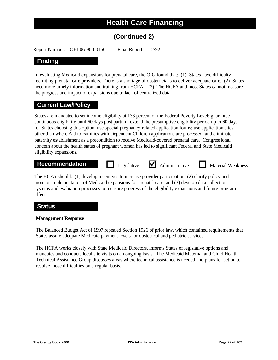### **(Continued 2)**

Report Number: OEI-06-90-00160 Final Report: 2/92

### **Finding**

In evaluating Medicaid expansions for prenatal care, the OIG found that: (1) States have difficulty recruiting prenatal care providers. There is a shortage of obstetricians to deliver adequate care. (2) States need more timely information and training from HCFA. (3) The HCFA and most States cannot measure the progress and impact of expansions due to lack of centralized data.

### **Current Law/Policy**

States are mandated to set income eligibility at 133 percent of the Federal Poverty Level; guarantee continuous eligibility until 60 days post partum; extend the presumptive eligibility period up to 60 days for States choosing this option; use special pregnancy-related application forms; use application sites other than where Aid to Families with Dependent Children applications are processed; and eliminate paternity establishment as a precondition to receive Medicaid-covered prenatal care. Congressional concern about the health status of pregnant women has led to significant Federal and State Medicaid eligibility expansions.

### **Recommendation Legislative** <br> **Administrative Material Weakness**

The HCFA should: (1) develop incentives to increase provider participation; (2) clarify policy and monitor implementation of Medicaid expansions for prenatal care; and (3) develop data collection systems and evaluation processes to measure progress of the eligibility expansions and future program effects.

### **Status**

#### **Management Response**

The Balanced Budget Act of 1997 repealed Section 1926 of prior law, which contained requirements that States assure adequate Medicaid payment levels for obstetrical and pediatric services.

The HCFA works closely with State Medicaid Directors, informs States of legislative options and mandates and conducts local site visits on an ongoing basis. The Medicaid Maternal and Child Health Technical Assistance Group discusses areas where technical assistance is needed and plans for action to resolve those difficulties on a regular basis.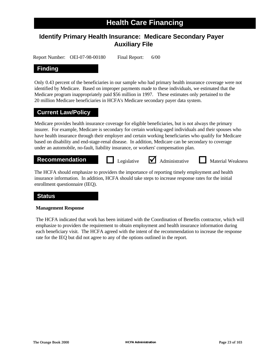### **Identify Primary Health Insurance: Medicare Secondary Payer Auxiliary File**

Report Number: OEI-07-98-00180 Final Report: 6/00

### **Finding**

Only 0.43 percent of the beneficiaries in our sample who had primary health insurance coverage were not identified by Medicare. Based on improper payments made to these individuals, we estimated that the Medicare program inappropriately paid \$56 million in 1997. These estimates only pertained to the 20 million Medicare beneficiaries in HCFA's Medicare secondary payer data system.

### **Current Law/Policy**

Medicare provides health insurance coverage for eligible beneficiaries, but is not always the primary insurer. For example, Medicare is secondary for certain working-aged individuals and their spouses who have health insurance through their employer and certain working beneficiaries who qualify for Medicare based on disability and end-stage-renal disease. In addition, Medicare can be secondary to coverage under an automobile, no-fault, liability insurance, or workers' compensation plan.

### **Recommendation D** Legislative **M** Administrative **D** Material Weakness

Legislative  $\blacksquare$  Administrative

The HCFA should emphasize to providers the importance of reporting timely employment and health insurance information. In addition, HCFA should take steps to increase response rates for the initial enrollment questionnaire (IEQ).

### **Status**

#### **Management Response**

The HCFA indicated that work has been initiated with the Coordination of Benefits contractor, which will emphasize to providers the requirement to obtain employment and health insurance information during each beneficiary visit. The HCFA agreed with the intent of the recommendation to increase the response rate for the IEQ but did not agree to any of the options outlined in the report.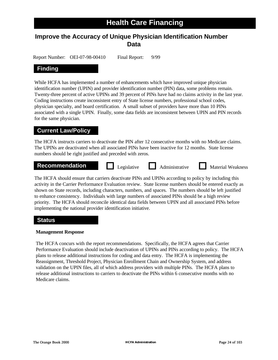### **Improve the Accuracy of Unique Physician Identification Number Data**

Report Number: OEI-07-98-00410 Final Report: 9/99

### **Finding**

While HCFA has implemented a number of enhancements which have improved unique physician identification number (UPIN) and provider identification number (PIN) data, some problems remain. Twenty-three percent of active UPINs and 39 percent of PINs have had no claims activity in the last year. Coding instructions create inconsistent entry of State license numbers, professional school codes, physician specialty, and board certification. A small subset of providers have more than 10 PINs associated with a single UPIN. Finally, some data fields are inconsistent between UPIN and PIN records for the same physician.

### **Current Law/Policy**

The HCFA instructs carriers to deactivate the PIN after 12 consecutive months with no Medicare claims. The UPINs are deactivated when all associated PINs have been inactive for 12 months. State license numbers should be right justified and preceded with zeros.

| <b>Recommendation</b><br>Legislative<br><b>Administrative</b><br><b>Material Weakness</b> |  |
|-------------------------------------------------------------------------------------------|--|
|-------------------------------------------------------------------------------------------|--|

The HCFA should ensure that carriers deactivate PINs and UPINs according to policy by including this activity in the Carrier Performance Evaluation review. State license numbers should be entered exactly as shown on State records, including characters, numbers, and spaces. The numbers should be left justified to enhance consistency. Individuals with large numbers of associated PINs should be a high review priority. The HCFA should reconcile identical data fields between UPIN and all associated PINs before implementing the national provider identification initiative.

### **Status**

#### **Management Response**

The HCFA concurs with the report recommendations. Specifically, the HCFA agrees that Carrier Performance Evaluation should include deactivation of UPINs and PINs according to policy. The HCFA plans to release additional instructions for coding and data entry. The HCFA is implementing the Reassignment, Threshold Project, Physician Enrollment Chain and Ownership System, and address validation on the UPIN files, all of which address providers with multiple PINs. The HCFA plans to release additional instructions to carriers to deactivate the PINs within 6 consecutive months with no Medicare claims.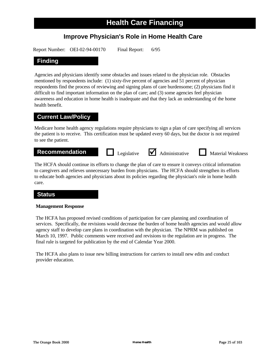### **Improve Physician's Role in Home Health Care**

Report Number: OEI-02-94-00170 Final Report: 6/95

### **Finding**

Agencies and physicians identify some obstacles and issues related to the physician role. Obstacles mentioned by respondents include: (1) sixty-five percent of agencies and 51 percent of physician respondents find the process of reviewing and signing plans of care burdensome; (2) physicians find it difficult to find important information on the plan of care; and (3) some agencies feel physician awareness and education in home health is inadequate and that they lack an understanding of the home health benefit.

### **Current Law/Policy**

Medicare home health agency regulations require physicians to sign a plan of care specifying all services the patient is to receive. This certification must be updated every 60 days, but the doctor is not required to see the patient.

### **Recommendation Legislative** <br> **Administrative Material Weakness**

The HCFA should continue its efforts to change the plan of care to ensure it conveys critical information to caregivers and relieves unnecessary burden from physicians. The HCFA should strengthen its efforts to educate both agencies and physicians about its policies regarding the physician's role in home health care.

### **Status**

#### **Management Response**

The HCFA has proposed revised conditions of participation for care planning and coordination of services. Specifically, the revisions would decrease the burden of home health agencies and would allow agency staff to develop care plans in coordination with the physician. The NPRM was published on March 10, 1997. Public comments were received and revisions to the regulation are in progress. The final rule is targeted for publication by the end of Calendar Year 2000.

The HCFA also plans to issue new billing instructions for carriers to install new edits and conduct provider education.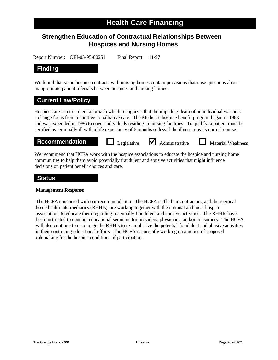# **Strengthen Education of Contractual Relationships Between Hospices and Nursing Homes**

Report Number: OEI-05-95-00251 Final Report: 11/97

# **Finding**

We found that some hospice contracts with nursing homes contain provisions that raise questions about inappropriate patient referrals between hospices and nursing homes.

#### **Current Law/Policy**

Hospice care is a treatment approach which recognizes that the impeding death of an individual warrants a change focus from a curative to palliative care. The Medicare hospice benefit program began in 1983 and was expended in 1986 to cover individuals residing in nursing facilities. To qualify, a patient must be certified as terminally ill with a life expectancy of 6 months or less if the illness runs its normal course.

**Recommendation Legislative** <br> **Administrative Material Weakness** 

We recommend that HCFA work with the hospice associations to educate the hospice and nursing home communities to help them avoid potentially fraudulent and abusive activities that might influence decisions on patient benefit choices and care.

#### **Status**

#### **Management Response**

The HCFA concurred with our recommendation. The HCFA staff, their contractors, and the regional home health intermediaries (RHHIs), are working together with the national and local hospice associations to educate them regarding potentially fraudulent and abusive activities. The RHHIs have been instructed to conduct educational seminars for providers, physicians, and/or consumers. The HCFA will also continue to encourage the RHHIs to re-emphasize the potential fraudulent and abusive activities in their continuing educational efforts. The HCFA is currently working on a notice of proposed rulemaking for the hospice conditions of participation.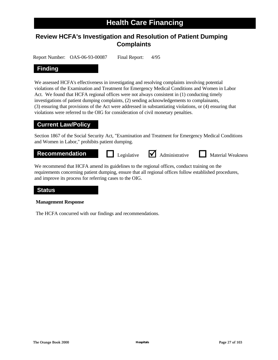# **Review HCFA's Investigation and Resolution of Patient Dumping Complaints**

Report Number: OAS-06-93-00087 Final Report: 4/95

# **Finding**

We assessed HCFA's effectiveness in investigating and resolving complaints involving potential violations of the Examination and Treatment for Emergency Medical Conditions and Women in Labor Act. We found that HCFA regional offices were not always consistent in (1) conducting timely investigations of patient dumping complaints, (2) sending acknowledgements to complainants, (3) ensuring that provisions of the Act were addressed in substantiating violations, or (4) ensuring that violations were referred to the OIG for consideration of civil monetary penalties.

### **Current Law/Policy**

Section 1867 of the Social Security Act, "Examination and Treatment for Emergency Medical Conditions and Women in Labor," prohibits patient dumping.

**Recommendation Legislative** <br> **Administrative Material Weakness** 

We recommend that HCFA amend its guidelines to the regional offices, conduct training on the requirements concerning patient dumping, ensure that all regional offices follow established procedures, and improve its process for referring cases to the OIG.

### **Status**

#### **Management Response**

The HCFA concurred with our findings and recommendations.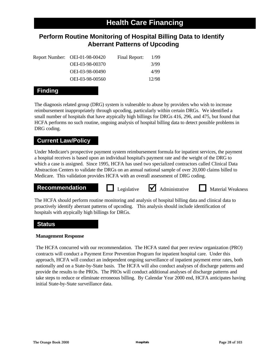# **Perform Routine Monitoring of Hospital Billing Data to Identify Aberrant Patterns of Upcoding**

| Report Number: OEI-01-98-00420 | Final Report: | 1/99  |
|--------------------------------|---------------|-------|
| OEI-03-98-00370                |               | 3/99  |
| OEI-03-98-00490                |               | 4/99  |
| OEI-03-98-00560                |               | 12/98 |

# **Finding**

The diagnosis related group (DRG) system is vulnerable to abuse by providers who wish to increase reimbursement inappropriately through upcoding, particularly within certain DRGs. We identified a small number of hospitals that have atypically high billings for DRGs 416, 296, and 475, but found that HCFA performs no such routine, ongoing analysis of hospital billing data to detect possible problems in DRG coding.

# **Current Law/Policy**

Under Medicare's prospective payment system reimbursement formula for inpatient services, the payment a hospital receives is based upon an individual hospital's payment rate and the weight of the DRG to which a case is assigned. Since 1995, HCFA has used two specialized contractors called Clinical Data Abstraction Centers to validate the DRGs on an annual national sample of over 20,000 claims billed to Medicare. This validation provides HCFA with an overall assessment of DRG coding.



The HCFA should perform routine monitoring and analysis of hospital billing data and clinical data to proactively identify aberrant patterns of upcoding. This analysis should include identification of hospitals with atypically high billings for DRGs.

# **Status**

### **Management Response**

The HCFA concurred with our recommendation. The HCFA stated that peer review organization (PRO) contracts will conduct a Payment Error Prevention Program for inpatient hospital care. Under this approach, HCFA will conduct an independent ongoing surveillance of inpatient payment error rates, both nationally and on a State-by-State basis. The HCFA will also conduct analyses of discharge patterns and provide the results to the PROs. The PROs will conduct additional analyses of discharge patterns and take steps to reduce or eliminate erroneous billing. By Calendar Year 2000 end, HCFA anticipates having initial State-by-State surveillance data.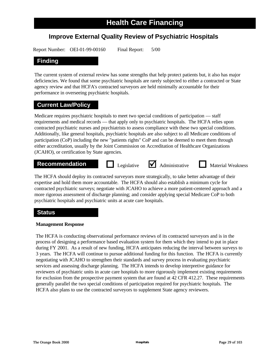# **Improve External Quality Review of Psychiatric Hospitals**

Report Number: OEI-01-99-00160 Final Report: 5/00

# **Finding**

The current system of external review has some strengths that help protect patients but, it also has major deficiencies. We found that some psychiatric hospitals are rarely subjected to either a contracted or State agency review and that HCFA's contracted surveyors are held minimally accountable for their performance in overseeing psychiatric hospitals.

# **Current Law/Policy**

Medicare requires psychiatric hospitals to meet two special conditions of participation — staff requirements and medical records — that apply only to psychiatric hospitals. The HCFA relies upon contracted psychiatric nurses and psychiatrists to assess compliance with these two special conditions. Additionally, like general hospitals, psychiatric hospitals are also subject to all Medicare conditions of participation (CoP) including the new "patients rights" CoP and can be deemed to meet them through either accreditation, usually by the Joint Commission on Accreditation of Healthcare Organizations (JCAHO), or certification by State agencies.

# **Recommendation Legislative** <br>**Administrative Material Weakness**

Legislative  $\blacksquare$  Administrative

The HCFA should deploy its contracted surveyors more strategically, to take better advantage of their expertise and hold them more accountable. The HCFA should also establish a minimum cycle for contracted psychiatric surveys; negotiate with JCAHO to achieve a more patient-centered approach and a more rigorous assessment of discharge planning; and consider applying special Medicare CoP to both psychiatric hospitals and psychiatric units at acute care hospitals.

# **Status**

#### **Management Response**

The HCFA is conducting observational performance reviews of its contracted surveyors and is in the process of designing a performance based evaluation system for them which they intend to put in place during FY 2001. As a result of new funding, HCFA anticipates reducing the interval between surveys to 3 years. The HCFA will continue to pursue additional funding for this function. The HCFA is currently negotiating with JCAHO to strengthen their standards and survey process in evaluating psychiatric services and assessing discharge planning. The HCFA intends to develop interpretive guidance for reviewers of psychiatric units in acute care hospitals to more rigorously implement existing requirements for exclusion from the prospective payment system that are found at 42 CFR 412.27. These requirements generally parallel the two special conditions of participation required for psychiatric hospitals. The HCFA also plans to use the contracted surveyors to supplement State agency reviewers.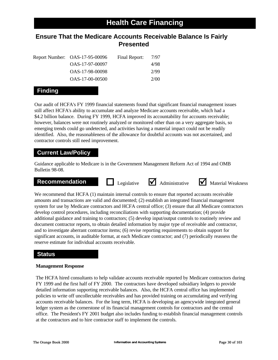# **Ensure That the Medicare Accounts Receivable Balance Is Fairly Presented**

|  | Report Number: OAS-17-95-00096 | Final Report: | 7/97 |
|--|--------------------------------|---------------|------|
|  | OAS-17-97-00097                |               | 4/98 |
|  | OAS-17-98-00098                |               | 2/99 |
|  | OAS-17-00-00500                |               | 2/00 |

# **Finding**

Our audit of HCFA's FY 1999 financial statements found that significant financial management issues still affect HCFA's ability to accumulate and analyze Medicare accounts receivable, which had a \$4.2 billion balance. During FY 1999, HCFA improved its accountability for accounts receivable; however, balances were not routinely analyzed or monitored other than on a very aggregate basis, so emerging trends could go undetected, and activities having a material impact could not be readily identified. Also, the reasonableness of the allowance for doubtful accounts was not ascertained, and contractor controls still need improvement.

# **Current Law/Policy**

Guidance applicable to Medicare is in the Government Management Reform Act of 1994 and OMB Bulletin 98-08.

# **Recommendation Legislative M** Administrative **M** Material Weakness







We recommend that HCFA (1) maintain internal controls to ensure that reported accounts receivable amounts and transactions are valid and documented; (2) establish an integrated financial management system for use by Medicare contractors and HCFA central office; (3) ensure that all Medicare contractors develop control procedures, including reconciliations with supporting documentation; (4) provide additional guidance and training to contractors; (5) develop input/output controls to routinely review and document contractor reports, to obtain detailed information by major type of receivable and contractor, and to investigate aberrant contractor items; (6) revise reporting requirements to obtain support for significant accounts, in auditable format, at each Medicare contractor; and (7) periodically reassess the reserve estimate for individual accounts receivable.

# **Status**

#### **Management Response**

The HCFA hired consultants to help validate accounts receivable reported by Medicare contractors during FY 1999 and the first half of FY 2000. The contractors have developed subsidiary ledgers to provide detailed information supporting receivable balances. Also, the HCFA central office has implemented policies to write off uncollectable receivables and has provided training on accumulating and verifying accounts receivable balances. For the long term, HCFA is developing an agencywide integrated general ledger system as the cornerstone of its financial management controls for contractors and the central office. The President's FY 2001 budget also includes funding to establish financial management controls at the contractors and to hire contractor staff to implement the controls.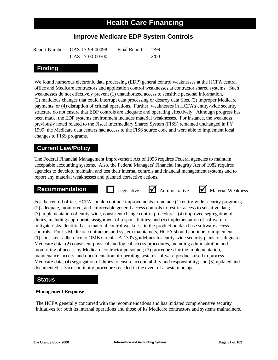# **Improve Medicare EDP System Controls**

| Report Number: OAS-17-98-00098 | Final Report: | 2/99 |
|--------------------------------|---------------|------|
| OAS-17-00-00500                |               | 2/00 |

# **Finding**

We found numerous electronic data processing (EDP) general control weaknesses at the HCFA central office and Medicare contractors and application control weaknesses at contractor shared systems. Such weaknesses do not effectively prevent (1) unauthorized access to sensitive personal information, (2) malicious changes that could interrupt data processing or destroy data files, (3) improper Medicare payments, or (4) disruption of critical operations. Further, weaknesses in HCFA's entity-wide security structure do not ensure that EDP controls are adequate and operating effectively. Although progress has been made, the EDP systems environment includes material weaknesses. For instance, the weakness previously noted related to the Fiscal Intermediary Shared System (FISS) remained unchanged in FY 1999; the Medicare data centers had access to the FISS source code and were able to implement local changes to FISS programs.

# **Current Law/Policy**

The Federal Financial Management Improvement Act of 1996 requires Federal agencies to maintain acceptable accounting systems. Also, the Federal Managers' Financial Integrity Act of 1982 requires agencies to develop, maintain, and test their internal controls and financial management systems and to report any material weaknesses and planned corrective actions.





**Recommendation Legislative** <br> **Administrative** <br>
Material Weakness

For the central office, HCFA should continue improvements to include (1) entity-wide security programs; (2) adequate, monitored, and enforceable general access controls to restrict access to sensitive data; (3) implementation of entity-wide, consistent change control procedures; (4) improved segregation of duties, including appropriate assignment of responsibilities; and (5) implementation of software to mitigate risks identified as a material control weakness in the production data base software access controls. For its Medicare contractors and system maintainers, HCFA should continue to implement (1) consistent adherence to OMB Circular A-130's guidelines for entity-wide security plans to safeguard Medicare data; (2) consistent physical and logical access procedures, including administration and monitoring of access by Medicare contractor personnel; (3) procedures for the implementation, maintenance, access, and documentation of operating systems software products used to process Medicare data; (4) segregation of duties to ensure accountability and responsibility; and (5) updated and documented service continuity procedures needed in the event of a system outage.

### **Status**

#### **Management Response**

The HCFA generally concurred with the recommendations and has initiated comprehensive security initiatives for both its internal operations and those of its Medicare contractors and systems maintainers.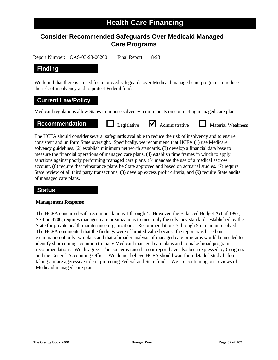# **Consider Recommended Safeguards Over Medicaid Managed Care Programs**

Report Number: OAS-03-93-00200 Final Report: 8/93

# **Finding**

We found that there is a need for improved safeguards over Medicaid managed care programs to reduce the risk of insolvency and to protect Federal funds.

#### **Current Law/Policy**

Medicaid regulations allow States to impose solvency requirements on contracting managed care plans.

# **Recommendation Legislative** <br> **Administrative Material Weakness**

The HCFA should consider several safeguards available to reduce the risk of insolvency and to ensure consistent and uniform State oversight. Specifically, we recommend that HCFA (1) use Medicare solvency guidelines, (2) establish minimum net worth standards, (3) develop a financial data base to measure the financial operations of managed care plans, (4) establish time frames in which to apply sanctions against poorly performing managed care plans, (5) mandate the use of a medical escrow account, (6) require that reinsurance plans be State approved and based on actuarial studies, (7) require State review of all third party transactions, (8) develop excess profit criteria, and (9) require State audits of managed care plans.

### **Status**

#### **Management Response**

The HCFA concurred with recommendations 1 through 4. However, the Balanced Budget Act of 1997, Section 4706, requires managed care organizations to meet only the solvency standards established by the State for private health maintenance organizations. Recommendations 5 through 9 remain unresolved. The HCFA commented that the findings were of limited value because the report was based on examination of only two plans and that a broader analysis of managed care programs would be needed to identify shortcomings common to many Medicaid managed care plans and to make broad program recommendations. We disagree. The concerns raised in our report have also been expressed by Congress and the General Accounting Office. We do not believe HCFA should wait for a detailed study before taking a more aggressive role in protecting Federal and State funds. We are continuing our reviews of Medicaid managed care plans.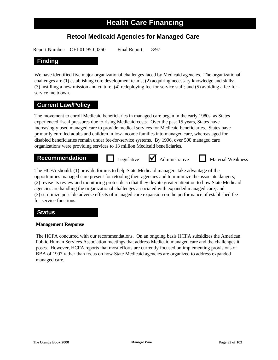# **Retool Medicaid Agencies for Managed Care**

Report Number: OEI-01-95-00260 Final Report: 8/97

# **Finding**

We have identified five major organizational challenges faced by Medicaid agencies. The organizational challenges are (1) establishing core development teams; (2) acquiring necessary knowledge and skills; (3) instilling a new mission and culture; (4) redeploying fee-for-service staff; and (5) avoiding a fee-forservice meltdown.

# **Current Law/Policy**

The movement to enroll Medicaid beneficiaries in managed care began in the early 1980s, as States experienced fiscal pressures due to rising Medicaid costs. Over the past 15 years, States have increasingly used managed care to provide medical services for Medicaid beneficiaries. States have primarily enrolled adults and children in low-income families into managed care, whereas aged for disabled beneficiaries remain under fee-for-service systems. By 1996, over 500 managed care organizations were providing services to 13 million Medicaid beneficiaries.



The HCFA should: (1) provide forums to help State Medicaid managers take advantage of the opportunities managed care present for retooling their agencies and to minimize the associate dangers; (2) revise its review and monitoring protocols so that they devote greater attention to how State Medicaid agencies are handling the organizational challenges associated with expanded managed care; and (3) scrutinize possible adverse effects of managed care expansion on the performance of established feefor-service functions.

### **Status**

#### **Management Response**

The HCFA concurred with our recommendations. On an ongoing basis HCFA subsidizes the American Public Human Services Association meetings that address Medicaid managed care and the challenges it poses. However, HCFA reports that most efforts are currently focused on implementing provisions of BBA of 1997 rather than focus on how State Medicaid agencies are organized to address expanded managed care.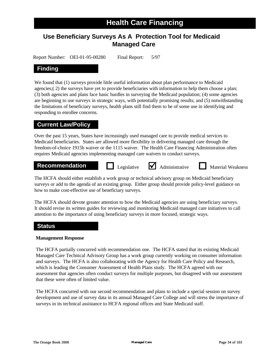# **Use Beneficiary Surveys As A Protection Tool for Medicaid Managed Care**

Report Number: OEI-01-95-00280 Final Report: 5/97

# **Finding**

We found that (1) surveys provide little useful information about plan performance to Medicaid agencies;( 2) the surveys have yet to provide beneficiaries with information to help them choose a plan; (3) both agencies and plans face basic hurdles in surveying the Medicaid population; (4) some agencies are beginning to use surveys in strategic ways, with potentially promising results; and (5) notwithstanding the limitations of beneficiary surveys, health plans still find them to be of some use in identifying and responding to enrollee concerns.

### **Current Law/Policy**

Over the past 15 years, States have increasingly used managed care to provide medical services to Medicaid beneficiaries. States are allowed more flexibility in delivering managed care through the freedom-of-choice 1915b waiver or the 1115 waiver. The Health Care Financing Administration often requires Medicaid agencies implementing managed care waivers to conduct surveys.

#### **Recommendation D** Legislative **M** Administrative **D** Material Weakness

Legislative  $\blacksquare$  Administrative

The HCFA should either establish a work group or technical advisory group on Medicaid beneficiary surveys or add to the agenda of an existing group. Either group should provide policy-level guidance on how to make cost-effective use of beneficiary surveys.

The HCFA should devote greater attention to how the Medicaid agencies are using beneficiary surveys. It should revise its written guides for reviewing and monitoring Medicaid managed care initiatives to call attention to the importance of using beneficiary surveys in more focused, strategic ways.

### **Status**

#### **Management Response**

The HCFA partially concurred with recommendation one. The HCFA stated that its existing Medicaid Managed Care Technical Advisory Group has a work group currently working on consumer information and surveys. The HCFA is also collaborating with the Agency for Health Care Policy and Research, which is leading the Consumer Assessment of Health Plans study. The HCFA agreed with our assessment that agencies often conduct surveys for multiple purposes, but disagreed with our assessment that these were often of limited value.

The HCFA concurred with our second recommendation and plans to include a special session on survey development and use of survey data in its annual Managed Care College and will stress the importance of surveys in its technical assistance to HCFA regional offices and State Medicaid staff.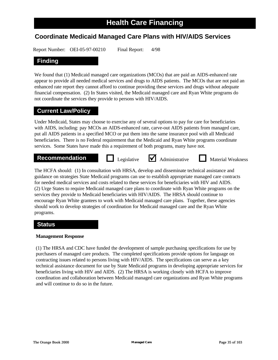# **Coordinate Medicaid Managed Care Plans with HIV/AIDS Services**

Report Number: OEI-05-97-00210 Final Report: 4/98

# **Finding**

We found that (1) Medicaid managed care organizations (MCOs) that are paid an AIDS-enhanced rate appear to provide all needed medical services and drugs to AIDS patients. The MCOs that are not paid an enhanced rate report they cannot afford to continue providing these services and drugs without adequate financial compensation. (2) In States visited, the Medicaid managed care and Ryan White programs do not coordinate the services they provide to persons with HIV/AIDS.

# **Current Law/Policy**

Under Medicaid, States may choose to exercise any of several options to pay for care for beneficiaries with AIDS, including: pay MCOs an AIDS-enhanced rate, carve-out AIDS patients from managed care, put all AIDS patients in a specified MCO or put them into the same insurance pool with all Medicaid beneficiaries. There is no Federal requirement that the Medicaid and Ryan White programs coordinate services. Some States have made this a requirement of both programs, many have not.

# **Recommendation D** Legislative **M** Administrative **D** Material Weakness

Legislative  $\blacksquare$  Administrative

The HCFA should: (1) In consultation with HRSA, develop and disseminate technical assistance and guidance on strategies State Medicaid programs can use to establish appropriate managed care contracts for needed medical services and costs related to these services for beneficiaries with HIV and AIDS. (2) Urge States to require Medicaid managed care plans to coordinate with Ryan White programs on the services they provide to Medicaid beneficiaries with HIV/AIDS. The HRSA should continue to encourage Ryan White grantees to work with Medicaid managed care plans. Together, these agencies should work to develop strategies of coordination for Medicaid managed care and the Ryan White programs.

# **Status**

#### **Management Response**

(1) The HRSA and CDC have funded the development of sample purchasing specifications for use by purchasers of managed care products. The completed specifications provide options for language on contracting issues related to persons living with HIV/AIDS. The specifications can serve as a key technical assistance document for use by State Medicaid programs in developing appropriate services for beneficiaries living with HIV and AIDS. (2) The HRSA is working closely with HCFA to improve coordination and collaboration between Medicaid managed care organizations and Ryan White programs and will continue to do so in the future.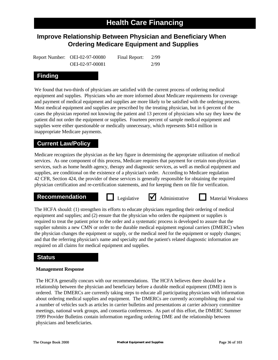# **Improve Relationship Between Physician and Beneficiary When Ordering Medicare Equipment and Supplies**

Report Number: OEI-02-97-00080 Final Report: 2/99 OEI-02-97-00081 2/99

# **Finding**

We found that two-thirds of physicians are satisfied with the current process of ordering medical equipment and supplies. Physicians who are more informed about Medicare requirements for coverage and payment of medical equipment and supplies are more likely to be satisfied with the ordering process. Most medical equipment and supplies are prescribed by the treating physician, but in 6 percent of the cases the physician reported not knowing the patient and 13 percent of physicians who say they knew the patient did not order the equipment or supplies. Fourteen percent of sample medical equipment and supplies were either questionable or medically unnecessary, which represents \$414 million in inappropriate Medicare payments.

# **Current Law/Policy**

Medicare recognizes the physician as the key figure in determining the appropriate utilization of medical services. As one component of this process, Medicare requires that payment for certain non-physician services, such as home health agency, therapy and diagnostic services, as well as medical equipment and supplies, are conditional on the existence of a physician's order. According to Medicare regulation 42 CFR, Section 424, the provider of these services is generally responsible for obtaining the required physician certification and re-certification statements, and for keeping them on file for verification.

### **Recommendation D** Legislative **M** Administrative **I** Material Weakness

Legislative  $\blacksquare$  Administrative

The HCFA should: (1) strengthen its efforts to educate physicians regarding their ordering of medical equipment and supplies; and (2) ensure that the physician who orders the equipment or supplies is required to treat the patient prior to the order and a systematic process is developed to assure that the supplier submits a new CMN or order to the durable medical equipment regional carriers (DMERC) when the physician changes the equipment or supply, or the medical need for the equipment or supply changes; and that the referring physician's name and specialty and the patient's related diagnostic information are required on all claims for medical equipment and supplies.

# **Status**

#### **Management Response**

The HCFA generally concurs with our recommendations. The HCFA believes there should be a relationship between the physician and beneficiary before a durable medical equipment (DME) item is ordered. The DMERCs are currently taking steps to educate all participating physicians with information about ordering medical supplies and equipment. The DMERCs are currently accomplishing this goal via a number of vehicles such as articles in carrier bulletins and presentations at carrier advisory committee meetings, national work groups, and consortia conferences. As part of this effort, the DMERC Summer 1999 Provider Bulletins contain information regarding ordering DME and the relationship between physicians and beneficiaries.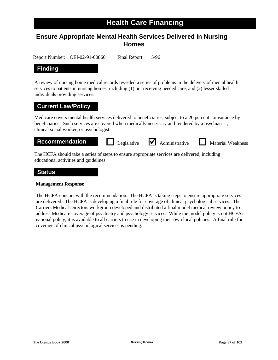# **Ensure Appropriate Mental Health Services Delivered in Nursing Homes**

Report Number: OEI-02-91-00860 Final Report: 5/96

# **Finding**

A review of nursing home medical records revealed a series of problems in the delivery of mental health services to patients in nursing homes, including (1) not receiving needed care; and (2) lesser skilled individuals providing services.

# **Current Law/Policy**

Medicare covers mental health services delivered to beneficiaries, subject to a 20 percent coinsurance by beneficiaries. Such services are covered when medically necessary and rendered by a psychiatrist, clinical social worker, or psychologist.



The HCFA should take a series of steps to ensure appropriate services are delivered, including educational activities and guidelines.

### **Status**

#### **Management Response**

The HCFA concurs with the recommendation. The HCFA is taking steps to ensure appropriate services are delivered. The HCFA is developing a final rule for coverage of clinical psychological services. The Carriers Medical Directors workgroup developed and distributed a final model medical review policy to address Medicare coverage of psychiatry and psychology services. While the model policy is not HCFA's national policy, it is available to all carriers to use in developing their own local policies. A final rule for coverage of clinical psychological services is pending.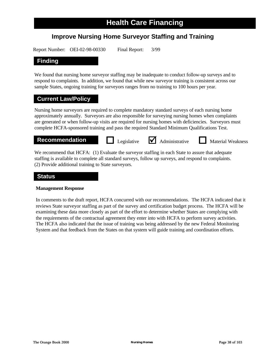# **Improve Nursing Home Surveyor Staffing and Training**

Report Number: OEI-02-98-00330 Final Report: 3/99

# **Finding**

We found that nursing home surveyor staffing may be inadequate to conduct follow-up surveys and to respond to complaints. In addition, we found that while new surveyor training is consistent across our sample States, ongoing training for surveyors ranges from no training to 100 hours per year.

# **Current Law/Policy**

Nursing home surveyors are required to complete mandatory standard surveys of each nursing home approximately annually. Surveyors are also responsible for surveying nursing homes when complaints are generated or when follow-up visits are required for nursing homes with deficiencies. Surveyors must complete HCFA-sponsored training and pass the required Standard Minimum Qualifications Test.

**Recommendation Legislative** <br> **Administrative Material Weakness** 

We recommend that HCFA: (1) Evaluate the surveyor staffing in each State to assure that adequate staffing is available to complete all standard surveys, follow up surveys, and respond to complaints. (2) Provide additional training to State surveyors.

# **Status**

#### **Management Response**

In comments to the draft report, HCFA concurred with our recommendations. The HCFA indicated that it reviews State surveyor staffing as part of the survey and certification budget process. The HCFA will be examining these data more closely as part of the effort to determine whether States are complying with the requirements of the contractual agreement they enter into with HCFA to perform survey activities. The HCFA also indicated that the issue of training was being addressed by the new Federal Monitoring System and that feedback from the States on that system will guide training and coordination efforts.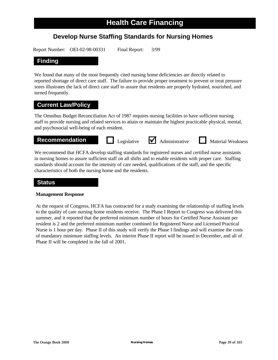# **Develop Nurse Staffing Standards for Nursing Homes**

Report Number: OEI-02-98-00331 Final Report: 3/99

# **Finding**

We found that many of the most frequently cited nursing home deficiencies are directly related to reported shortage of direct care staff. The failure to provide proper treatment to prevent or treat pressure sores illustrates the lack of direct care staff to assure that residents are properly hydrated, nourished, and turned frequently.

# **Current Law/Policy**

The Omnibus Budget Reconciliation Act of 1987 requires nursing facilities to have sufficient nursing staff to provide nursing and related services to attain or maintain the highest practicable physical, mental, and psychosocial well-being of each resident.

# **Recommendation Legislative** <br> **Administrative Material Weakness**

We recommend that HCFA develop staffing standards for registered nurses and certified nurse assistants in nursing homes to assure sufficient staff on all shifts and to enable residents with proper care. Staffing standards should account for the intensity of care needed, qualifications of the staff, and the specific characteristics of both the nursing home and the residents.

### **Status**

#### **Management Response**

At the request of Congress, HCFA has contracted for a study examining the relationship of staffing levels to the quality of care nursing home residents receive. The Phase I Report to Congress was delivered this summer, and it reported that the preferred minimum number of hours for Certified Nurse Assistant per resident is 2 and the preferred minimum number combined for Registered Nurse and Licensed Practical Nurse is 1 hour per day. Phase II of this study will verify the Phase I findings and will examine the costs of mandatory minimum staffing levels. An interim Phase II report will be issued in December, and all of Phase II will be completed in the fall of 2001.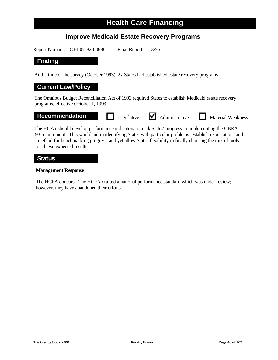# **Improve Medicaid Estate Recovery Programs**

Report Number: OEI-07-92-00880 Final Report: 3/95

### **Finding**

At the time of the survey (October 1993), 27 States had established estate recovery programs.

# **Current Law/Policy**

The Omnibus Budget Reconciliation Act of 1993 required States to establish Medicaid estate recovery programs, effective October 1, 1993.

# **Recommendation Legislative** <br> **Administrative Material Weakness**

The HCFA should develop performance indicators to track States' progress in implementing the OBRA '93 requirement. This would aid in identifying States with particular problems, establish expectations and a method for benchmarking progress, and yet allow States flexibility in finally choosing the mix of tools to achieve expected results.

#### **Status**

#### **Management Response**

The HCFA concurs. The HCFA drafted a national performance standard which was under review; however, they have abandoned their efforts.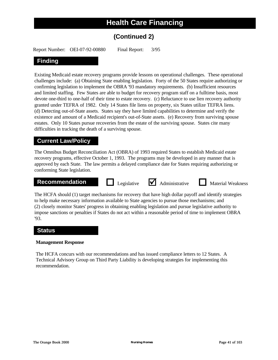# **(Continued 2)**

Report Number: OEI-07-92-00880 Final Report: 3/95

# **Finding**

Existing Medicaid estate recovery programs provide lessons on operational challenges. These operational challenges include: (a) Obtaining State enabling legislation. Forty of the 50 States require authorizing or confirming legislation to implement the OBRA '93 mandatory requirements. (b) Insufficient resources and limited staffing. Few States are able to budget for recovery program staff on a fulltime basis, most devote one-third to one-half of their time to estate recovery. (c) Reluctance to use lien recovery authority granted under TEFRA of 1982. Only 14 States file liens on property, six States utilize TEFRA liens. (d) Detecting out-of-State assets. States say they have limited capabilities to determine and verify the existence and amount of a Medicaid recipient's out-of-State assets. (e) Recovery from surviving spouse estates. Only 10 States pursue recoveries from the estate of the surviving spouse. States cite many difficulties in tracking the death of a surviving spouse.

### **Current Law/Policy**

The Omnibus Budget Reconciliation Act (OBRA) of 1993 required States to establish Medicaid estate recovery programs, effective October 1, 1993. The programs may be developed in any manner that is approved by each State. The law permits a delayed compliance date for States requiring authorizing or conforming State legislation.

# **Recommendation Legislative** <br> **Administrative Material Weakness**





The HCFA should (1) target mechanisms for recovery that have high dollar payoff and identify strategies to help make necessary information available to State agencies to pursue those mechanisms; and (2) closely monitor States' progress in obtaining enabling legislation and pursue legislative authority to impose sanctions or penalties if States do not act within a reasonable period of time to implement OBRA '93.

#### **Status**

#### **Management Response**

The HCFA concurs with our recommendations and has issued compliance letters to 12 States. A Technical Advisory Group on Third Party Liability is developing strategies for implementing this recommendation.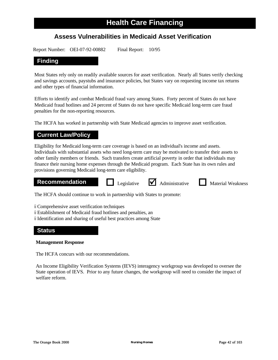# **Assess Vulnerabilities in Medicaid Asset Verification**

Report Number: OEI-07-92-00882 Final Report: 10/95

# **Finding**

Most States rely only on readily available sources for asset verification. Nearly all States verify checking and savings accounts, paystubs and insurance policies, but States vary on requesting income tax returns and other types of financial information.

Efforts to identify and combat Medicaid fraud vary among States. Forty percent of States do not have Medicaid fraud hotlines and 24 percent of States do not have specific Medicaid long-term care fraud penalties for the non-reporting resources.

The HCFA has worked in partnership with State Medicaid agencies to improve asset verification.

# **Current Law/Policy**

Eligibility for Medicaid long-term care coverage is based on an individual's income and assets. Individuals with substantial assets who need long-term care may be motivated to transfer their assets to other family members or friends. Such transfers create artificial poverty in order that individuals may finance their nursing home expenses through the Medicaid program. Each State has its own rules and provisions governing Medicaid long-term care eligibility.

#### **Recommendation Algebrarie <b>M** Administrative **I** Material Weakness

Legislative  $\blacksquare$  Administrative

The HCFA should continue to work in partnership with States to promote:

- �- Comprehensive asset verification techniques
- �- Establishment of Medicaid fraud hotlines and penalties, an
- �- Identification and sharing of useful best practices among State

### **Status**

#### **Management Response**

The HCFA concurs with our recommendations.

An Income Eligibility Verification Systems (IEVS) interagency workgroup was developed to oversee the State operation of IEVS. Prior to any future changes, the workgroup will need to consider the impact of welfare reform.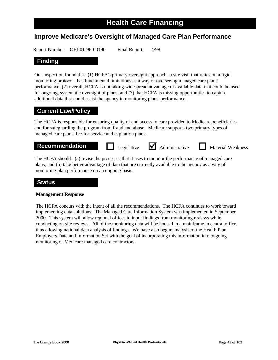# **Improve Medicare's Oversight of Managed Care Plan Performance**

Report Number: OEI-01-96-00190 Final Report: 4/98

# **Finding**

Our inspection found that (1) HCFA's primary oversight approach--a site visit that relies on a rigid monitoring protocol--has fundamental limitations as a way of overseeing managed care plans' performance; (2) overall, HCFA is not taking widespread advantage of available data that could be used for ongoing, systematic oversight of plans; and (3) that HCFA is missing opportunities to capture additional data that could assist the agency in monitoring plans' performance.

# **Current Law/Policy**

The HCFA is responsible for ensuring quality of and access to care provided to Medicare beneficiaries and for safeguarding the program from fraud and abuse. Medicare supports two primary types of managed care plans, fee-for-service and capitation plans.

**Recommendation D** Legislative **M** Administrative **D** Material Weakness

Legislative  $\bigvee$  Administrative

The HCFA should: (a) revise the processes that it uses to monitor the performance of managed care plans; and (b) take better advantage of data that are currently available to the agency as a way of monitoring plan performance on an ongoing basis.

### **Status**

#### **Management Response**

The HCFA concurs with the intent of all the recommendations. The HCFA continues to work toward implementing data solutions. The Managed Care Information System was implemented in September 2000. This system will allow regional offices to input findings from monitoring reviews while conducting on-site reviews. All of the monitoring data will be housed in a mainframe in central office, thus allowing national data analysis of findings. We have also begun analysis of the Health Plan Employers Data and Information Set with the goal of incorporating this information into ongoing monitoring of Medicare managed care contractors.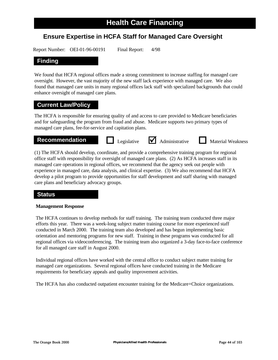# **Ensure Expertise in HCFA Staff for Managed Care Oversight**

Report Number: OEI-01-96-00191 Final Report: 4/98

# **Finding**

We found that HCFA regional offices made a strong commitment to increase staffing for managed care oversight. However, the vast majority of the new staff lack experience with managed care. We also found that managed care units in many regional offices lack staff with specialized backgrounds that could enhance oversight of managed care plans.

# **Current Law/Policy**

The HCFA is responsible for ensuring quality of and access to care provided to Medicare beneficiaries and for safeguarding the program from fraud and abuse. Medicare supports two primary types of managed care plans, fee-for-service and capitation plans.

# **Recommendation Legislative** <br> **Administrative Material Weakness**

(1) The HCFA should develop, coordinate, and provide a comprehensive training program for regional office staff with responsibility for oversight of managed care plans. (2) As HCFA increases staff in its managed care operations in regional offices, we recommend that the agency seek out people with experience in managed care, data analysis, and clinical expertise. (3) We also recommend that HCFA develop a pilot program to provide opportunities for staff development and staff sharing with managed care plans and beneficiary advocacy groups.

# **Status**

#### **Management Response**

The HCFA continues to develop methods for staff training. The training team conducted three major efforts this year. There was a week-long subject matter training course for more experienced staff conducted in March 2000. The training team also developed and has begun implementing basic orientation and mentoring programs for new staff. Training in these programs was conducted for all regional offices via videoconferencing. The training team also organized a 3-day face-to-face conference for all managed care staff in August 2000.

Individual regional offices have worked with the central office to conduct subject matter training for managed care organizations. Several regional offices have conducted training in the Medicare requirements for beneficiary appeals and quality improvement activities.

The HCFA has also conducted outpatient encounter training for the Medicare+Choice organizations.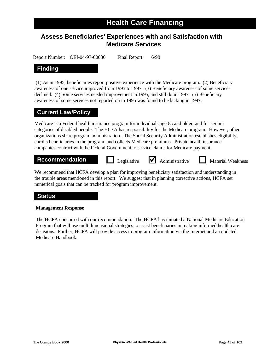# **Assess Beneficiaries' Experiences with and Satisfaction with Medicare Services**

Report Number: OEI-04-97-00030 Final Report: 6/98

# **Finding**

(1) As in 1995, beneficiaries report positive experience with the Medicare program. (2) Beneficiary awareness of one service improved from 1995 to 1997. (3) Beneficiary awareness of some services declined. (4) Some services needed improvement in 1995, and still do in 1997. (5) Beneficiary awareness of some services not reported on in 1995 was found to be lacking in 1997.

# **Current Law/Policy**

Medicare is a Federal health insurance program for individuals age 65 and older, and for certain categories of disabled people. The HCFA has responsibility for the Medicare program. However, other organizations share program administration. The Social Security Administration establishes eligibility, enrolls beneficiaries in the program, and collects Medicare premiums. Private health insurance companies contract with the Federal Government to service claims for Medicare payment.

# **Recommendation Legislative** <br> **Administrative Material Weakness**

We recommend that HCFA develop a plan for improving beneficiary satisfaction and understanding in the trouble areas mentioned in this report. We suggest that in planning corrective actions, HCFA set numerical goals that can be tracked for program improvement.

# **Status**

#### **Management Response**

The HCFA concurred with our recommendation. The HCFA has initiated a National Medicare Education Program that will use multidimensional strategies to assist beneficiaries in making informed health care decisions. Further, HCFA will provide access to program information via the Internet and an updated Medicare Handbook.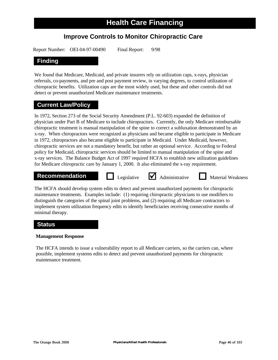# **Improve Controls to Monitor Chiropractic Care**

Report Number: OEI-04-97-00490 Final Report: 9/98

# **Finding**

We found that Medicare, Medicaid, and private insurers rely on utilization caps, x-rays, physician referrals, co-payments, and pre and post payment review, in varying degrees, to control utilization of chiropractic benefits. Utilization caps are the most widely used, but these and other controls did not detect or prevent unauthorized Medicare maintenance treatments.

# **Current Law/Policy**

In 1972, Section 273 of the Social Security Amendment (P.L. 92-603) expanded the definition of physician under Part B of Medicare to include chiropractors. Currently, the only Medicare reimbursable chiropractic treatment is manual manipulation of the spine to correct a subluxation demonstrated by an x-ray. When chiropractors were recognized as physicians and became eligible to participate in Medicare in 1972, chiropractors also became eligible to participate in Medicaid. Under Medicaid, however, chiropractic services are not a mandatory benefit, but rather an optional service. According to Federal policy for Medicaid, chiropractic services should be limited to manual manipulation of the spine and x-ray services. The Balance Budget Act of 1997 required HCFA to establish new utilization guidelines for Medicare chiropractic care by January 1, 2000. It also eliminated the x-ray requirement.

# **Recommendation Legislative** <br> **Administrative Material Weakness**

The HCFA should develop system edits to detect and prevent unauthorized payments for chiropractic maintenance treatments. Examples include: (1) requiring chiropractic physicians to use modifiers to distinguish the categories of the spinal joint problems, and (2) requiring all Medicare contractors to implement system utilization frequency edits to identify beneficiaries receiving consecutive months of minimal therapy.

# **Status**

#### **Management Response**

The HCFA intends to issue a vulnerability report to all Medicare carriers, so the carriers can, where possible, implement systems edits to detect and prevent unauthorized payments for chiropractic maintenance treatment.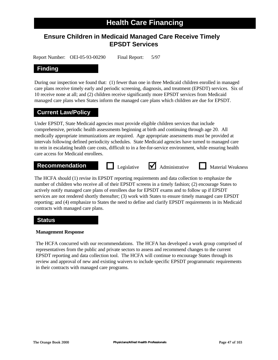# **Ensure Children in Medicaid Managed Care Receive Timely EPSDT Services**

Report Number: OEI-05-93-00290 Final Report: 5/97

# **Finding**

During our inspection we found that: (1) fewer than one in three Medicaid children enrolled in managed care plans receive timely early and periodic screening, diagnosis, and treatment (EPSDT) services. Six of 10 receive none at all; and (2) children receive significantly more EPSDT services from Medicaid managed care plans when States inform the managed care plans which children are due for EPSDT.

# **Current Law/Policy**

Under EPSDT, State Medicaid agencies must provide eligible children services that include comprehensive, periodic health assessments beginning at birth and continuing through age 20. All medically appropriate immunizations are required. Age appropriate assessments must be provided at intervals following defined periodicity schedules. State Medicaid agencies have turned to managed care to rein in escalating health care costs, difficult to in a fee-for-service environment, while ensuring health care access for Medicaid enrollees.

# **Recommendation Legislative** <br> **Administrative Material Weakness**

The HCFA should (1) revise its EPSDT reporting requirements and data collection to emphasize the number of children who receive all of their EPSDT screens in a timely fashion; (2) encourage States to actively notify managed care plans of enrollees due for EPSDT exams and to follow up if EPSDT services are not rendered shortly thereafter; (3) work with States to ensure timely managed care EPSDT reporting; and (4) emphasize to States the need to define and clarify EPSDT requirements in its Medicaid contracts with managed care plans.

# **Status**

#### **Management Response**

The HCFA concurred with our recommendations. The HCFA has developed a work group comprised of representatives from the public and private sectors to assess and recommend changes to the current EPSDT reporting and data collection tool. The HCFA will continue to encourage States through its review and approval of new and existing waivers to include specific EPSDT programmatic requirements in their contracts with managed care programs.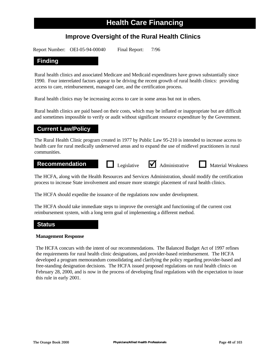# **Improve Oversight of the Rural Health Clinics**

Report Number: OEI-05-94-00040 Final Report: 7/96

### **Finding**

Rural health clinics and associated Medicare and Medicaid expenditures have grown substantially since 1990. Four interrelated factors appear to be driving the recent growth of rural health clinics: providing access to care, reimbursement, managed care, and the certification process.

Rural health clinics may be increasing access to care in some areas but not in others.

Rural health clinics are paid based on their costs, which may be inflated or inappropriate but are difficult and sometimes impossible to verify or audit without significant resource expenditure by the Government.

# **Current Law/Policy**

The Rural Health Clinic program created in 1977 by Public Law 95-210 is intended to increase access to health care for rural medically underserved areas and to expand the use of midlevel practitioners in rural communities.

# **Recommendation Legislative** <br> **Administrative Material Weakness**

The HCFA, along with the Health Resources and Services Administration, should modify the certification process to increase State involvement and ensure more strategic placement of rural health clinics.

The HCFA should expedite the issuance of the regulations now under development.

The HCFA should take immediate steps to improve the oversight and functioning of the current cost reimbursement system, with a long term goal of implementing a different method.

### **Status**

#### **Management Response**

The HCFA concurs with the intent of our recommendations. The Balanced Budget Act of 1997 refines the requirements for rural health clinic designations, and provider-based reimbursement. The HCFA developed a program memorandum consolidating and clarifying the policy regarding provider-based and free-standing designation decisions. The HCFA issued proposed regulations on rural health clinics on February 28, 2000, and is now in the process of developing final regulations with the expectation to issue this rule in early 2001.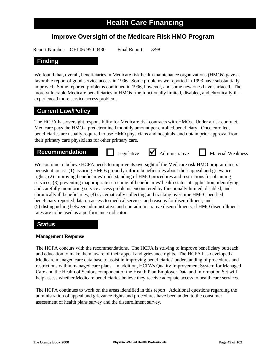# **Improve Oversight of the Medicare Risk HMO Program**

Report Number: OEI-06-95-00430 Final Report: 3/98

# **Finding**

We found that, overall, beneficiaries in Medicare risk health maintenance organizations (HMOs) gave a favorable report of good service access in 1996. Some problems we reported in 1993 have substantially improved. Some reported problems continued in 1996, however, and some new ones have surfaced. The more vulnerable Medicare beneficiaries in HMOs--the functionally limited, disabled, and chronically ill experienced more service access problems.

# **Current Law/Policy**

The HCFA has oversight responsibility for Medicare risk contracts with HMOs. Under a risk contract, Medicare pays the HMO a predetermined monthly amount per enrolled beneficiary. Once enrolled, beneficiaries are usually required to use HMO physicians and hospitals, and obtain prior approval from their primary care physicians for other primary care.

# **Recommendation Legislative** <br> **Administrative Material Weakness**

We continue to believe HCFA needs to improve its oversight of the Medicare risk HMO program in six persistent areas: (1) assuring HMOs properly inform beneficiaries about their appeal and grievance rights; (2) improving beneficiaries' understanding of HMO procedures and restrictions for obtaining services; (3) preventing inappropriate screening of beneficiaries' health status at application; identifying and carefully monitoring service access problems encountered by functionally limited, disabled, and chronically ill beneficiaries; (4) systematically collecting and tracking over time HMO-specified beneficiary-reported data on access to medical services and reasons for disenrollment; and (5) distinguishing between administrative and non-administrative disenrollments, if HMO disenrollment rates are to be used as a performance indicator.

# **Status**

#### **Management Response**

The HCFA concurs with the recommendations. The HCFA is striving to improve beneficiary outreach and education to make them aware of their appeal and grievance rights. The HCFA has developed a Medicare managed care data base to assist in improving beneficiaries' understanding of procedures and restrictions within managed care plans. In addition, HCFA's Quality Improvement System for Managed Care and the Health of Seniors component of the Health Plan Employer Data and Information Set will help assess whether Medicare beneficiaries believe they receive adequate access to health care services.

The HCFA continues to work on the areas identified in this report. Additional questions regarding the administration of appeal and grievance rights and procedures have been added to the consumer assessment of health plans survey and the disenrollment survey.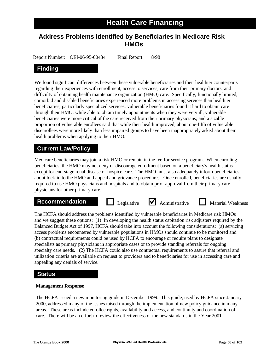# **Address Problems Identified by Beneficiaries in Medicare Risk HMOs**

Report Number: OEI-06-95-00434 Final Report: 8/98

# **Finding**

We found significant differences between these vulnerable beneficiaries and their healthier counterparts regarding their experiences with enrollment, access to services, care from their primary doctors, and difficulty of obtaining health maintenance organization (HMO) care. Specifically, functionally limited, comorbid and disabled beneficiaries experienced more problems in accessing services than healthier beneficiaries, particularly specialized services; vulnerable beneficiaries found it hard to obtain care through their HMO; while able to obtain timely appointments when they were very ill, vulnerable beneficiaries were more critical of the care received from their primary physicians; and a sizable proportion of vulnerable enrollees said that while their health improved, about one-fifth of vulnerable disenrollees were more likely than less impaired groups to have been inappropriately asked about their health problems when applying to their HMO.

# **Current Law/Policy**

Medicare beneficiaries may join a risk HMO or remain in the fee-for-service program. When enrolling beneficiaries, the HMO may not deny or discourage enrollment based on a beneficiary's health status except for end-stage renal disease or hospice care. The HMO must also adequately inform beneficiaries about lock-in to the HMO and appeal and grievance procedures. Once enrolled, beneficiaries are usually required to use HMO physicians and hospitals and to obtain prior approval from their primary care physicians for other primary care.

# **Recommendation Legislative** <br> **Administrative Material Weakness**

The HCFA should address the problems identified by vulnerable beneficiaries in Medicare risk HMOs and we suggest these options: (1) In developing the health status capitation risk adjusters required by the Balanced Budget Act of 1997, HCFA should take into account the following considerations: (a) servicing access problems encountered by vulnerable populations in HMOs should continue to be monitored and (b) contractual requirements could be used by HCFA to encourage or require plans to designate specialists as primary physicians in appropriate cases or to provide standing referrals for ongoing specialty care needs. (2) The HCFA could also use contractual requirements to assure that referral and utilization criteria are available on request to providers and to beneficiaries for use in accessing care and appealing any denials of service.

# **Status**

#### **Management Response**

The HCFA issued a new monitoring guide in December 1999. This guide, used by HCFA since January 2000, addressed many of the issues raised through the implementation of new policy guidance in many areas. These areas include enrollee rights, availability and access, and continuity and coordination of care. There will be an effort to review the effectiveness of the new standards in the Year 2001.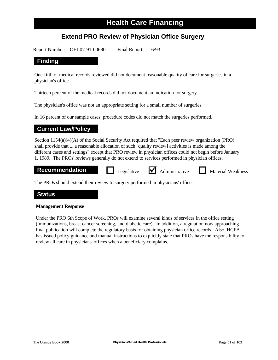# **Extend PRO Review of Physician Office Surgery**

Report Number: OEI-07-91-00680 Final Report: 6/93

### **Finding**

One-fifth of medical records reviewed did not document reasonable quality of care for surgeries in a physician's office.

Thirteen percent of the medical records did not document an indication for surgery.

The physician's office was not an appropriate setting for a small number of surgeries.

In 16 percent of our sample cases, procedure codes did not match the surgeries performed.

# **Current Law/Policy**

Section 1154(a)(4)(A) of the Social Security Act required that "Each peer review organization (PRO) shall provide that ....a reasonable allocation of such [quality review] activities is made among the different cases and settings" except that PRO review in physician offices could not begin before January 1, 1989. The PROs' reviews generally do not extend to services performed in physician offices.

Legislative  $\bigvee$  Administrative

# **Recommendation D** Legislative **A** Administrative **D** Material Weakness

The PROs should extend their review to surgery performed in physicians' offices.

### **Status**

#### **Management Response**

Under the PRO 6th Scope of Work, PROs will examine several kinds of services in the office setting (immunizations, breast cancer screening, and diabetic care). In addition, a regulation now approaching final publication will complete the regulatory basis for obtaining physician office records. Also, HCFA has issued policy guidance and manual instructions to explicitly state that PROs have the responsibility to review all care in physicians' offices when a beneficiary complains.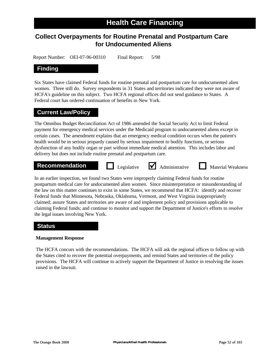# **Collect Overpayments for Routine Prenatal and Postpartum Care for Undocumented Aliens**

Report Number: OEI-07-96-00310 Final Report: 5/98

# **Finding**

Six States have claimed Federal funds for routine prenatal and postpartum care for undocumented alien women. Three still do. Survey respondents in 31 States and territories indicated they were not aware of HCFA's guideline on this subject. Two HCFA regional offices did not send guidance to States. A Federal court has ordered continuation of benefits in New York.

# **Current Law/Policy**

The Omnibus Budget Reconciliation Act of 1986 amended the Social Security Act to limit Federal payment for emergency medical services under the Medicaid program to undocumented aliens except in certain cases. The amendment explains that an emergency medical condition occurs when the patient's health would be in serious jeopardy caused by serious impairment to bodily functions, or serious dysfunction of any bodily organ or part without immediate medical attention. This includes labor and delivery but does not include routine prenatal and postpartum care.

#### **Recommendation D** Legislative **M** Administrative **D** Material Weakness

Legislative  $\bigvee$  Administrative

In an earlier inspection, we found two States were improperly claiming Federal funds for routine postpartum medical care for undocumented alien women. Since misinterpretation or misunderstanding of the law on this matter continues to exist in some States, we recommend that HCFA: identify and recover Federal funds that Minnesota, Nebraska, Oklahoma, Vermont, and West Virginia inappropriately claimed; assure States and territories are aware of and implement policy and provisions applicable to claiming Federal funds; and continue to monitor and support the Department of Justice's efforts to resolve the legal issues involving New York.

# **Status**

#### **Management Response**

The HCFA concurs with the recommendations. The HCFA will ask the regional offices to follow up with the States cited to recover the potential overpayments, and remind States and territories of the policy provisions. The HCFA will continue to actively support the Department of Justice in resolving the issues raised in the lawsuit.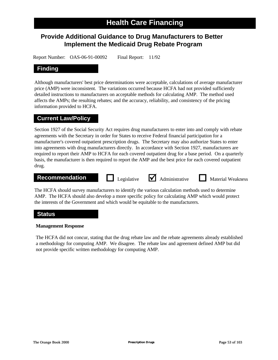# **Provide Additional Guidance to Drug Manufacturers to Better Implement the Medicaid Drug Rebate Program**

Report Number: OAS-06-91-00092 Final Report: 11/92

# **Finding**

Although manufacturers' best price determinations were acceptable, calculations of average manufacturer price (AMP) were inconsistent. The variations occurred because HCFA had not provided sufficiently detailed instructions to manufacturers on acceptable methods for calculating AMP. The method used affects the AMPs; the resulting rebates; and the accuracy, reliability, and consistency of the pricing information provided to HCFA.

### **Current Law/Policy**

Section 1927 of the Social Security Act requires drug manufacturers to enter into and comply with rebate agreements with the Secretary in order for States to receive Federal financial participation for a manufacturer's covered outpatient prescription drugs. The Secretary may also authorize States to enter into agreements with drug manufacturers directly. In accordance with Section 1927, manufacturers are required to report their AMP to HCFA for each covered outpatient drug for a base period. On a quarterly basis, the manufacturer is then required to report the AMP and the best price for each covered outpatient drug.

# **Recommendation Legislative** <br> **Administrative Material Weakness**

The HCFA should survey manufacturers to identify the various calculation methods used to determine AMP. The HCFA should also develop a more specific policy for calculating AMP which would protect the interests of the Government and which would be equitable to the manufacturers.

### **Status**

#### **Management Response**

The HCFA did not concur, stating that the drug rebate law and the rebate agreements already established a methodology for computing AMP. We disagree. The rebate law and agreement defined AMP but did not provide specific written methodology for computing AMP.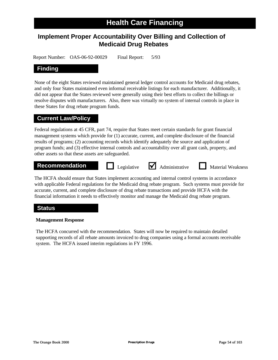# **Implement Proper Accountability Over Billing and Collection of Medicaid Drug Rebates**

Report Number: OAS-06-92-00029 Final Report: 5/93

# **Finding**

None of the eight States reviewed maintained general ledger control accounts for Medicaid drug rebates, and only four States maintained even informal receivable listings for each manufacturer. Additionally, it did not appear that the States reviewed were generally using their best efforts to collect the billings or resolve disputes with manufacturers. Also, there was virtually no system of internal controls in place in these States for drug rebate program funds.

# **Current Law/Policy**

Federal regulations at 45 CFR, part 74, require that States meet certain standards for grant financial management systems which provide for (1) accurate, current, and complete disclosure of the financial results of programs; (2) accounting records which identify adequately the source and application of program funds; and (3) effective internal controls and accountability over all grant cash, property, and other assets so that these assets are safeguarded.

# **Recommendation Legislative** <br> **Administrative Material Weakness**

The HCFA should ensure that States implement accounting and internal control systems in accordance with applicable Federal regulations for the Medicaid drug rebate program. Such systems must provide for accurate, current, and complete disclosure of drug rebate transactions and provide HCFA with the financial information it needs to effectively monitor and manage the Medicaid drug rebate program.

# **Status**

#### **Management Response**

The HCFA concurred with the recommendation. States will now be required to maintain detailed supporting records of all rebate amounts invoiced to drug companies using a formal accounts receivable system. The HCFA issued interim regulations in FY 1996.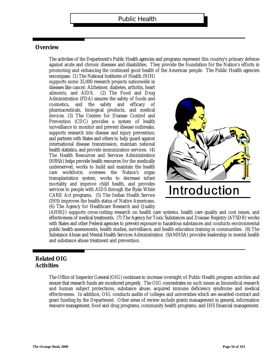#### **Overview**

The activities of the Department's Public Health agencies and programs represent this country's primary defense against acute and chronic diseases and disabilities. They provide the foundation for the Nation's efforts in promoting and enhancing the continued good health of the American people. The Public Health agencies

encompass: (1) The National Institutes of Health (NIH) supports some 35,000 research projects nationwide in diseases like cancer, Alzheimer, diabetes, arthritis, heart ailments, and AIDS. (2) The Food and Drug Administration (FDA) assures the safety of foods and cosmetics, and f the safety and efficacy o pharmaceuticals, biological products, and medical devices. (3) The Centers for Disease Control and Prevention (CDC) provides a system of health surveillance to monitor and prevent disease outbreaks, supports research into disease and injury prevention; and partners with States and others to help guard against international disease transmission, maintain national health statistics, and provide immunization services. (4) The Health Resources and Services Administration (HRSA) helps provide health resources for the medically underserved, works to build and maintain the health care workforce, oversees the Nation's organ transplantation system, works to decrease infant mortality and improve child health, and provides services to people with AIDS through the Ryan White CARE Act programs. (5) The Indian Health Service (IHS) improves the health status of Native Americans. (6) The Agency for Healthcare Research and Quality



(AHRQ) supports cross-cutting research on health care systems, health care quality and cost issues, and effectiveness of medical treatments. (7) The Agency for Toxic Substances and Disease Registry (ATSDR) works with States and other Federal agencies to prevent exposure to hazardous substances and conducts environmental public health assessments, health studies, surveillance, and health education training in communities. (8) The Substance Abuse and Mental Health Services Administration (SAMHSA) provides leadership in mental health and substance abuse treatment and prevention.

# **Related OIG Activities**

The Office of Inspector General (OIG) continues to increase oversight of Public Health program activities and ensure that research funds are monitored properly. The OIG concentrates on such issues as biomedical research and human subject protections, substance abuse, acquired immune deficiency syndrome and medical effectiveness. In addition, OIG conducts audits of colleges and universities which are awarded contract and grant funding by the Department. Other areas of review include grants management in general, information resource management, food and drug programs, community health programs, and IHS financial management.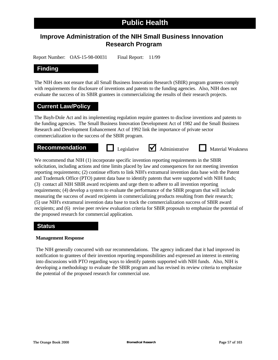# **Improve Administration of the NIH Small Business Innovation Research Program**

Report Number: OAS-15-98-00031 Final Report: 11/99

# **Finding**

The NIH does not ensure that all Small Business Innovation Research (SBIR) program grantees comply with requirements for disclosure of inventions and patents to the funding agencies. Also, NIH does not evaluate the success of its SBIR grantees in commercializing the results of their research projects.

# **Current Law/Policy**

The Bayh-Dole Act and its implementing regulation require grantees to disclose inventions and patents to the funding agencies. The Small Business Innovation Development Act of 1982 and the Small Business Research and Development Enhancement Act of 1992 link the importance of private sector commercialization to the success of the SBIR program.



We recommend that NIH (1) incorporate specific invention reporting requirements in the SBIR solicitation, including actions and time limits placed by law and consequences for not meeting invention reporting requirements; (2) continue efforts to link NIH's extramural invention data base with the Patent and Trademark Office (PTO) patent data base to identify patents that were supported with NIH funds; (3) contact all NIH SBIR award recipients and urge them to adhere to all invention reporting requirements; (4) develop a system to evaluate the performance of the SBIR program that will include measuring the success of award recipients in commercializing products resulting from their research; (5) use NIH's extramural invention data base to track the commercialization success of SBIR award recipients; and (6) revise peer review evaluation criteria for SBIR proposals to emphasize the potential of the proposed research for commercial application.

### **Status**

#### **Management Response**

The NIH generally concurred with our recommendations. The agency indicated that it had improved its notification to grantees of their invention reporting responsibilities and expressed an interest in entering into discussions with PTO regarding ways to identify patents supported with NIH funds. Also, NIH is developing a methodology to evaluate the SBIR program and has revised its review criteria to emphasize the potential of the proposed research for commercial use.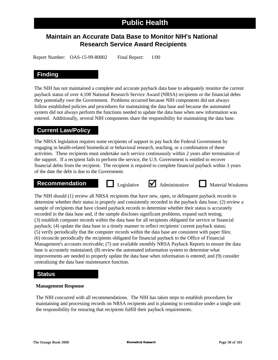# **Maintain an Accurate Data Base to Monitor NIH's National Research Service Award Recipients**

Report Number: OAS-15-99-80002 Final Report: 1/00

# **Finding**

The NIH has not maintained a complete and accurate payback data base to adequately monitor the current payback status of over 4,100 National Research Service Award (NRSA) recipients or the financial debts they potentially owe the Government. Problems occurred because NIH components did not always follow established policies and procedures for maintaining the data base and because the automated system did not always perform the functions needed to update the data base when new information was entered. Additionally, several NIH components share the responsibility for maintaining the data base.

# **Current Law/Policy**

The NRSA legislation requires some recipients of support to pay back the Federal Government by engaging in health-related biomedical or behavioral research, teaching, or a combination of these activities. These recipients must undertake such service continuously within 2 years after termination of the support. If a recipient fails to perform the service, the U.S. Government is entitled to recover financial debts from the recipient. The recipient is required to complete financial payback within 3 years of the date the debt is due to the Government.



The NIH should (1) review all NRSA recipients that have new, open, or delinquent payback records to determine whether their status is properly and consistently recorded in the payback data base; (2) review a sample of recipients that have closed payback records to determine whether their status is accurately recorded in the data base and, if the sample discloses significant problems, expand such testing; (3) establish computer records within the data base for all recipients obligated for service or financial payback; (4) update the data base in a timely manner to reflect recipients' current payback status; (5) verify periodically that the computer records within the data base are consistent with paper files; (6) reconcile periodically the recipients obligated for financial payback to the Office of Financial Management's accounts receivable; (7) use available monthly NRSA Payback Reports to ensure the data base is accurately maintained; (8) review the automated information system to determine what improvements are needed to properly update the data base when information is entered; and (9) consider centralizing the data base maintenance function.

# **Status**

#### **Management Response**

The NIH concurred with all recommendations. The NIH has taken steps to establish procedures for maintaining and processing records on NRSA recipients and is planning to centralize under a single unit the responsibility for ensuring that recipients fulfill their payback requirements.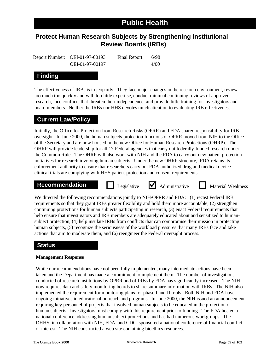# **Protect Human Research Subjects by Strengthening Institutional Review Boards (IRBs)**

Report Number: OEI-01-97-00193 Final Report: 6/98 OEI-01-97-00197 4/00

# **Finding**

The effectiveness of IRBs is in jeopardy. They face major changes in the research environment, review too much too quickly and with too little expertise, conduct minimal continuing reviews of approved research, face conflicts that threaten their independence, and provide little training for investigators and board members. Neither the IRBs nor HHS devotes much attention to evaluating IRB effectiveness.

# **Current Law/Policy**

Initially, the Office for Protection from Research Risks (OPRR) and FDA shared responsibility for IRB oversight. In June 2000, the human subjects protection functions of OPRR moved from NIH to the Office of the Secretary and are now housed in the new Office for Human Research Protections (OHRP). The OHRP will provide leadership for all 17 Federal agencies that carry out federally-funded research under the Common Rule. The OHRP will also work with NIH and the FDA to carry out new patient protection initiatives for research involving human subjects. Under the new OHRP structure, FDA retains its enforcement authority to ensure that researchers carry out FDA-authorized drug and medical device clinical trials are complying with HHS patient protection and consent requirements.

#### **Recommendation D** Legislative **M** Administrative **N** Material Weakness

Legislative  $\blacksquare$  Administrative

We directed the following recommendations jointly to NIH/OPRR and FDA: (1) recast Federal IRB requirements so that they grant IRBs greater flexibility and hold them more accountable, (2) strengthen continuing protections for human subjects participating in research, (3) enact Federal requirements that help ensure that investigators and IRB members are adequately educated about and sensitized to humansubject protection, (4) help insulate IRBs from conflicts that can compromise their mission in protecting human subjects, (5) recognize the seriousness of the workload pressures that many IRBs face and take actions that aim to moderate them, and (6) reengineer the Federal oversight process.

# **Status**

#### **Management Response**

While our recommendations have not been fully implemented, many intermediate actions have been taken and the Department has made a commitment to implement them. The number of investigations conducted of research institutions by OPRR and of IRBs by FDA has significantly increased. The NIH now requires data and safety monitoring boards to share summary information with IRBs. The NIH also implemented the requirement for monitoring plans for phase I and II trials. Both NIH and FDA have ongoing initiatives in educational outreach and programs. In June 2000, the NIH issued an announcement requiring key personnel of projects that involved human subjects to be educated in the protection of human subjects. Investigators must comply with this requirement prior to funding. The FDA hosted a national conference addressing human subject protections and has had numerous workgroups. The DHHS, in collaboration with NIH, FDA, and CDC, sponsored a national conference of financial conflict of interest. The NIH constructed a web site containing bioethics resources.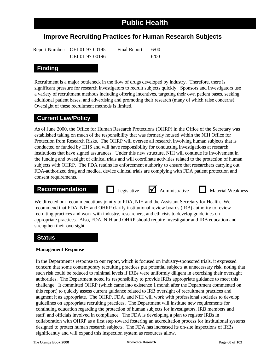# **Improve Recruiting Practices for Human Research Subjects**

| Report Number: OEI-01-97-00195 | Final Report: | 6/00 |
|--------------------------------|---------------|------|
| OEI-01-97-00196                |               | 6/00 |

# **Finding**

Recruitment is a major bottleneck in the flow of drugs developed by industry. Therefore, there is significant pressure for research investigators to recruit subjects quickly. Sponsors and investigators use a variety of recruitment methods including offering incentives, targeting their own patient bases, seeking additional patient bases, and advertising and promoting their research (many of which raise concerns). Oversight of these recruitment methods is limited.

# **Current Law/Policy**

As of June 2000, the Office for Human Research Protections (OHRP) in the Office of the Secretary was established taking on much of the responsibility that was formerly housed within the NIH Office for Protection from Research Risks. The OHRP will oversee all research involving human subjects that is conducted or funded by HHS and will have responsibility for conducting investigations at research institutions that have signed assurances. Under this new structure, NIH will continue its involvement in the funding and oversight of clinical trials and will coordinate activities related to the protection of human subjects with OHRP. The FDA retains its enforcement authority to ensure that researchers carrying out FDA-authorized drug and medical device clinical trials are complying with FDA patient protection and consent requirements.

# **Recommendation Legislative** <br> **Administrative Material Weakness**



We directed our recommendations jointly to FDA, NIH and the Assistant Secretary for Health. We recommend that FDA, NIH and OHRP clarify institutional review boards (IRB) authority to review recruiting practices and work with industry, researchers, and ethicists to develop guidelines on appropriate practices. Also, FDA, NIH and OHRP should require investigator and IRB education and strengthen their oversight.

### **Status**

#### **Management Response**

In the Department's response to our report, which is focused on industry-sponsored trials, it expressed concern that some contemporary recruiting practices put potential subjects at unnecessary risk, noting that such risk could be reduced to minimal levels if IRBs were uniformly diligent in exercising their oversight authorities. The Department noted its responsibility to provide IRBs appropriate guidance to meet this challenge. It committed OHRP (which came into existence 1 month after the Department commented on this report) to quickly assess current guidance related to IRB oversight of recruitment practices and augment it as appropriate. The OHRP, FDA, and NIH will work with professional societies to develop guidelines on appropriate recruiting practices. The Department will institute new requirements for continuing education regarding the protection of human subjects for investigators, IRB members and staff, and officials involved in compliance. The FDA is developing a plan to register IRBs in collaboration with OHRP as a first step toward fostering an accreditation process for institutional systems designed to protect human research subjects. The FDA has increased its on-site inspections of IRBs significantly and will expand this inspection system as resources allow.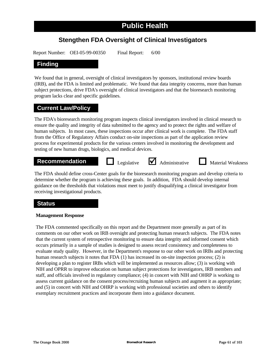# **Stengthen FDA Oversight of Clinical Investigators**

Report Number: OEI-05-99-00350 Final Report: 6/00

#### **Finding**

We found that in general, oversight of clinical investigators by sponsors, institutional review boards (IRB), and the FDA is limited and problematic. We found that data integrity concerns, more than human subject protections, drive FDA's oversight of clinical investigators and that the bioresearch monitoring program lacks clear and specific guidelines.

### **Current Law/Policy**

The FDA's bioresearch monitoring program inspects clinical investigators involved in clinical research to ensure the quality and integrity of data submitted to the agency and to protect the rights and welfare of human subjects. In most cases, these inspections occur after clinical work is complete. The FDA staff from the Office of Regulatory Affairs conduct on-site inspections as part of the application review process for experimental products for the various centers involved in monitoring the development and testing of new human drugs, biologics, and medical devices.

#### **Recommendation D** Legislative **M** Administrative **D** Material Weakness



The FDA should define cross-Center goals for the bioresearch monitoring program and develop criteria to determine whether the program is achieving these goals. In addition, FDA should develop internal guidance on the thresholds that violations must meet to justify disqualifying a clinical investigator from receiving investigational products.

### **Status**

#### **Management Response**

The FDA commented specifically on this report and the Department more generally as part of its comments on our other work on IRB oversight and protecting human research subjects. The FDA notes that the current system of retrospective monitoring to ensure data integrity and informed consent which occurs primarily in a sample of studies is designed to assess record consistency and completeness to evaluate study quality. However, in the Department's response to our other work on IRBs and protecting human research subjects it notes that FDA (1) has increased its on-site inspection process; (2) is developing a plan to register IRBs which will be implemented as resources allow; (3) is working with NIH and OPRR to improve education on human subject protections for investigators, IRB members and staff, and officials involved in regulatory compliance; (4) in concert with NIH and OHRP is working to assess current guidance on the consent process/recruiting human subjects and augment it as appropriate; and (5) in concert with NIH and OHRP is working with professional societies and others to identify exemplary recruitment practices and incorporate them into a guidance document.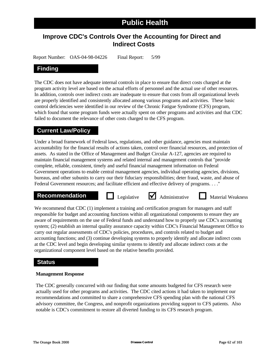## **Improve CDC's Controls Over the Accounting for Direct and Indirect Costs**

Report Number: OAS-04-98-04226 Final Report: 5/99

### **Finding**

The CDC does not have adequate internal controls in place to ensure that direct costs charged at the program activity level are based on the actual efforts of personnel and the actual use of other resources. In addition, controls over indirect costs are inadequate to ensure that costs from all organizational levels are properly identified and consistently allocated among various programs and activities. These basic control deficiencies were identified in our review of the Chronic Fatigue Syndrome (CFS) program, which found that some program funds were actually spent on other programs and activities and that CDC failed to document the relevance of other costs charged to the CFS program.

### **Current Law/Policy**

Under a broad framework of Federal laws, regulations, and other guidance, agencies must maintain accountability for the financial results of actions taken, control over financial resources, and protection of assets. As stated in the Office of Management and Budget Circular A-127, agencies are required to maintain financial management systems and related internal and management controls that "provide complete, reliable, consistent, timely and useful financial management information on Federal Government operations to enable central management agencies, individual operating agencies, divisions, bureaus, and other subunits to carry our their fiduciary responsibilities; deter fraud, waste, and abuse of Federal Government resources; and facilitate efficient and effective delivery of programs. . . ."

## **Recommendation Legislative** <br> **Administrative Material Weakness**

We recommend that CDC (1) implement a training and certification program for managers and staff responsible for budget and accounting functions within all organizational components to ensure they are aware of requirements on the use of Federal funds and understand how to properly use CDC's accounting system; (2) establish an internal quality assurance capacity within CDC's Financial Management Office to carry out regular assessments of CDC's policies, procedures, and controls related to budget and accounting functions; and (3) continue developing systems to properly identify and allocate indirect costs at the CDC level and begin developing similar systems to identify and allocate indirect costs at the organizational component level based on the relative benefits provided.

### **Status**

### **Management Response**

The CDC generally concurred with our finding that some amounts budgeted for CFS research were actually used for other programs and activities. The CDC cited actions it had taken to implement our recommendations and committed to share a comprehensive CFS spending plan with the national CFS advisory committee, the Congress, and nonprofit organizations providing support to CFS patients. Also notable is CDC's commitment to restore all diverted funding to its CFS research program.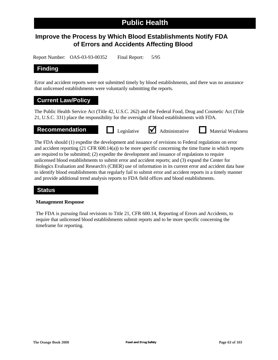## **Improve the Process by Which Blood Establishments Notify FDA of Errors and Accidents Affecting Blood**

Report Number: OAS-03-93-00352 Final Report: 5/95

### **Finding**

Error and accident reports were not submitted timely by blood establishments, and there was no assurance that unlicensed establishments were voluntarily submitting the reports.

### **Current Law/Policy**

The Public Health Service Act (Title 42, U.S.C. 262) and the Federal Food, Drug and Cosmetic Act (Title 21, U.S.C. 331) place the responsibility for the oversight of blood establishments with FDA.

Legislative  $\blacksquare$  Administrative

### **Recommendation Legislative M** Administrative M Material Weakness

The FDA should (1) expedite the development and issuance of revisions to Federal regulations on error and accident reporting (21 CFR 600.14(a)) to be more specific concerning the time frame in which reports are required to be submitted; (2) expedite the development and issuance of regulations to require unlicensed blood establishments to submit error and accident reports; and (3) expand the Center for Biologics Evaluation and Research's (CBER) use of information in its current error and accident data base to identify blood establishments that regularly fail to submit error and accident reports in a timely manner and provide additional trend analysis reports to FDA field offices and blood establishments.

### **Status**

### **Management Response**

The FDA is pursuing final revisions to Title 21, CFR 600.14, Reporting of Errors and Accidents, to require that unlicensed blood establishments submit reports and to be more specific concerning the timeframe for reporting.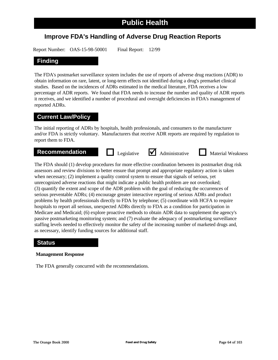## **Improve FDA's Handling of Adverse Drug Reaction Reports**

Report Number: OAS-15-98-50001 Final Report: 12/99

### **Finding**

The FDA's postmarket surveillance system includes the use of reports of adverse drug reactions (ADR) to obtain information on rare, latent, or long-term effects not identified during a drug's premarket clinical studies. Based on the incidences of ADRs estimated in the medical literature, FDA receives a low percentage of ADR reports. We found that FDA needs to increase the number and quality of ADR reports it receives, and we identified a number of procedural and oversight deficiencies in FDA's management of reported ADRs.

### **Current Law/Policy**

The initial reporting of ADRs by hospitals, health professionals, and consumers to the manufacturer and/or FDA is strictly voluntary. Manufacturers that receive ADR reports are required by regulation to report them to FDA.

## **Recommendation Legislative** <br> **Administrative Material Weakness**

The FDA should (1) develop procedures for more effective coordination between its postmarket drug risk assessors and review divisions to better ensure that prompt and appropriate regulatory action is taken when necessary; (2) implement a quality control system to ensure that signals of serious, yet unrecognized adverse reactions that might indicate a public health problem are not overlooked; (3) quantify the extent and scope of the ADR problem with the goal of reducing the occurrences of serious preventable ADRs; (4) encourage greater interactive reporting of serious ADRs and product problems by health professionals directly to FDA by telephone; (5) coordinate with HCFA to require hospitals to report all serious, unexpected ADRs directly to FDA as a condition for participation in Medicare and Medicaid; (6) explore proactive methods to obtain ADR data to supplement the agency's passive postmarketing monitoring system; and (7) evaluate the adequacy of postmarketing surveillance staffing levels needed to effectively monitor the safety of the increasing number of marketed drugs and, as necessary, identify funding sources for additional staff.

### **Status**

### **Management Response**

The FDA generally concurred with the recommendations.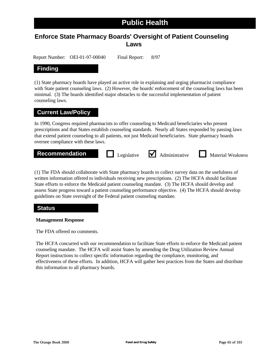## **Enforce State Pharmacy Boards' Oversight of Patient Counseling Laws**

Report Number: OEI-01-97-00040 Final Report: 8/97

### **Finding**

(1) State pharmacy boards have played an active role in explaining and urging pharmacist compliance with State patient counseling laws. (2) However, the boards' enforcement of the counseling laws has been minimal. (3) The boards identified major obstacles to the successful implementation of patient counseling laws.

### **Current Law/Policy**

In 1990, Congress required pharmacists to offer counseling to Medicaid beneficiaries who present prescriptions and that States establish counseling standards. Nearly all States responded by passing laws that extend patient counseling to all patients, not just Medicaid beneficiaries. State pharmacy boards oversee compliance with these laws.



(1) The FDA should collaborate with State pharmacy boards to collect survey data on the usefulness of written information offered to individuals receiving new prescriptions. (2) The HCFA should facilitate State efforts to enforce the Medicaid patient counseling mandate. (3) The HCFA should develop and assess State progress toward a patient counseling performance objective. (4) The HCFA should develop guidelines on State oversight of the Federal patient counseling mandate.

### **Status**

### **Management Response**

The FDA offered no comments.

The HCFA concurred with our recommendation to facilitate State efforts to enforce the Medicaid patient counseling mandate. The HCFA will assist States by amending the Drug Utilization Review Annual Report instructions to collect specific information regarding the compliance, monitoring, and effectiveness of these efforts. In addition, HCFA will gather best practices from the States and distribute this information to all pharmacy boards.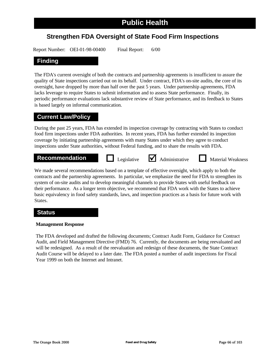## **Strengthen FDA Oversight of State Food Firm Inspections**

Report Number: OEI-01-98-00400 Final Report: 6/00

### **Finding**

The FDA's current oversight of both the contracts and partnership agreements is insufficient to assure the quality of State inspections carried out on its behalf. Under contract, FDA's on-site audits, the core of its oversight, have dropped by more than half over the past 5 years. Under partnership agreements, FDA lacks leverage to require States to submit information and to assess State performance. Finally, its periodic performance evaluations lack substantive review of State performance, and its feedback to States is based largely on informal communication.

### **Current Law/Policy**

During the past 25 years, FDA has extended its inspection coverage by contracting with States to conduct food firm inspections under FDA authorities. In recent years, FDA has further extended its inspection coverage by initiating partnership agreements with many States under which they agree to conduct inspections under State authorities, without Federal funding, and to share the results with FDA.

## **Recommendation Legislative** <br> **Administrative Material Weakness**

We made several recommendations based on a template of effective oversight, which apply to both the contracts and the partnership agreements. In particular, we emphasize the need for FDA to strengthen its system of on-site audits and to develop meaningful channels to provide States with useful feedback on their performance. As a longer term objective, we recommend that FDA work with the States to achieve basic equivalency in food safety standards, laws, and inspection practices as a basis for future work with States.

### **Status**

### **Management Response**

The FDA developed and drafted the following documents; Contract Audit Form, Guidance for Contract Audit, and Field Management Directive (FMD) 76. Currently, the documents are being reevaluated and will be redesigned. As a result of the reevaluation and redesign of these documents, the State Contract Audit Course will be delayed to a later date. The FDA posted a number of audit inspections for Fiscal Year 1999 on both the Internet and Intranet.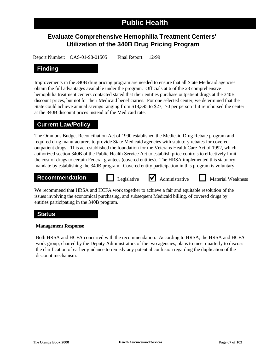## **Evaluate Comprehensive Hemophilia Treatment Centers' Utilization of the 340B Drug Pricing Program**

Report Number: OAS-01-98-01505 Final Report: 12/99

### **Finding**

Improvements in the 340B drug pricing program are needed to ensure that all State Medicaid agencies obtain the full advantages available under the program. Officials at 6 of the 23 comprehensive hemophilia treatment centers contacted stated that their entities purchase outpatient drugs at the 340B discount prices, but not for their Medicaid beneficiaries. For one selected center, we determined that the State could achieve annual savings ranging from \$18,395 to \$27,170 per person if it reimbursed the center at the 340B discount prices instead of the Medicaid rate.

### **Current Law/Policy**

The Omnibus Budget Reconciliation Act of 1990 established the Medicaid Drug Rebate program and required drug manufacturers to provide State Medicaid agencies with statutory rebates for covered outpatient drugs. This act established the foundation for the Veterans Health Care Act of 1992, which authorized section 340B of the Public Health Service Act to establish price controls to effectively limit the cost of drugs to certain Federal grantees (covered entities). The HRSA implemented this statutory mandate by establishing the 340B program. Covered entity participation in this program is voluntary.

### **Recommendation Legislative** <br>**Administrative Material Weakness**

Legislative  $\blacksquare$  Administrative

We recommend that HRSA and HCFA work together to achieve a fair and equitable resolution of the issues involving the economical purchasing, and subsequent Medicaid billing, of covered drugs by entities participating in the 340B program.

### **Status**

### **Management Response**

Both HRSA and HCFA concurred with the recommendation. According to HRSA, the HRSA and HCFA work group, chaired by the Deputy Administrators of the two agencies, plans to meet quarterly to discuss the clarification of earlier guidance to remedy any potential confusion regarding the duplication of the discount mechanism.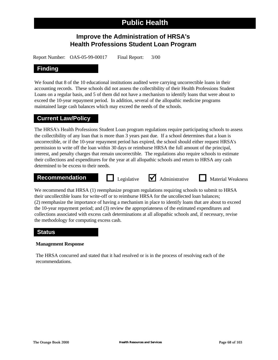## **Improve the Administration of HRSA's Health Professions Student Loan Program**

Report Number: OAS-05-99-00017 Final Report: 3/00

### **Finding**

We found that 8 of the 10 educational institutions audited were carrying uncorrectible loans in their accounting records. These schools did not assess the collectibility of their Health Professions Student Loans on a regular basis, and 5 of them did not have a mechanism to identify loans that were about to exceed the 10-year repayment period. In addition, several of the allopathic medicine programs maintained large cash balances which may exceed the needs of the schools.

### **Current Law/Policy**

The HRSA's Health Professions Student Loan program regulations require participating schools to assess the collectibility of any loan that is more than 3 years past due. If a school determines that a loan is uncorrectible, or if the 10-year repayment period has expired, the school should either request HRSA's permission to write off the loan within 30 days or reimburse HRSA the full amount of the principal, interest, and penalty charges that remain uncorrectible. The regulations also require schools to estimate their collections and expenditures for the year at all allopathic schools and return to HRSA any cash determined to be excess to their needs.

## **Recommendation Legislative** <br> **Administrative Material Weakness**

We recommend that HRSA (1) reemphasize program regulations requiring schools to submit to HRSA their uncollectible loans for write-off or to reimburse HRSA for the uncollected loan balances; (2) reemphasize the importance of having a mechanism in place to identify loans that are about to exceed the 10-year repayment period; and (3) review the appropriateness of the estimated expenditures and collections associated with excess cash determinations at all allopathic schools and, if necessary, revise the methodology for computing excess cash.

### **Status**

### **Management Response**

The HRSA concurred and stated that it had resolved or is in the process of resolving each of the recommendations.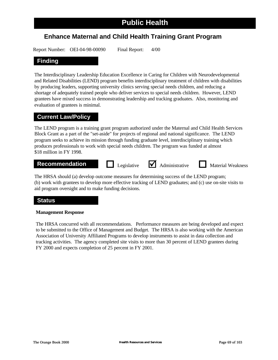### **Enhance Maternal and Child Health Training Grant Program**

Report Number: OEI-04-98-00090 Final Report: 4/00

### **Finding**

The Interdisciplinary Leadership Education Excellence in Caring for Children with Neurodevelopmental and Related Disabilities (LEND) program benefits interdisciplinary treatment of children with disabilities by producing leaders, supporting university clinics serving special needs children, and reducing a shortage of adequately trained people who deliver services to special needs children. However, LEND grantees have mixed success in demonstrating leadership and tracking graduates. Also, monitoring and evaluation of grantees is minimal.

### **Current Law/Policy**

The LEND program is a training grant program authorized under the Maternal and Child Health Services Block Grant as a part of the "set-aside" for projects of regional and national significance. The LEND program seeks to achieve its mission through funding graduate level, interdisciplinary training which produces professionals to work with special needs children. The program was funded at almost \$18 million in FY 1998.

## **Recommendation Legislative** <br> **Administrative Material Weakness**

The HRSA should (a) develop outcome measures for determining success of the LEND program; (b) work with grantees to develop more effective tracking of LEND graduates; and (c) use on-site visits to aid program oversight and to make funding decisions.

### **Status**

### **Management Response**

The HRSA concurred with all recommendations. Performance measures are being developed and expect to be submitted to the Office of Management and Budget. The HRSA is also working with the American Association of University Affiliated Programs to develop instruments to assist in data collection and tracking activities. The agency completed site visits to more than 30 percent of LEND grantees during FY 2000 and expects completion of 25 percent in FY 2001.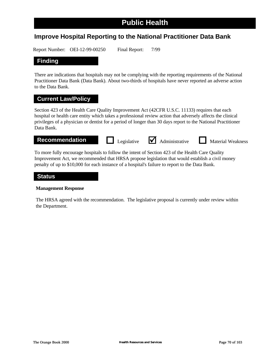### **Improve Hospital Reporting to the National Practitioner Data Bank**

Report Number: OEI-12-99-00250 Final Report: 7/99

### **Finding**

There are indications that hospitals may not be complying with the reporting requirements of the National Practitioner Data Bank (Data Bank). About two-thirds of hospitals have never reported an adverse action to the Data Bank.

### **Current Law/Policy**

Section 423 of the Health Care Quality Improvement Act (42CFR U.S.C. 11133) requires that each hospital or health care entity which takes a professional review action that adversely affects the clinical privileges of a physician or dentist for a period of longer than 30 days report to the National Practitioner Data Bank.

**Recommendation Legislative** <br> **Administrative Material Weakness** 

To more fully encourage hospitals to follow the intent of Section 423 of the Health Care Quality Improvement Act, we recommended that HRSA propose legislation that would establish a civil money penalty of up to \$10,000 for each instance of a hospital's failure to report to the Data Bank.

### **Status**

### **Management Response**

The HRSA agreed with the recommendation. The legislative proposal is currently under review within the Department.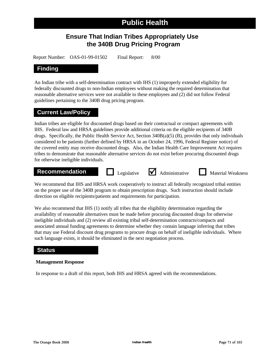## **Ensure That Indian Tribes Appropriately Use the 340B Drug Pricing Program**

Report Number: OAS-01-99-01502 Final Report: 8/00

### **Finding**

An Indian tribe with a self-determination contract with IHS (1) improperly extended eligibility for federally discounted drugs to non-Indian employees without making the required determination that reasonable alternative services were not available to these employees and (2) did not follow Federal guidelines pertaining to the 340B drug pricing program.

### **Current Law/Policy**

Indian tribes are eligible for discounted drugs based on their contractual or compact agreements with IHS. Federal law and HRSA guidelines provide additional criteria on the eligible recipients of 340B drugs. Specifically, the Public Health Service Act, Section 340B(a)(5) (B), provides that only individuals considered to be patients (further defined by HRSA in an October 24, 1996, Federal Register notice) of the covered entity may receive discounted drugs. Also, the Indian Health Care Improvement Act requires tribes to demonstrate that reasonable alternative services do not exist before procuring discounted drugs for otherwise ineligible individuals.

## **Recommendation Legislative** <br> **Administrative Material Weakness**

We recommend that IHS and HRSA work cooperatively to instruct all federally recognized tribal entities on the proper use of the 340B program to obtain prescription drugs. Such instruction should include direction on eligible recipients/patients and requirements for participation.

We also recommend that IHS (1) notify all tribes that the eligibility determination regarding the availability of reasonable alternatives must be made before procuring discounted drugs for otherwise ineligible individuals and (2) review all existing tribal self-determination contracts/compacts and associated annual funding agreements to determine whether they contain language inferring that tribes that may use Federal discount drug programs to procure drugs on behalf of ineligible individuals. Where such language exists, it should be eliminated in the next negotiation process.

### **Status**

### **Management Response**

In response to a draft of this report, both IHS and HRSA agreed with the recommendations.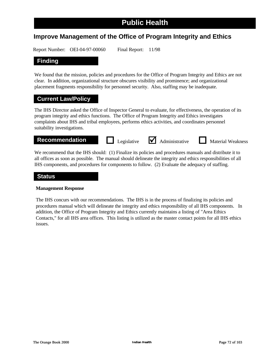### **Improve Management of the Office of Program Integrity and Ethics**

Report Number: OEI-04-97-00060 Final Report: 11/98

### **Finding**

We found that the mission, policies and procedures for the Office of Program Integrity and Ethics are not clear. In addition, organizational structure obscures visibility and prominence; and organizational placement fragments responsibility for personnel security. Also, staffing may be inadequate.

### **Current Law/Policy**

The IHS Director asked the Office of Inspector General to evaluate, for effectiveness, the operation of its program integrity and ethics functions. The Office of Program Integrity and Ethics investigates complaints about IHS and tribal employees, performs ethics activities, and coordinates personnel suitability investigations.

**Recommendation Legislative** <br> **Administrative Material Weakness** 

We recommend that the IHS should: (1) Finalize its policies and procedures manuals and distribute it to all offices as soon as possible. The manual should delineate the integrity and ethics responsibilities of all IHS components, and procedures for components to follow. (2) Evaluate the adequacy of staffing.

### **Status**

### **Management Response**

The IHS concurs with our recommendations. The IHS is in the process of finalizing its policies and procedures manual which will delineate the integrity and ethics responsibility of all IHS components. In addition, the Office of Program Integrity and Ethics currently maintains a listing of "Area Ethics Contacts," for all IHS area offices. This listing is utilized as the master contact points for all IHS ethics issues.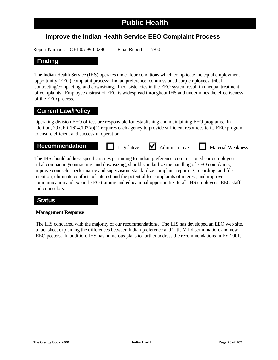### **Improve the Indian Health Service EEO Complaint Process**

Report Number: OEI-05-99-00290 Final Report: 7/00

### **Finding**

The Indian Health Service (IHS) operates under four conditions which complicate the equal employment opportunity (EEO) complaint process: Indian preference, commissioned corp employees, tribal contracting/compacting, and downsizing. Inconsistencies in the EEO system result in unequal treatment of complaints. Employee distrust of EEO is widespread throughout IHS and undermines the effectiveness of the EEO process.

### **Current Law/Policy**

Operating division EEO offices are responsible for establishing and maintaining EEO programs. In addition, 29 CFR 1614.102(a)(1) requires each agency to provide sufficient resources to its EEO program to ensure efficient and successful operation.

**Recommendation Legislative** <br> **Administrative Material Weakness** 

The IHS should address specific issues pertaining to Indian preference, commissioned corp employees, tribal compacting/contracting, and downsizing; should standardize the handling of EEO complaints; improve counselor performance and supervision; standardize complaint reporting, recording, and file retention; eliminate conflicts of interest and the potential for complaints of interest; and improve communication and expand EEO training and educational opportunities to all IHS employees, EEO staff, and counselors.

### **Status**

### **Management Response**

The IHS concurred with the majority of our recommendations. The IHS has developed an EEO web site, a fact sheet explaining the differences between Indian preference and Title VII discrimination, and new EEO posters. In addition, IHS has numerous plans to further address the recommendations in FY 2001.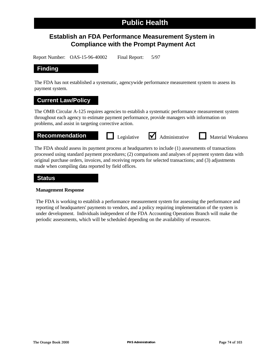## **Establish an FDA Performance Measurement System in Compliance with the Prompt Payment Act**

Report Number: OAS-15-96-40002 Final Report: 5/97

### **Finding**

The FDA has not established a systematic, agencywide performance measurement system to assess its payment system.

### **Current Law/Policy**

The OMB Circular A-125 requires agencies to establish a systematic performance measurement system throughout each agency to estimate payment performance, provide managers with information on problems, and assist in targeting corrective action.

**Recommendation Legislative** <br> **Administrative Material Weakness** 

The FDA should assess its payment process at headquarters to include (1) assessments of transactions processed using standard payment procedures; (2) comparisons and analyses of payment system data with original purchase orders, invoices, and receiving reports for selected transactions; and (3) adjustments made when compiling data reported by field offices.

### **Status**

### **Management Response**

The FDA is working to establish a performance measurement system for assessing the performance and reporting of headquarters' payments to vendors, and a policy requiring implementation of the system is under development. Individuals independent of the FDA Accounting Operations Branch will make the periodic assessments, which will be scheduled depending on the availability of resources.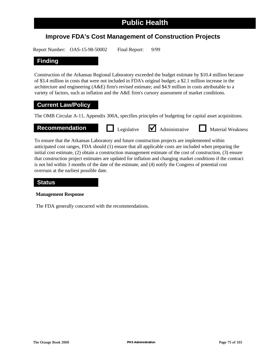## **Improve FDA's Cost Management of Construction Projects**

Report Number: OAS-15-98-50002 Final Report: 9/99

### **Finding**

Construction of the Arkansas Regional Laboratory exceeded the budget estimate by \$10.4 million because of \$3.4 million in costs that were not included in FDA's original budget; a \$2.1 million increase in the architecture and engineering (A&E) firm's revised estimate; and \$4.9 million in costs attributable to a variety of factors, such as inflation and the A&E firm's cursory assessment of market conditions.

### **Current Law/Policy**

The OMB Circular A-11, Appendix 300A, specifies principles of budgeting for capital asset acquisitions.



To ensure that the Arkansas Laboratory and future construction projects are implemented within anticipated cost ranges, FDA should (1) ensure that all applicable costs are included when preparing the initial cost estimate, (2) obtain a construction management estimate of the cost of construction, (3) ensure that construction project estimates are updated for inflation and changing market conditions if the contract is not bid within 3 months of the date of the estimate, and (4) notify the Congress of potential cost overruns at the earliest possible date.

### **Status**

### **Management Response**

The FDA generally concurred with the recommendations.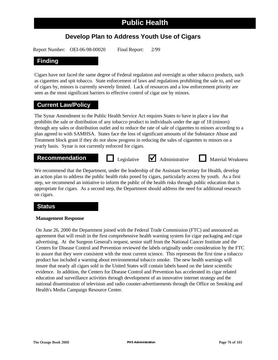### **Develop Plan to Address Youth Use of Cigars**

Report Number: OEI-06-98-00020 Final Report: 2/99

### **Finding**

Cigars have not faced the same degree of Federal regulation and oversight as other tobacco products, such as cigarettes and spit tobacco. State enforcement of laws and regulations prohibiting the sale to, and use of cigars by, minors is currently severely limited. Lack of resources and a low enforcement priority are seen as the most significant barriers to effective control of cigar use by minors.

### **Current Law/Policy**

The Synar Amendment to the Public Health Service Act requires States to have in place a law that prohibits the sale or distribution of any tobacco product to individuals under the age of 18 (minors) through any sales or distribution outlet and to reduce the rate of sale of cigarettes to minors according to a plan agreed to with SAMHSA. States face the loss of significant amounts of the Substance Abuse and Treatment block grant if they do not show progress in reducing the sales of cigarettes to minors on a yearly basis. Synar is not currently enforced for cigars.

## **Recommendation Legislative** <br> **Administrative Material Weakness**

We recommend that the Department, under the leadership of the Assistant Secretary for Health, develop an action plan to address the public health risks posed by cigars, particularly access by youth. As a first step, we recommend an initiative to inform the public of the health risks through public education that is appropriate for cigars. As a second step, the Department should address the need for additional research on cigars.

### **Status**

### **Management Response**

On June 26, 2000 the Department joined with the Federal Trade Commission (FTC) and announced an agreement that will result in the first comprehensive health warning system for cigar packaging and cigar advertising. At the Surgeon General's request, senior staff from the National Cancer Institute and the Centers for Disease Control and Prevention reviewed the labels originally under consideration by the FTC to assure that they were consistent with the most current science. This represents the first time a tobacco product has included a warning about environmental tobacco smoke. The new health warnings will insure that nearly all cigars sold in the United States will contain labels based on the latest scientific evidence. In addition, the Centers for Disease Control and Prevention has accelerated its cigar related education and surveillance activities through development of an innovative internet strategy and the national dissemination of television and radio counter-advertisements through the Office on Smoking and Health's Media Campaign Resource Center.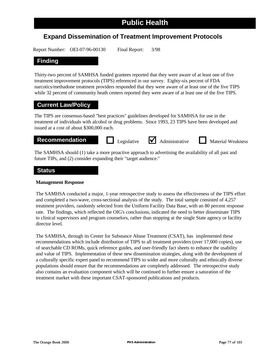### **Expand Dissemination of Treatment Improvement Protocols**

Report Number: OEI-07-96-00130 Final Report: 3/98

### **Finding**

Thirty-two percent of SAMHSA funded grantees reported that they were aware of at least one of five treatment improvement protocols (TIPS) referenced in our survey. Eighty-six percent of FDA narcotics/methadone treatment providers responded that they were aware of at least one of the five TIPS while 32 percent of community heath centers reported they were aware of at least one of the five TIPS.

### **Current Law/Policy**

The TIPS are consensus-based "best practices" guidelines developed for SAMHSA for use in the treatment of individuals with alcohol or drug problems. Since 1993, 23 TIPS have been developed and issued at a cost of about \$300,000 each.

**Recommendation Legislative** <br> **Administrative Material Weakness** 

The SAMHSA should (1) take a more proactive approach to advertising the availability of all past and future TIPs, and (2) consider expanding their "target audience."

### **Status**

### **Management Response**

The SAMHSA conducted a major, 1-year retrospective study to assess the effectiveness of the TIPS effort and completed a two-wave, cross-sectional analysis of the study. The total sample consisted of 4,257 treatment providers, randomly selected from the Uniform Facility Data Base, with an 80 percent response rate. The findings, which reflected the OIG's conclusions, indicated the need to better disseminate TIPS to clinical supervisors and program counselors, rather than stopping at the single State agency or facility director level.

The SAMHSA, through its Center for Substance Abuse Treatment (CSAT), has implemented these recommendations which include distribution of TIPS to all treatment providers (over 17,000 copies), use of searchable CD ROMs, quick reference guides, and user-friendly fact sheets to enhance the usability and value of TIPS. Implementation of these new dissemination strategies, along with the development of a culturally specific expert panel to recommend TIPS to wider and more culturally and ethnically diverse populations should ensure that the recommendations are completely addressed. The retrospective study also contains an evaluation component which will be continued to further ensure a saturation of the treatment market with these important CSAT-sponsored publications and products.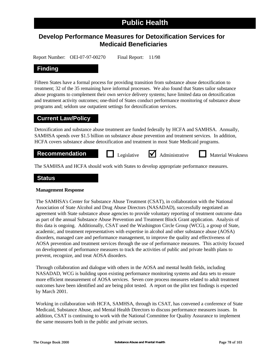### **Develop Performance Measures for Detoxification Services for Medicaid Beneficiaries**

Report Number: OEI-07-97-00270 Final Report: 11/98

### **Finding**

Fifteen States have a formal process for providing transition from substance abuse detoxification to treatment; 32 of the 35 remaining have informal processes. We also found that States tailor substance abuse programs to complement their own service delivery systems; have limited data on detoxification and treatment activity outcomes; one-third of States conduct performance monitoring of substance abuse programs and; seldom use outpatient settings for detoxification services.

### **Current Law/Policy**

Detoxification and substance abuse treatment are funded federally by HCFA and SAMHSA. Annually, SAMHSA spends over \$1.5 billion on substance abuse prevention and treatment services. In addition, HCFA covers substance abuse detoxification and treatment in most State Medicaid programs.

## **Recommendation Legislative** <br> **Administrative Material Weakness**

The SAMHSA and HCFA should work with States to develop appropriate performance measures.

### **Status**

### **Management Response**

The SAMHSA's Center for Substance Abuse Treatment (CSAT), in collaboration with the National Association of State Alcohol and Drug Abuse Directors (NASADAD), successfully negotiated an agreement with State substance abuse agencies to provide voluntary reporting of treatment outcome data as part of the annual Substance Abuse Prevention and Treatment Block Grant application. Analysis of this data is ongoing. Additionally, CSAT used the Washington Circle Group (WCG), a group of State, academic, and treatment representatives with expertise in alcohol and other substance abuse (AOSA) disorders, managed care and performance management, to improve the quality and effectiveness of AOSA prevention and treatment services through the use of performance measures. This activity focused on development of performance measures to track the activities of public and private health plans to prevent, recognize, and treat AOSA disorders.

Through collaboration and dialogue with others in the AOSA and mental health fields, including NASADAD, WCG is building upon existing performance monitoring systems and data sets to ensure more efficient measurement of AOSA services. Seven core process measures related to adult treatment outcomes have been identified and are being pilot tested. A report on the pilot test findings is expected by March 2001.

Working in collaboration with HCFA, SAMHSA, through its CSAT, has convened a conference of State Medicaid, Substance Abuse, and Mental Health Directors to discuss performance measures issues. In addition, CSAT is continuing to work with the National Committee for Quality Assurance to implement the same measures both in the public and private sectors.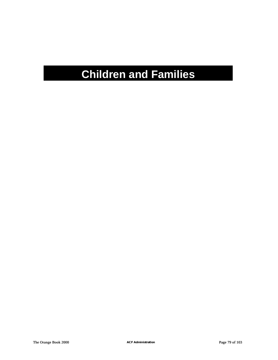# **Children and Families**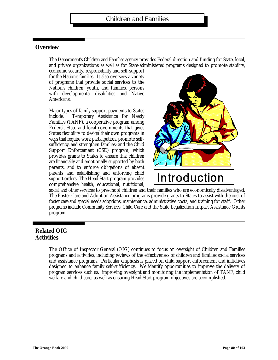### **Overview**

The Department's Children and Families agency provides Federal direction and funding for State, local, and private organizations as well as for State-administered programs designed to promote stability,

economic security, responsibility and self-support for the Nation's families. It also oversees a variety of programs that provide social services to the Nation's children, youth, and families, persons with developmental disabilities and Native Americans.

Major types of family support payments to States include: Temporary Assistance for Needy Families (TANF), a cooperative program among Federal, State and local governments that gives States flexibility to design their own programs in ways that require work participation, promote selfsufficiency, and strengthen families; and the Child Support Enforcement (CSE) program, which provides grants to States to ensure that children are financially and emotionally supported by both parents, and to enforce obligations of absent parents and establishing and enforcing child support orders. The Head Start program provides comprehensive health, educational, nutritional,



# Introduction

social and other services to preschool children and their families who are economically disadvantaged. The Foster Care and Adoption Assistance programs provide grants to States to assist with the cost of foster care and special needs adoptions, maintenance, administrative costs, and training for staff. Other programs include Community Services, Child Care and the State Legalization Impact Assistance Grants program.

### **Related OIG Activities**

The Office of Inspector General (OIG) continues to focus on oversight of Children and Families programs and activities, including reviews of the effectiveness of children and families social services and assistance programs. Particular emphasis is placed on child support enforcement and initiatives designed to enhance family self-sufficiency. We identify opportunities to improve the delivery of program services such as: improving oversight and monitoring the implementation of TANF, child welfare and child care, as well as ensuring Head Start program objectives are accomplished.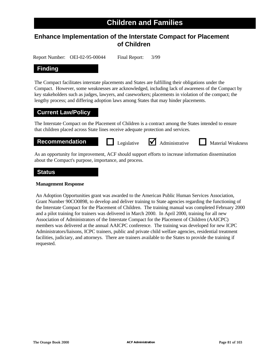### **Enhance Implementation of the Interstate Compact for Placement of Children**

Report Number: OEI-02-95-00044 Final Report: 3/99

### **Finding**

The Compact facilitates interstate placements and States are fulfilling their obligations under the Compact. However, some weaknesses are acknowledged, including lack of awareness of the Compact by key stakeholders such as judges, lawyers, and caseworkers; placements in violation of the compact; the lengthy process; and differing adoption laws among States that may hinder placements.

### **Current Law/Policy**

The Interstate Compact on the Placement of Children is a contract among the States intended to ensure that children placed across State lines receive adequate protection and services.

**Recommendation D** Legislative **M** Administrative **D** Material Weakness

Legislative  $\bigvee$  Administrative

As an opportunity for improvement, ACF should support efforts to increase information dissemination about the Compact's purpose, importance, and process.

### **Status**

### **Management Response**

An Adoption Opportunities grant was awarded to the American Public Human Services Association, Grant Number 90CO0898, to develop and deliver training to State agencies regarding the functioning of the Interstate Compact for the Placement of Children. The training manual was completed February 2000 and a pilot training for trainers was delivered in March 2000. In April 2000, training for all new Association of Administrators of the Interstate Compact for the Placement of Children (AAICPC) members was delivered at the annual AAICPC conference. The training was developed for new ICPC Administrators/liaisons, ICPC trainers, public and private child welfare agencies, residential treatment facilities, judiciary, and attorneys. There are trainers available to the States to provide the training if requested.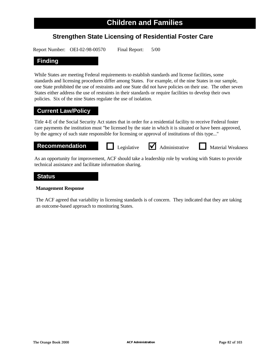## **Strengthen State Licensing of Residential Foster Care**

Report Number: OEI-02-98-00570 Final Report: 5/00

### **Finding**

While States are meeting Federal requirements to establish standards and license facilities, some standards and licensing procedures differ among States. For example, of the nine States in our sample, one State prohibited the use of restraints and one State did not have policies on their use. The other seven States either address the use of restraints in their standards or require facilities to develop their own policies. Six of the nine States regulate the use of isolation.

### **Current Law/Policy**

Title 4-E of the Social Security Act states that in order for a residential facility to receive Federal foster care payments the institution must "be licensed by the state in which it is situated or have been approved, by the agency of such state responsible for licensing or approval of institutions of this type..."

**Recommendation Legislative** <br> **Administrative Material Weakness** 

As an opportunity for improvement, ACF should take a leadership role by working with States to provide technical assistance and facilitate information sharing.

### **Status**

### **Management Response**

The ACF agreed that variability in licensing standards is of concern. They indicated that they are taking an outcome-based approach to monitoring States.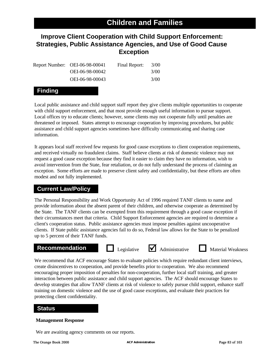## **Improve Client Cooperation with Child Support Enforcement: Strategies, Public Assistance Agencies, and Use of Good Cause Exception**

| Report Number: OEI-06-98-00041 | Final Report: | 3/00   |
|--------------------------------|---------------|--------|
| OEI-06-98-00042                |               | 3/(00) |
| OEI-06-98-00043                |               | 3/00   |

### **Finding**

Local public assistance and child support staff report they give clients multiple opportunities to cooperate with child support enforcement, and that most provide enough useful information to pursue support. Local offices try to educate clients; however, some clients may not cooperate fully until penalties are threatened or imposed. States attempt to encourage cooperation by improving procedures, but public assistance and child support agencies sometimes have difficulty communicating and sharing case information.

It appears local staff received few requests for good cause exceptions to client cooperation requirements, and received virtually no fraudulent claims. Staff believe clients at risk of domestic violence may not request a good cause exception because they find it easier to claim they have no information, wish to avoid intervention from the State, fear retaliation, or do not fully understand the process of claiming an exception. Some efforts are made to preserve client safety and confidentiality, but these efforts are often modest and not fully implemented.

### **Current Law/Policy**

The Personal Responsibility and Work Opportunity Act of 1996 required TANF clients to name and provide information about the absent parent of their children, and otherwise cooperate as determined by the State. The TANF clients can be exempted from this requirement through a good cause exception if their circumstances meet that criteria. Child Support Enforcement agencies are required to determine a client's cooperation status. Public assistance agencies must impose penalties against uncooperative clients. If State public assistance agencies fail to do so, Federal law allows for the State to be penalized up to 5 percent of their TANF funds.

## **Recommendation Legislative** <br> **Administrative Material Weakness**





We recommend that ACF encourage States to evaluate policies which require redundant client interviews, create disincentives to cooperation, and provide benefits prior to cooperation. We also recommend encouraging proper imposition of penalties for non-cooperation, further local staff training, and greater interaction between public assistance and child support agencies. The ACF should encourage States to develop strategies that allow TANF clients at risk of violence to safely pursue child support, enhance staff training on domestic violence and the use of good cause exceptions, and evaluate their practices for protecting client confidentiality.

### **Status**

### **Management Response**

We are awaiting agency comments on our reports.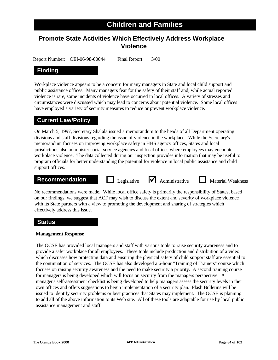## **Children and Families**

## **Promote State Activities Which Effectively Address Workplace Violence**

Report Number: OEI-06-98-00044 Final Report: 3/00

### **Finding**

Workplace violence appears to be a concern for many managers in State and local child support and public assistance offices. Many managers fear for the safety of their staff and, while actual reported violence is rare, some incidents of violence have occurred in local offices. A variety of stresses and circumstances were discussed which may lead to concerns about potential violence. Some local offices have employed a variety of security measures to reduce or prevent workplace violence.

### **Current Law/Policy**

On March 5, 1997, Secretary Shalala issued a memorandum to the heads of all Department operating divisions and staff divisions regarding the issue of violence in the workplace. While the Secretary's memorandum focuses on improving workplace safety in HHS agency offices, States and local jurisdictions also administer social service agencies and local offices where employees may encounter workplace violence. The data collected during our inspection provides information that may be useful to program officials for better understanding the potential for violence in local public assistance and child support offices.

## **Recommendation Legislative** <br> **Administrative Material Weakness**

No recommendations were made. While local office safety is primarily the responsibility of States, based on our findings, we suggest that ACF may wish to discuss the extent and severity of workplace violence with its State partners with a view to promoting the development and sharing of strategies which effectively address this issue.

### **Status**

### **Management Response**

The OCSE has provided local managers and staff with various tools to raise security awareness and to provide a safer workplace for all employees. These tools include production and distribution of a video which discusses how protecting data and ensuring the physical safety of child support staff are essential to the continuation of services. The OCSE has also developed a 6-hour "Training of Trainers" course which focuses on raising security awareness and the need to make security a priority. A second training course for managers is being developed which will focus on security from the managers perspective. A manager's self-assessment checklist is being developed to help managers assess the security levels in their own offices and offers suggestions to begin implementation of a security plan. Flash Bulletins will be issued to identify security problems or best practices that States may implement. The OCSE is planning to add all of the above information to its Web site. All of these tools are adaptable for use by local public assistance management and staff.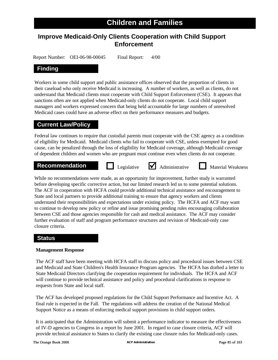## **Improve Medicaid-Only Clients Cooperation with Child Support Enforcement**

Report Number: OEI-06-98-00045 Final Report: 4/00

### **Finding**

Workers in some child support and public assistance offices observed that the proportion of clients in their caseload who only receive Medicaid is increasing. A number of workers, as well as clients, do not understand that Medicaid clients must cooperate with Child Support Enforcement (CSE). It appears that sanctions often are not applied when Medicaid-only clients do not cooperate. Local child support managers and workers expressed concern that being held accountable for large numbers of unresolved Medicaid cases could have an adverse effect on their performance measures and budgets.

### **Current Law/Policy**

Federal law continues to require that custodial parents must cooperate with the CSE agency as a condition of eligibility for Medicaid. Medicaid clients who fail to cooperate with CSE, unless exempted for good cause, can be penalized through the loss of eligibility for Medicaid coverage, although Medicaid coverage of dependent children and women who are pregnant must continue even when clients do not cooperate.

### **Recommendation D** Legislative **M** Administrative **D** Material Weakness

Legislative  $\bigvee$  Administrative

While no recommendations were made, as an opportunity for improvement, further study is warranted before developing specific corrective action, but our limited research led us to some potential solutions. The ACF in cooperation with HCFA could provide additional technical assistance and encouragement to State and local partners to provide additional training to ensure that agency workers and clients understand their responsibilities and expectations under existing policy. The HCFA and ACF may want to continue to develop new policy or refine and issue promising pending rules encouraging collaboration between CSE and those agencies responsible for cash and medical assistance. The ACF may consider further evaluation of staff and program performance structures and revision of Medicaid-only case closure criteria.

### **Status**

### **Management Response**

The ACF staff have been meeting with HCFA staff to discuss policy and procedural issues between CSE and Medicaid and State Children's Health Insurance Program agencies. The HCFA has drafted a letter to State Medicaid Directors clarifying the cooperation requirement for individuals. The HCFA and ACF will continue to provide technical assistance and policy and procedural clarifications in response to requests from State and local staff.

The ACF has developed proposed regulations for the Child Support Performance and Incentive Act. A final rule is expected in the Fall. The regulations will address the creation of the National Medical Support Notice as a means of enforcing medical support provisions in child support orders.

It is anticipated that the Administration will submit a performance indicator to measure the effectiveness of IV-D agencies to Congress in a report by June 2001. In regard to case closure criteria, ACF will provide technical assistance to States to clarify the existing case closure rules for Medicaid-only cases.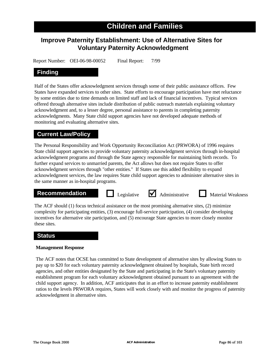## **Children and Families**

## **Improve Paternity Establishment: Use of Alternative Sites for Voluntary Paternity Acknowledgment**

Report Number: OEI-06-98-00052 Final Report: 7/99

### **Finding**

Half of the States offer acknowledgment services through some of their public assistance offices. Few States have expanded services to other sites. State efforts to encourage participation have met reluctance by some entities due to time demands on limited staff and lack of financial incentives. Typical services offered through alternative sites include distribution of public outreach materials explaining voluntary acknowledgment and, to a lesser degree, personal assistance to parents in completing paternity acknowledgments. Many State child support agencies have not developed adequate methods of monitoring and evaluating alternative sites.

### **Current Law/Policy**

The Personal Responsibility and Work Opportunity Reconciliation Act (PRWORA) of 1996 requires State child support agencies to provide voluntary paternity acknowledgment services through in-hospital acknowledgment programs and through the State agency responsible for maintaining birth records. To further expand services to unmarried parents, the Act allows but does not require States to offer acknowledgment services through "other entities." If States use this added flexibility to expand acknowledgment services, the law requires State child support agencies to administer alternative sites in the same manner as in-hospital programs.

## **Recommendation Legislative** <br> **Administrative Material Weakness**



The ACF should (1) focus technical assistance on the most promising alternative sites, (2) minimize complexity for participating entities, (3) encourage full-service participation, (4) consider developing incentives for alternative site participation, and (5) encourage State agencies to more closely monitor these sites.

### **Status**

### **Management Response**

The ACF notes that OCSE has committed to State development of alternative sites by allowing States to pay up to \$20 for each voluntary paternity acknowledgment obtained by hospitals, State birth record agencies, and other entities designated by the State and participating in the State's voluntary paternity establishment program for each voluntary acknowledgment obtained pursuant to an agreement with the child support agency. In addition, ACF anticipates that in an effort to increase paternity establishment ratios to the levels PRWORA requires, States will work closely with and monitor the progress of paternity acknowledgment in alternative sites.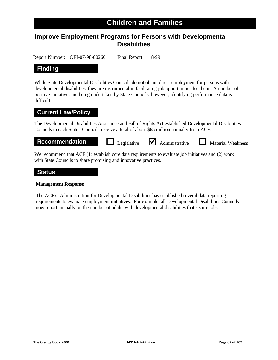## **Children and Families**

## **Improve Employment Programs for Persons with Developmental Disabilities**

Report Number: OEI-07-98-00260 Final Report: 8/99

### **Finding**

While State Developmental Disabilities Councils do not obtain direct employment for persons with developmental disabilities, they are instrumental in facilitating job opportunities for them. A number of positive initiatives are being undertaken by State Councils, however, identifying performance data is difficult.

### **Current Law/Policy**

The Developmental Disabilities Assistance and Bill of Rights Act established Developmental Disabilities Councils in each State. Councils receive a total of about \$65 million annually from ACF.

**Recommendation Legislative** <br> **Administrative Material Weakness** 

We recommend that ACF (1) establish core data requirements to evaluate job initiatives and (2) work with State Councils to share promising and innovative practices.

### **Status**

### **Management Response**

The ACF's Administration for Developmental Disabilities has established several data reporting requirements to evaluate employment initiatives. For example, all Developmental Disabilities Councils now report annually on the number of adults with developmental disabilities that secure jobs.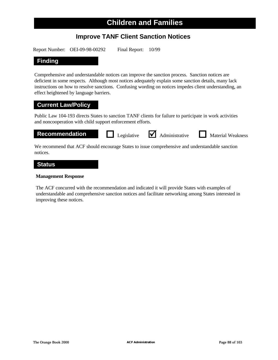## **Improve TANF Client Sanction Notices**

Report Number: OEI-09-98-00292 Final Report: 10/99

### **Finding**

Comprehensive and understandable notices can improve the sanction process. Sanction notices are deficient in some respects. Although most notices adequately explain some sanction details, many lack instructions on how to resolve sanctions. Confusing wording on notices impedes client understanding, an effect heightened by language barriers.

### **Current Law/Policy**

Public Law 104-193 directs States to sanction TANF clients for failure to participate in work activities and noncooperation with child support enforcement efforts.



We recommend that ACF should encourage States to issue comprehensive and understandable sanction notices.

### **Status**

### **Management Response**

The ACF concurred with the recommendation and indicated it will provide States with examples of understandable and comprehensive sanction notices and facilitate networking among States interested in improving these notices.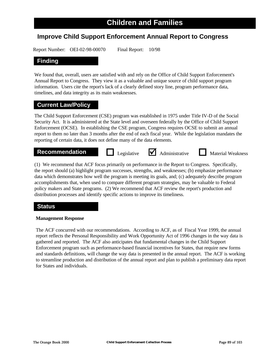### **Improve Child Support Enforcement Annual Report to Congress**

Report Number: OEI-02-98-00070 Final Report: 10/98

### **Finding**

We found that, overall, users are satisfied with and rely on the Office of Child Support Enforcement's Annual Report to Congress. They view it as a valuable and unique source of child support program information. Users cite the report's lack of a clearly defined story line, program performance data, timelines, and data integrity as its main weaknesses.

### **Current Law/Policy**

The Child Support Enforcement (CSE) program was established in 1975 under Title IV-D of the Social Security Act. It is administered at the State level and overseen federally by the Office of Child Support Enforcement (OCSE). In establishing the CSE program, Congress requires OCSE to submit an annual report to them no later than 3 months after the end of each fiscal year. While the legislation mandates the reporting of certain data, it does not define many of the data elements.

### **Recommendation Algebrary Constants I** Legislative **M** Administrative **Numerial Weakness**

Legislative  $\blacksquare$  Administrative

(1) We recommend that ACF focus primarily on performance in the Report to Congress. Specifically, the report should (a) highlight program successes, strengths, and weaknesses; (b) emphasize performance data which demonstrates how well the program is meeting its goals, and; (c) adequately describe program accomplishments that, when used to compare different program strategies, may be valuable to Federal policy makers and State programs. (2) We recommend that ACF review the report's production and distribution processes and identify specific actions to improve its timeliness.

### **Status**

### **Management Response**

The ACF concurred with our recommendations. According to ACF, as of Fiscal Year 1999, the annual report reflects the Personal Responsibility and Work Opportunity Act of 1996 changes in the way data is gathered and reported. The ACF also anticipates that fundamental changes in the Child Support Enforcement program such as performance-based financial incentives for States, that require new forms and standards definitions, will change the way data is presented in the annual report. The ACF is working to streamline production and distribution of the annual report and plan to publish a preliminary data report for States and individuals.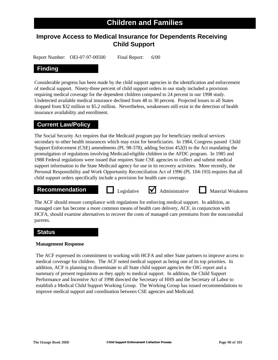## **Improve Access to Medical Insurance for Dependents Receiving Child Support**

Report Number: OEI-07-97-00500 Final Report: 6/00

### **Finding**

Considerable progress has been made by the child support agencies in the identification and enforcement of medical support. Ninety-three percent of child support orders in our study included a provision requiring medical coverage for the dependent children compared to 24 percent in our 1998 study. Undetected available medical insurance declined from 48 to 30 percent. Projected losses to all States dropped from \$32 million to \$5.2 million. Nevertheless, weaknesses still exist in the detection of health insurance availability and enrollment.

### **Current Law/Policy**

The Social Security Act requires that the Medicaid program pay for beneficiary medical services secondary to other health insurances which may exist for beneficiaries. In 1984, Congress passed Child Support Enforcement (CSE) amendments (PL 98-378), adding Section 452(f) to the Act mandating the promulgation of regulations involving Medicaid-eligible children in the AFDC program. In 1985 and 1988 Federal regulations were issued that requires State CSE agencies to collect and submit medical support information to the State Medicaid agency for use in its recovery activities. More recently, the Personal Responsibility and Work Opportunity Reconciliation Act of 1996 (PL 104-193) requires that all child support orders specifically include a provision for health care coverage.

### **Recommendation D** Legislative **A** Administrative **D** Material Weakness



The ACF should ensure compliance with regulations for enforcing medical support. In addition, as managed care has become a more common means of health care delivery, ACF, in conjunction with HCFA, should examine alternatives to recover the costs of managed care premiums from the noncustodial parents.

### **Status**

### **Management Response**

The ACF expressed its commitment to working with HCFA and other State partners to improve access to medical coverage for children. The ACF noted medical support as being one of its top priorities. In addition, ACF is planning to disseminate to all State child support agencies the OIG report and a summary of present regulations as they apply to medical support. In addition, the Child Support Performance and Incentive Act of 1998 directed the Secretary of HHS and the Secretary of Labor to establish a Medical Child Support Working Group. The Working Group has issued recommendations to improve medical support and coordination between CSE agencies and Medicaid.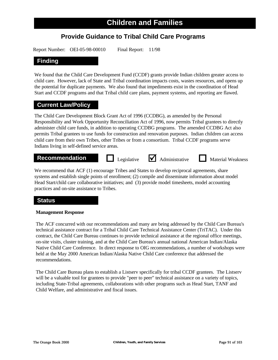## **Provide Guidance to Tribal Child Care Programs**

Report Number: OEI-05-98-00010 Final Report: 11/98

### **Finding**

We found that the Child Care Development Fund (CCDF) grants provide Indian children greater access to child care. However, lack of State and Tribal coordination impacts costs, wastes resources, and opens up the potential for duplicate payments. We also found that impediments exist in the coordination of Head Start and CCDF programs and that Tribal child care plans, payment systems, and reporting are flawed.

### **Current Law/Policy**

The Child Care Development Block Grant Act of 1996 (CCDBG), as amended by the Personal Responsibility and Work Opportunity Reconciliation Act of 1996, now permits Tribal grantees to directly administer child care funds, in addition to operating CCDBG programs. The amended CCDBG Act also permits Tribal grantees to use funds for construction and renovation purposes. Indian children can access child care from their own Tribes, other Tribes or from a consortium. Tribal CCDF programs serve Indians living in self-defined service areas.

## **Recommendation Legislative** <br> **Administrative Material Weakness**

We recommend that ACF (1) encourage Tribes and States to develop reciprocal agreements, share systems and establish single points of enrollment; (2) compile and disseminate information about model Head Start/child care collaborative initiatives; and (3) provide model timesheets, model accounting practices and on-site assistance to Tribes.

### **Status**

### **Management Response**

The ACF concurred with our recommendations and many are being addressed by the Child Care Bureau's technical assistance contract for a Tribal Child Care Technical Assistance Center (TriTAC). Under this contract, the Child Care Bureau continues to provide technical assistance at the regional office meetings, on-site visits, cluster training, and at the Child Care Bureau's annual national American Indian/Alaska Native Child Care Conference. In direct response to OIG recommendations, a number of workshops were held at the May 2000 American Indian/Alaska Native Child Care conference that addressed the recommendations.

The Child Care Bureau plans to establish a Listserv specifically for tribal CCDF grantees. The Listserv will be a valuable tool for grantees to provide "peer to peer" technical assistance on a variety of topics, including State-Tribal agreements, collaborations with other programs such as Head Start, TANF and Child Welfare, and administrative and fiscal issues.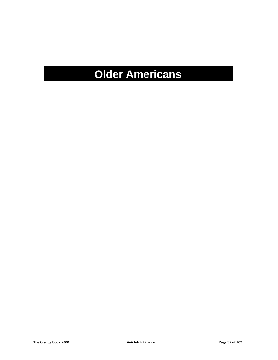# **Older Americans**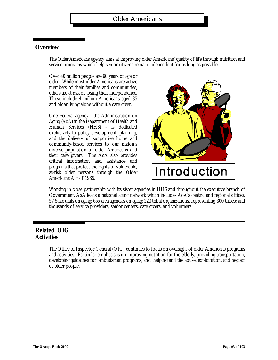### **Overview**

The Older Americans agency aims at improving older Americans' quality of life through nutrition and service programs which help senior citizens remain independent for as long as possible.

Over 40 million people are 60 years of age or older. While most older Americans are active members of their families and communities, others are at risk of losing their independence. These include 4 million Americans aged 85 and older living alone without a care giver.

One Federal agency - the Administration on Aging (AoA) in the Department of Health and Human Services (HHS) - is dedicated exclusively to policy development, planning, and the delivery of supportive home and community-based services to our nation's diverse population of older Americans and their care givers. The AoA also provides critical information and assistance and programs that protect the rights of vulnerable, at-risk older persons through the Older Americans Act of 1965.



Working in close partnership with its sister agencies in HHS and throughout the executive branch of Government, AoA leads a national aging network which includes AoA's central and regional offices; 57 State units on aging; 655 area agencies on aging; 223 tribal organizations, representing 300 tribes; and thousands of service providers, senior centers, care givers, and volunteers.

### **Related OIG Activities**

The Office of Inspector General (OIG) continues to focus on oversight of older Americans programs and activities. Particular emphasis is on improving nutrition for the elderly, providing transportation, developing guidelines for ombudsman programs, and helping end the abuse, exploitation, and neglectof older people.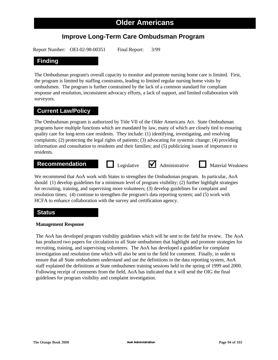## **Improve Long-Term Care Ombudsman Program**

Report Number: OEI-02-98-00351 Final Report: 3/99

### **Finding**

The Ombudsman program's overall capacity to monitor and promote nursing home care is limited. First, the program is limited by staffing constraints, leading to limited regular nursing home visits by ombudsmen. The program is further constrained by the lack of a common standard for compliant response and resolution, inconsistent advocacy efforts, a lack of support, and limited collaboration with surveyors.

### **Current Law/Policy**

The Ombudsman program is authorized by Title VII of the Older Americans Act. State Ombudsman programs have multiple functions which are mandated by law, many of which are closely tied to ensuring quality care for long-term care residents. They include: (1) identifying, investigating, and resolving complaints; (2) protecting the legal rights of patients; (3) advocating for systemic change; (4) providing information and consultation to residents and their families; and (5) publicizing issues of importance to residents.

## **Recommendation Legislative** <br> **Administrative Material Weakness**

We recommend that AoA work with States to strengthen the Ombudsman program. In particular, AoA should (1) develop guidelines for a minimum level of program visibility; (2) further highlight strategies for recruiting, training, and supervising more volunteers; (3) develop guidelines for complaint and resolution times; (4) continue to strengthen the program's data reporting system; and (5) work with HCFA to enhance collaboration with the survey and certification agency.

### **Status**

### **Management Response**

The AoA has developed program visibility guidelines which will be sent to the field for review. The AoA has produced two papers for circulation to all State ombudsmen that highlight and promote strategies for recruiting, training, and supervising volunteers. The AoA has developed a guideline for complaint investigation and resolution time which will also be sent to the field for comment. Finally, in order to ensure that all State ombudsmen understand and use the definitions in the data reporting system, AoA staff explained the definitions at State ombudsmen training sessions held in the spring of 1999 and 2000. Following receipt of comments from the field, AoA has indicated that it will send the OIG the final guidelines for program visibility and complaint investigation.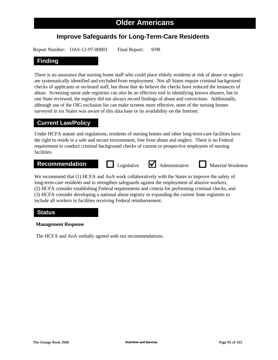## **Improve Safeguards for Long-Term-Care Residents**

Report Number: OAS-12-97-00003 Final Report: 9/98

### **Finding**

There is no assurance that nursing home staff who could place elderly residents at risk of abuse or neglect are systematically identified and excluded from employment. Not all States require criminal background checks of applicants or on-board staff, but those that do believe the checks have reduced the instances of abuse. Screening nurse aide registries can also be an effective tool in identifying known abusers, but in one State reviewed, the registry did not always record findings of abuse and convictions. Additionally, although use of the OIG exclusion list can make screens more effective, none of the nursing homes surveyed in six States was aware of this data base or its availability on the Internet.

### **Current Law/Policy**

Under HCFA statute and regulations, residents of nursing homes and other long-term-care facilities have the right to reside in a safe and secure environment, free from abuse and neglect. There is no Federal requirement to conduct criminal background checks of current or prospective employees of nursing facilities.

## **Recommendation Legislative** <br> **Administrative Material Weakness**

We recommend that (1) HCFA and AoA work collaboratively with the States to improve the safety of long-term-care residents and to strengthen safeguards against the employment of abusive workers, (2) HCFA consider establishing Federal requirements and criteria for performing criminal checks, and (3) HCFA consider developing a national abuse registry or expanding the current State registries to include all workers in facilities receiving Federal reimbursement.

### **Status**

### **Management Response**

The HCFA and AoA verbally agreed with our recommendations.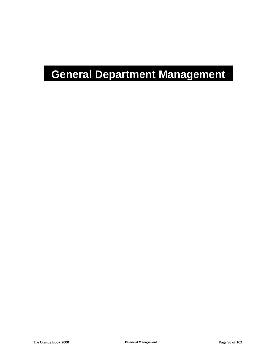# **General Department Management**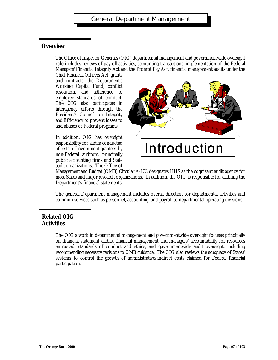### **Overview**

The Office of Inspector General's (OIG) departmental management and governmentwide oversight role includes reviews of payroll activities, accounting transactions, implementation of the Federal Managers' Financial Integrity Act and the Prompt Pay Act, financial management audits under the

Chief Financial Officers Act, grants and contracts, the Department's Working Capital Fund, conflict resolution, and adherence to employee standards of conduct. The OIG also participates in interagency efforts through the President's Council on Integrity and Efficiency to prevent losses to and abuses of Federal programs.



In addition, OIG has oversight responsibility for audits conducted of certain Government grantees by non-Federal auditors, principally public accounting firms and State audit organizations. The Office of

Management and Budget (OMB) Circular A-133 designates HHS as the cognizant audit agency for most States and major research organizations. In addition, the OIG is responsible for auditing the Department's financial statements.

The general Department management includes overall direction for departmental activities and common services such as personnel, accounting, and payroll to departmental operating divisions.

### **Related OIG Activities**

The OIG's work in departmental management and governmentwide oversight focuses principally on financial statement audits, financial management and managers' accountability for resources entrusted, standards of conduct and ethics, and governmentwide audit oversight, including recommending necessary revisions to OMB guidance. The OIG also reviews the adequacy of States' systems to control the growth of administrative/indirect costs claimed for Federal financial participation.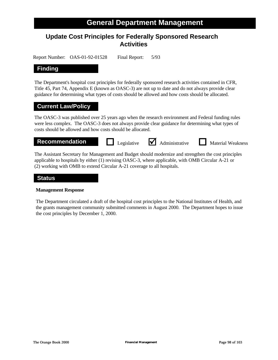# **Update Cost Principles for Federally Sponsored Research Activities**

Report Number: OAS-01-92-01528 Final Report: 5/93

#### **Finding**

The Department's hospital cost principles for federally sponsored research activities contained in CFR, Title 45, Part 74, Appendix E (known as OASC-3) are not up to date and do not always provide clear guidance for determining what types of costs should be allowed and how costs should be allocated.

#### **Current Law/Policy**

The OASC-3 was published over 25 years ago when the research environment and Federal funding rules were less complex. The OASC-3 does not always provide clear guidance for determining what types of costs should be allowed and how costs should be allocated.



applicable to hospitals by either (1) revising OASC-3, where applicable, with OMB Circular A-21 or (2) working with OMB to extend Circular A-21 coverage to all hospitals.

#### **Status**

#### **Management Response**

The Department circulated a draft of the hospital cost principles to the National Institutes of Health, and the grants management community submitted comments in August 2000. The Department hopes to issue the cost principles by December 1, 2000.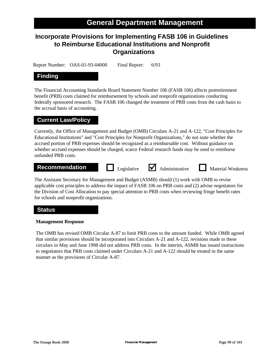# **Incorporate Provisions for Implementing FASB 106 in Guidelines to Reimburse Educational Institutions and Nonprofit Organizations**

Report Number: OAS-01-93-04000 Final Report: 6/93

### **Finding**

The Financial Accounting Standards Board Statement Number 106 (FASB 106) affects postretirement benefit (PRB) costs claimed for reimbursement by schools and nonprofit organizations conducting federally sponsored research. The FASB 106 changed the treatment of PRB costs from the cash basis to the accrual basis of accounting.

#### **Current Law/Policy**

Currently, the Office of Management and Budget (OMB) Circulars A-21 and A-122, "Cost Principles for Educational Institutions" and "Cost Principles for Nonprofit Organizations," do not state whether the accrued portion of PRB expenses should be recognized as a reimbursable cost. Without guidance on whether accrued expenses should be charged, scarce Federal research funds may be used to reimburse unfunded PRB costs.

#### **Recommendation D** Legislative **M** Administrative **N** Material Weakness

The Assistant Secretary for Management and Budget (ASMB) should (1) work with OMB to revise applicable cost principles to address the impact of FASB 106 on PRB costs and (2) advise negotiators for the Division of Cost Allocation to pay special attention to PRB costs when reviewing fringe benefit rates for schools and nonprofit organizations.

Legislative  $\bigvee$  Administrative

#### **Status**

#### **Management Response**

The OMB has revised OMB Circular A-87 to limit PRB costs to the amount funded. While OMB agreed that similar provisions should be incorporated into Circulars A-21 and A-122, revisions made to these circulars in May and June 1998 did not address PRB costs. In the interim, ASMB has issued instructions to negotiators that PRB costs claimed under Circulars A-21 and A-122 should be treated in the same manner as the provisions of Circular A-87.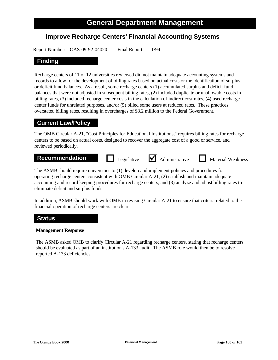# **Improve Recharge Centers' Financial Accounting Systems**

Report Number: OAS-09-92-04020 Final Report: 1/94

#### **Finding**

Recharge centers of 11 of 12 universities reviewed did not maintain adequate accounting systems and records to allow for the development of billing rates based on actual costs or the identification of surplus or deficit fund balances. As a result, some recharge centers (1) accumulated surplus and deficit fund balances that were not adjusted in subsequent billing rates, (2) included duplicate or unallowable costs in billing rates, (3) included recharge center costs in the calculation of indirect cost rates, (4) used recharge center funds for unrelated purposes, and/or (5) billed some users at reduced rates. These practices overstated billing rates, resulting in overcharges of \$3.2 million to the Federal Government.

#### **Current Law/Policy**

The OMB Circular A-21, "Cost Principles for Educational Institutions," requires billing rates for recharge centers to be based on actual costs, designed to recover the aggregate cost of a good or service, and reviewed periodically.



operating recharge centers consistent with OMB Circular A-21, (2) establish and maintain adequate accounting and record keeping procedures for recharge centers, and (3) analyze and adjust billing rates to eliminate deficit and surplus funds.

In addition, ASMB should work with OMB in revising Circular A-21 to ensure that criteria related to the financial operation of recharge centers are clear.

#### **Status**

#### **Management Response**

The ASMB asked OMB to clarify Circular A-21 regarding recharge centers, stating that recharge centers should be evaluated as part of an institution's A-133 audit. The ASMB role would then be to resolve reported A-133 deficiencies.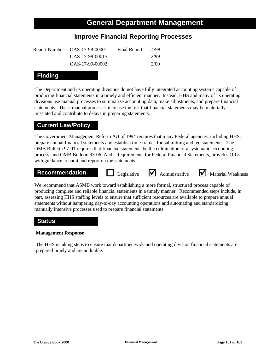# **Improve Financial Reporting Processes**

| Report Number: OAS-17-98-00001 | Final Report: | 4/98 |
|--------------------------------|---------------|------|
| OAS-17-98-00015                |               | 2/99 |
| OAS-17-99-00002                |               | 2/00 |

### **Finding**

The Department and its operating divisions do not have fully integrated accounting systems capable of producing financial statements in a timely and efficient manner. Instead, HHS and many of its operating divisions use manual processes to summarize accounting data, make adjustments, and prepare financial statements. These manual processes increase the risk that financial statements may be materially misstated and contribute to delays in preparing statements.

#### **Current Law/Policy**

The Government Management Reform Act of 1994 requires that many Federal agencies, including HHS, prepare annual financial statements and establish time frames for submitting audited statements. The OMB Bulletin 97-01 requires that financial statements be the culmination of a systematic accounting process, and OMB Bulletin 93-06, Audit Requirements for Federal Financial Statements, provides OIGs with guidance to audit and report on the statements.



We recommend that ASMB work toward establishing a more formal, structured process capable of producing complete and reliable financial statements in a timely manner. Recommended steps include, in part, assessing HHS staffing levels to ensure that sufficient resources are available to prepare annual statements without hampering day-to-day accounting operations and automating and standardizing manually intensive processes used to prepare financial statements.

#### **Status**

#### **Management Response**

The HHS is taking steps to ensure that departmentwide and operating division financial statements are prepared timely and are auditable.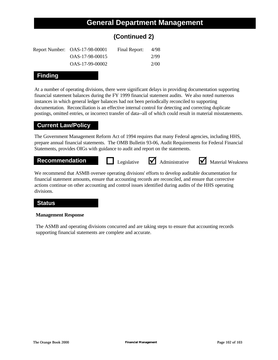# **(Continued 2)**

| Report Number: OAS-17-98-00001 | Final Report: | 4/98 |
|--------------------------------|---------------|------|
| OAS-17-98-00015                |               | 2/99 |
| OAS-17-99-00002                |               | 2/00 |

### **Finding**

At a number of operating divisions, there were significant delays in providing documentation supporting financial statement balances during the FY 1999 financial statement audits. We also noted numerous instances in which general ledger balances had not been periodically reconciled to supporting documentation. Reconciliation is an effective internal control for detecting and correcting duplicate postings, omitted entries, or incorrect transfer of data--all of which could result in material misstatements.

### **Current Law/Policy**

The Government Management Reform Act of 1994 requires that many Federal agencies, including HHS, prepare annual financial statements. The OMB Bulletin 93-06, Audit Requirements for Federal Financial Statements, provides OIGs with guidance to audit and report on the statements.

**Recommendation Legislative** <br> **Administrative** <br>
Material Weakness

We recommend that ASMB oversee operating divisions' efforts to develop auditable documentation for financial statement amounts, ensure that accounting records are reconciled, and ensure that corrective actions continue on other accounting and control issues identified during audits of the HHS operating divisions.

#### **Status**

#### **Management Response**

The ASMB and operating divisions concurred and are taking steps to ensure that accounting records supporting financial statements are complete and accurate.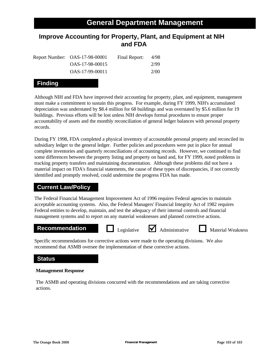# **Improve Accounting for Property, Plant, and Equipment at NIH and FDA**

| Report Number: OAS-17-98-00001 | Final Report: | 4/98 |
|--------------------------------|---------------|------|
| OAS-17-98-00015                |               | 2/99 |
| OAS-17-99-00011                |               | 2/00 |

## **Finding**

Although NIH and FDA have improved their accounting for property, plant, and equipment, management must make a commitment to sustain this progress. For example, during FY 1999, NIH's accumulated depreciation was understated by \$8.4 million for 68 buildings and was overstated by \$5.6 million for 19 buildings. Previous efforts will be lost unless NIH develops formal procedures to ensure proper accountability of assets and the monthly reconciliation of general ledger balances with personal property records.

During FY 1998, FDA completed a physical inventory of accountable personal property and reconciled its subsidiary ledger to the general ledger. Further policies and procedures were put in place for annual complete inventories and quarterly reconciliations of accounting records. However, we continued to find some differences between the property listing and property on hand and, for FY 1999, noted problems in tracking property transfers and maintaining documentation. Although these problems did not have a material impact on FDA's financial statements, the cause of these types of discrepancies, if not correctly identified and promptly resolved, could undermine the progress FDA has made.

#### **Current Law/Policy**

The Federal Financial Management Improvement Act of 1996 requires Federal agencies to maintain acceptable accounting systems. Also, the Federal Managers' Financial Integrity Act of 1982 requires Federal entities to develop, maintain, and test the adequacy of their internal controls and financial management systems and to report on any material weaknesses and planned corrective actions.

#### **Recommendation D** Legislative **M** Administrative **N** Material Weakness

Legislative  $\blacksquare$  Administrative

Specific recommendations for corrective actions were made to the operating divisions. We also recommend that ASMB oversee the implementation of these corrective actions.

#### **Status**

#### **Management Response**

The ASMB and operating divisions concurred with the recommendations and are taking corrective actions.